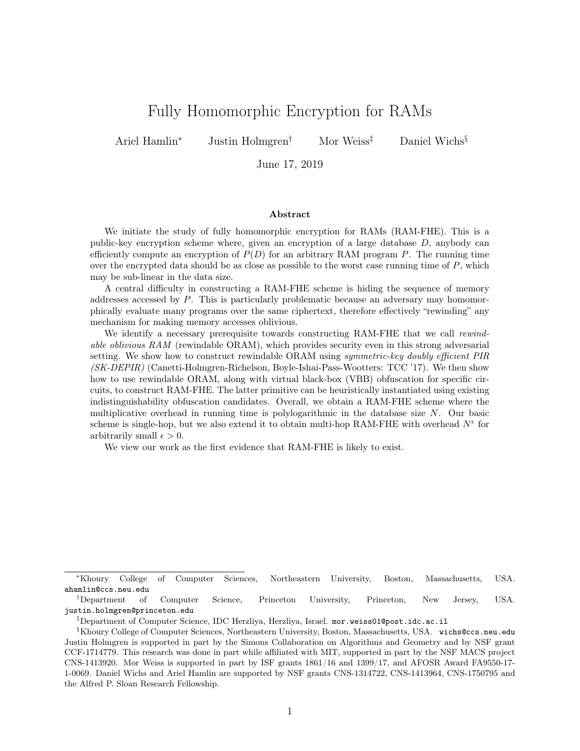# Fully Homomorphic Encryption for RAMs

Ariel Hamlin<sup>∗</sup> Justin Holmgren<sup>†</sup> Mor Weiss<sup>‡</sup> Daniel Wichs<sup>§</sup>

June 17, 2019

#### Abstract

We initiate the study of fully homomorphic encryption for RAMs (RAM-FHE). This is a public-key encryption scheme where, given an encryption of a large database D, anybody can efficiently compute an encryption of  $P(D)$  for an arbitrary RAM program P. The running time over the encrypted data should be as close as possible to the worst case running time of  $P$ , which may be sub-linear in the data size.

A central difficulty in constructing a RAM-FHE scheme is hiding the sequence of memory addresses accessed by P. This is particularly problematic because an adversary may homomorphically evaluate many programs over the same ciphertext, therefore effectively "rewinding" any mechanism for making memory accesses oblivious.

We identify a necessary prerequisite towards constructing RAM-FHE that we call rewindable oblivious RAM (rewindable ORAM), which provides security even in this strong adversarial setting. We show how to construct rewindable ORAM using *symmetric-key doubly efficient PIR* (SK-DEPIR) (Canetti-Holmgren-Richelson, Boyle-Ishai-Pass-Wootters: TCC '17). We then show how to use rewindable ORAM, along with virtual black-box (VBB) obfuscation for specific circuits, to construct RAM-FHE. The latter primitive can be heuristically instantiated using existing indistinguishability obfuscation candidates. Overall, we obtain a RAM-FHE scheme where the multiplicative overhead in running time is polylogarithmic in the database size N. Our basic scheme is single-hop, but we also extend it to obtain multi-hop RAM-FHE with overhead  $N^{\epsilon}$  for arbitrarily small  $\epsilon > 0$ .

We view our work as the first evidence that RAM-FHE is likely to exist.

<sup>∗</sup>Khoury College of Computer Sciences, Northeastern University, Boston, Massachusetts, USA. ahamlin@ccs.neu.edu

<sup>†</sup>Department of Computer Science, Princeton University, Princeton, New Jersey, USA. justin.holmgren@princeton.edu

<sup>‡</sup>Department of Computer Science, IDC Herzliya, Herzliya, Israel. mor.weiss01@post.idc.ac.il

<sup>§</sup>Khoury College of Computer Sciences, Northeastern University, Boston, Massachusetts, USA. wichs@ccs.neu.edu Justin Holmgren is supported in part by the Simons Collaboration on Algorithms and Geometry and by NSF grant CCF-1714779. This research was done in part while affiliated with MIT, supported in part by the NSF MACS project CNS-1413920. Mor Weiss is supported in part by ISF grants 1861/16 and 1399/17, and AFOSR Award FA9550-17- 1-0069. Daniel Wichs and Ariel Hamlin are supported by NSF grants CNS-1314722, CNS-1413964, CNS-1750795 and the Alfred P. Sloan Research Fellowship.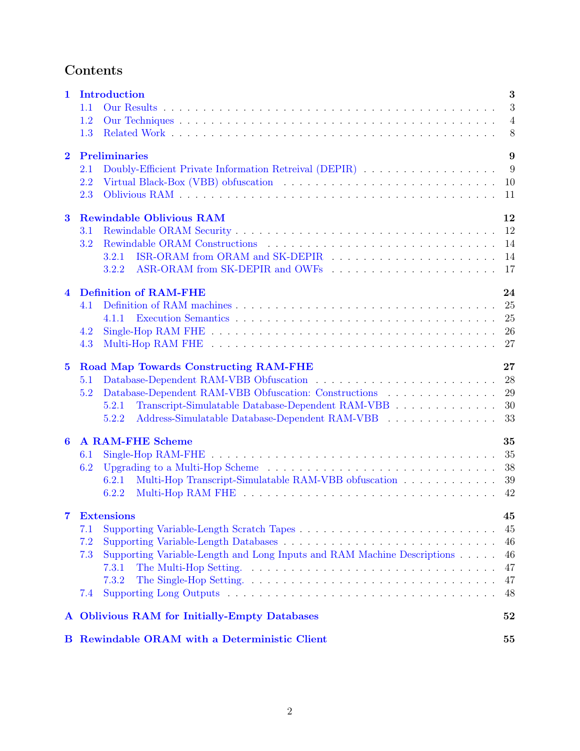# Contents

| $\mathbf{1}$            | Introduction<br>1.1<br>1.2<br>1.3                                                                                                                                                                                                                                                                                                             | 3<br>$\mathbf{3}$<br>$\overline{4}$<br>8 |
|-------------------------|-----------------------------------------------------------------------------------------------------------------------------------------------------------------------------------------------------------------------------------------------------------------------------------------------------------------------------------------------|------------------------------------------|
| $\mathbf{2}$            | <b>Preliminaries</b><br>Doubly-Efficient Private Information Retreival (DEPIR)<br>2.1<br>2.2<br>2.3                                                                                                                                                                                                                                           | 9<br>9<br>10<br>11                       |
| $\bf{3}$                | <b>Rewindable Oblivious RAM</b><br>3.1<br>Rewindable ORAM Constructions (ed. to a series of the series of the series of the series of the series of the series of the series of the series of the series of the series of the series of the series of the series of the<br>3.2<br>3.2.1<br>3.2.2                                              | 12<br>12<br>14<br>14<br>17               |
| $\overline{\mathbf{4}}$ | <b>Definition of RAM-FHE</b><br>4.1<br>4.1.1<br>Single-Hop RAM FHE $\dots \dots \dots \dots \dots \dots \dots \dots \dots \dots \dots \dots \dots \dots \dots \dots$<br>4.2<br>4.3                                                                                                                                                            | 24<br>25<br>25<br>26<br>27               |
| $\bf{5}$                | <b>Road Map Towards Constructing RAM-FHE</b><br>5.1<br>Database-Dependent RAM-VBB Obfuscation: Constructions<br>5.2<br>Transcript-Simulatable Database-Dependent RAM-VBB<br>5.2.1<br>Address-Simulatable Database-Dependent RAM-VBB<br>5.2.2                                                                                                  | 27<br>28<br>29<br>30<br>33               |
| 6                       | <b>A RAM-FHE Scheme</b><br>Single-Hop RAM-FHE $\ldots \ldots \ldots \ldots \ldots \ldots \ldots \ldots \ldots \ldots \ldots \ldots \ldots$<br>6.1<br>Upgrading to a Multi-Hop Scheme $\ldots \ldots \ldots \ldots \ldots \ldots \ldots \ldots \ldots \ldots$<br>6.2<br>Multi-Hop Transcript-Simulatable RAM-VBB obfuscation<br>6.2.1<br>6.2.2 | 35<br>35<br>38<br>39<br>42               |
|                         | <b>Extensions</b><br>7.1<br>7.2<br>Supporting Variable-Length and Long Inputs and RAM Machine Descriptions<br>7.3<br>The Multi-Hop Setting. $\dots \dots \dots \dots \dots \dots \dots \dots \dots \dots \dots \dots \dots \dots$<br>7.3.1<br>7.3.2<br>7.4                                                                                    | 45<br>45<br>46<br>46<br>47<br>47<br>48   |
|                         | A Oblivious RAM for Initially-Empty Databases                                                                                                                                                                                                                                                                                                 | 52                                       |
| в                       | <b>Rewindable ORAM with a Deterministic Client</b>                                                                                                                                                                                                                                                                                            | 55                                       |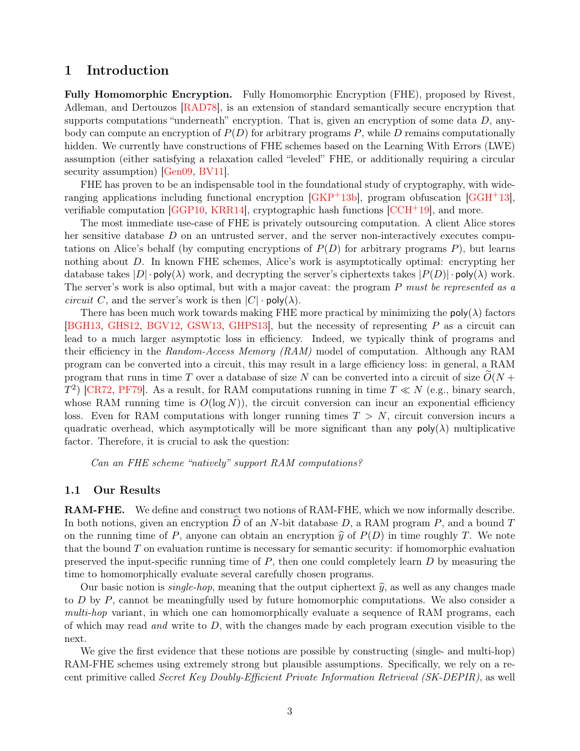## <span id="page-2-0"></span>1 Introduction

Fully Homomorphic Encryption. Fully Homomorphic Encryption (FHE), proposed by Rivest, Adleman, and Dertouzos [\[RAD78\]](#page-51-1), is an extension of standard semantically secure encryption that supports computations "underneath" encryption. That is, given an encryption of some data  $D$ , anybody can compute an encryption of  $P(D)$  for arbitrary programs P, while D remains computationally hidden. We currently have constructions of FHE schemes based on the Learning With Errors (LWE) assumption (either satisfying a relaxation called "leveled" FHE, or additionally requiring a circular security assumption) [\[Gen09,](#page-49-0) [BV11\]](#page-49-1).

FHE has proven to be an indispensable tool in the foundational study of cryptography, with wideranging applications including functional encryption  $\text{GKP}^+13b$ , program obfuscation  $\text{GGH}^+13\text{,}$ verifiable computation  $[GGP10, KRR14]$  $[GGP10, KRR14]$  $[GGP10, KRR14]$ , cryptographic hash functions  $[CCH^+19]$  $[CCH^+19]$ , and more.

The most immediate use-case of FHE is privately outsourcing computation. A client Alice stores her sensitive database  $D$  on an untrusted server, and the server non-interactively executes computations on Alice's behalf (by computing encryptions of  $P(D)$  for arbitrary programs P), but learns nothing about D. In known FHE schemes, Alice's work is asymptotically optimal: encrypting her database takes  $|D| \cdot \text{poly}(\lambda)$  work, and decrypting the server's ciphertexts takes  $|P(D)| \cdot \text{poly}(\lambda)$  work. The server's work is also optimal, but with a major caveat: the program P must be represented as a *circuit C*, and the server's work is then  $|C| \cdot \text{poly}(\lambda)$ .

There has been much work towards making FHE more practical by minimizing the  $poly(\lambda)$  factors [\[BGH13,](#page-48-0) [GHS12,](#page-50-1) [BGV12,](#page-48-1) [GSW13,](#page-50-2) [GHPS13\]](#page-50-3), but the necessity of representing P as a circuit can lead to a much larger asymptotic loss in efficiency. Indeed, we typically think of programs and their efficiency in the Random-Access Memory (RAM) model of computation. Although any RAM program can be converted into a circuit, this may result in a large efficiency loss: in general, a RAM program that runs in time T over a database of size N can be converted into a circuit of size  $O(N +$  $T^2$ ) [\[CR72,](#page-49-5) [PF79\]](#page-51-3). As a result, for RAM computations running in time  $T \ll N$  (e.g., binary search, whose RAM running time is  $O(\log N)$ , the circuit conversion can incur an exponential efficiency loss. Even for RAM computations with longer running times  $T > N$ , circuit conversion incurs a quadratic overhead, which asymptotically will be more significant than any  $poly(\lambda)$  multiplicative factor. Therefore, it is crucial to ask the question:

Can an FHE scheme "natively" support RAM computations?

#### <span id="page-2-1"></span>1.1 Our Results

RAM-FHE. We define and construct two notions of RAM-FHE, which we now informally describe. In both notions, given an encryption  $\overline{D}$  of an N-bit database D, a RAM program P, and a bound T on the running time of P, anyone can obtain an encryption  $\hat{y}$  of  $P(D)$  in time roughly T. We note that the bound  $T$  on evaluation runtime is necessary for semantic security: if homomorphic evaluation preserved the input-specific running time of  $P$ , then one could completely learn  $D$  by measuring the time to homomorphically evaluate several carefully chosen programs.

Our basic notion is *single-hop*, meaning that the output ciphertext  $\hat{y}$ , as well as any changes made to  $D$  by  $P$ , cannot be meaningfully used by future homomorphic computations. We also consider a multi-hop variant, in which one can homomorphically evaluate a sequence of RAM programs, each of which may read *and* write to  $D$ , with the changes made by each program execution visible to the next.

We give the first evidence that these notions are possible by constructing (single- and multi-hop) RAM-FHE schemes using extremely strong but plausible assumptions. Specifically, we rely on a recent primitive called Secret Key Doubly-Efficient Private Information Retrieval (SK-DEPIR), as well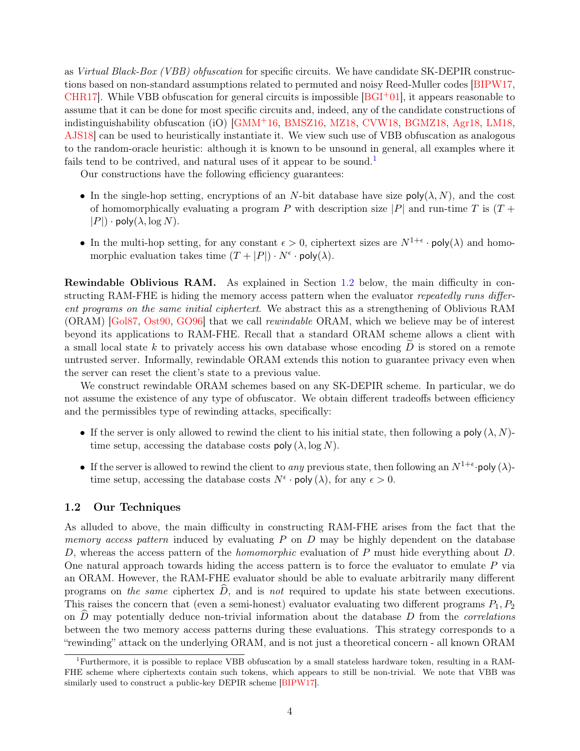as Virtual Black-Box (VBB) obfuscation for specific circuits. We have candidate SK-DEPIR constructions based on non-standard assumptions related to permuted and noisy Reed-Muller codes [\[BIPW17,](#page-49-6) CHR17. While VBB obfuscation for general circuits is impossible  $[**BGI** + 01]$ , it appears reasonable to assume that it can be done for most specific circuits and, indeed, any of the candidate constructions of indistinguishability obfuscation (iO) [\[GMM](#page-50-4)+16, [BMSZ16,](#page-49-8) [MZ18,](#page-51-4) [CVW18,](#page-49-9) [BGMZ18,](#page-48-3) [Agr18,](#page-48-4) [LM18,](#page-51-5) [AJS18\]](#page-48-5) can be used to heuristically instantiate it. We view such use of VBB obfuscation as analogous to the random-oracle heuristic: although it is known to be unsound in general, all examples where it fails tend to be contrived, and natural uses of it appear to be sound.<sup>[1](#page-3-1)</sup>

Our constructions have the following efficiency guarantees:

- In the single-hop setting, encryptions of an N-bit database have size  $\text{poly}(\lambda, N)$ , and the cost of homomorphically evaluating a program P with description size |P| and run-time T is  $(T +$  $|P|$ ) · poly $(\lambda, \log N)$ .
- In the multi-hop setting, for any constant  $\epsilon > 0$ , ciphertext sizes are  $N^{1+\epsilon}$  · poly( $\lambda$ ) and homomorphic evaluation takes time  $(T + |P|) \cdot N^{\epsilon} \cdot \text{poly}(\lambda)$ .

Rewindable Oblivious RAM. As explained in Section [1.2](#page-3-0) below, the main difficulty in constructing RAM-FHE is hiding the memory access pattern when the evaluator repeatedly runs different programs on the same initial ciphertext. We abstract this as a strengthening of Oblivious RAM (ORAM) [\[Gol87,](#page-50-5) [Ost90,](#page-51-6) [GO96\]](#page-50-6) that we call rewindable ORAM, which we believe may be of interest beyond its applications to RAM-FHE. Recall that a standard ORAM scheme allows a client with a small local state k to privately access his own database whose encoding  $D$  is stored on a remote untrusted server. Informally, rewindable ORAM extends this notion to guarantee privacy even when the server can reset the client's state to a previous value.

We construct rewindable ORAM schemes based on any SK-DEPIR scheme. In particular, we do not assume the existence of any type of obfuscator. We obtain different tradeoffs between efficiency and the permissibles type of rewinding attacks, specifically:

- If the server is only allowed to rewind the client to his initial state, then following a poly  $(\lambda, N)$ time setup, accessing the database costs poly  $(\lambda, \log N)$ .
- If the server is allowed to rewind the client to any previous state, then following an  $N^{1+\epsilon}$  poly ( $\lambda$ )time setup, accessing the database costs  $N^{\epsilon} \cdot \text{poly}(\lambda)$ , for any  $\epsilon > 0$ .

## <span id="page-3-0"></span>1.2 Our Techniques

As alluded to above, the main difficulty in constructing RAM-FHE arises from the fact that the *memory access pattern* induced by evaluating  $P$  on  $D$  may be highly dependent on the database D, whereas the access pattern of the *homomorphic* evaluation of P must hide everything about D. One natural approach towards hiding the access pattern is to force the evaluator to emulate P via an ORAM. However, the RAM-FHE evaluator should be able to evaluate arbitrarily many different programs on the same ciphertex  $\overline{D}$ , and is not required to update his state between executions. This raises the concern that (even a semi-honest) evaluator evaluating two different programs  $P_1, P_2$ on  $\overline{D}$  may potentially deduce non-trivial information about the database  $\overline{D}$  from the *correlations* between the two memory access patterns during these evaluations. This strategy corresponds to a "rewinding" attack on the underlying ORAM, and is not just a theoretical concern - all known ORAM

<span id="page-3-1"></span><sup>1</sup>Furthermore, it is possible to replace VBB obfuscation by a small stateless hardware token, resulting in a RAM-FHE scheme where ciphertexts contain such tokens, which appears to still be non-trivial. We note that VBB was similarly used to construct a public-key DEPIR scheme [\[BIPW17\]](#page-49-6).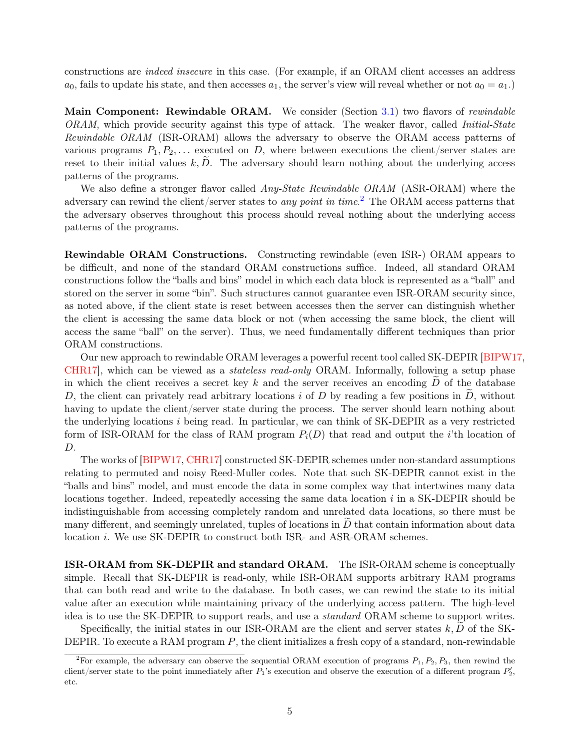constructions are indeed insecure in this case. (For example, if an ORAM client accesses an address  $a_0$ , fails to update his state, and then accesses  $a_1$ , the server's view will reveal whether or not  $a_0 = a_1$ .)

Main Component: Rewindable ORAM. We consider (Section [3.1\)](#page-11-1) two flavors of rewindable ORAM, which provide security against this type of attack. The weaker flavor, called *Initial-State* Rewindable ORAM (ISR-ORAM) allows the adversary to observe the ORAM access patterns of various programs  $P_1, P_2, \ldots$  executed on D, where between executions the client/server states are reset to their initial values  $k, D$ . The adversary should learn nothing about the underlying access patterns of the programs.

We also define a stronger flavor called  $Any\text{-}State\; Rewindable\; ORAM\; (ASR\text{-}ORAM)$  where the adversary can rewind the client/server states to *any point in time*.<sup>[2](#page-4-0)</sup> The ORAM access patterns that the adversary observes throughout this process should reveal nothing about the underlying access patterns of the programs.

Rewindable ORAM Constructions. Constructing rewindable (even ISR-) ORAM appears to be difficult, and none of the standard ORAM constructions suffice. Indeed, all standard ORAM constructions follow the "balls and bins" model in which each data block is represented as a "ball" and stored on the server in some "bin". Such structures cannot guarantee even ISR-ORAM security since, as noted above, if the client state is reset between accesses then the server can distinguish whether the client is accessing the same data block or not (when accessing the same block, the client will access the same "ball" on the server). Thus, we need fundamentally different techniques than prior ORAM constructions.

Our new approach to rewindable ORAM leverages a powerful recent tool called SK-DEPIR [\[BIPW17,](#page-49-6) [CHR17\]](#page-49-7), which can be viewed as a stateless read-only ORAM. Informally, following a setup phase in which the client receives a secret key k and the server receives an encoding  $D$  of the database D, the client can privately read arbitrary locations i of D by reading a few positions in D, without having to update the client/server state during the process. The server should learn nothing about the underlying locations i being read. In particular, we can think of SK-DEPIR as a very restricted form of ISR-ORAM for the class of RAM program  $P_i(D)$  that read and output the *i*'th location of D.

The works of [\[BIPW17,](#page-49-6) [CHR17\]](#page-49-7) constructed SK-DEPIR schemes under non-standard assumptions relating to permuted and noisy Reed-Muller codes. Note that such SK-DEPIR cannot exist in the "balls and bins" model, and must encode the data in some complex way that intertwines many data locations together. Indeed, repeatedly accessing the same data location  $i$  in a SK-DEPIR should be indistinguishable from accessing completely random and unrelated data locations, so there must be many different, and seemingly unrelated, tuples of locations in  $\overline{D}$  that contain information about data location i. We use SK-DEPIR to construct both ISR- and ASR-ORAM schemes.

ISR-ORAM from SK-DEPIR and standard ORAM. The ISR-ORAM scheme is conceptually simple. Recall that SK-DEPIR is read-only, while ISR-ORAM supports arbitrary RAM programs that can both read and write to the database. In both cases, we can rewind the state to its initial value after an execution while maintaining privacy of the underlying access pattern. The high-level idea is to use the SK-DEPIR to support reads, and use a standard ORAM scheme to support writes.

Specifically, the initial states in our ISR-ORAM are the client and server states  $k, D$  of the SK-DEPIR. To execute a RAM program  $P$ , the client initializes a fresh copy of a standard, non-rewindable

<span id="page-4-0"></span><sup>&</sup>lt;sup>2</sup>For example, the adversary can observe the sequential ORAM execution of programs  $P_1, P_2, P_3$ , then rewind the client/server state to the point immediately after  $P_1$ 's execution and observe the execution of a different program  $P'_2$ , etc.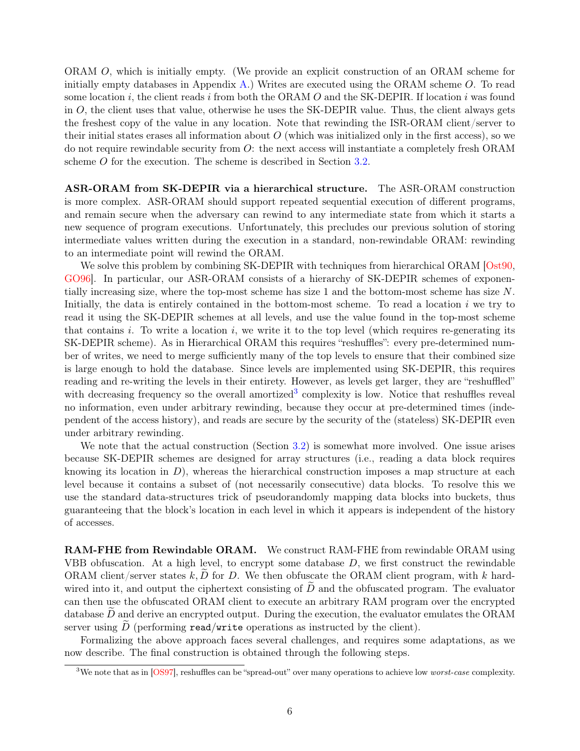ORAM O, which is initially empty. (We provide an explicit construction of an ORAM scheme for initially empty databases in Appendix [A.](#page-51-0)) Writes are executed using the ORAM scheme O. To read some location i, the client reads i from both the ORAM  $O$  and the SK-DEPIR. If location i was found in  $O$ , the client uses that value, otherwise he uses the SK-DEPIR value. Thus, the client always gets the freshest copy of the value in any location. Note that rewinding the ISR-ORAM client/server to their initial states erases all information about  $O$  (which was initialized only in the first access), so we do not require rewindable security from  $O$ : the next access will instantiate a completely fresh ORAM scheme O for the execution. The scheme is described in Section [3.2.](#page-13-0)

ASR-ORAM from SK-DEPIR via a hierarchical structure. The ASR-ORAM construction is more complex. ASR-ORAM should support repeated sequential execution of different programs, and remain secure when the adversary can rewind to any intermediate state from which it starts a new sequence of program executions. Unfortunately, this precludes our previous solution of storing intermediate values written during the execution in a standard, non-rewindable ORAM: rewinding to an intermediate point will rewind the ORAM.

We solve this problem by combining SK-DEPIR with techniques from hierarchical ORAM [\[Ost90,](#page-51-6) [GO96\]](#page-50-6). In particular, our ASR-ORAM consists of a hierarchy of SK-DEPIR schemes of exponentially increasing size, where the top-most scheme has size 1 and the bottom-most scheme has size N. Initially, the data is entirely contained in the bottom-most scheme. To read a location  $i$  we try to read it using the SK-DEPIR schemes at all levels, and use the value found in the top-most scheme that contains i. To write a location i, we write it to the top level (which requires re-generating its SK-DEPIR scheme). As in Hierarchical ORAM this requires "reshuffles": every pre-determined number of writes, we need to merge sufficiently many of the top levels to ensure that their combined size is large enough to hold the database. Since levels are implemented using SK-DEPIR, this requires reading and re-writing the levels in their entirety. However, as levels get larger, they are "reshuffled" with decreasing frequency so the overall amortized<sup>[3](#page-5-0)</sup> complexity is low. Notice that reshuffles reveal no information, even under arbitrary rewinding, because they occur at pre-determined times (independent of the access history), and reads are secure by the security of the (stateless) SK-DEPIR even under arbitrary rewinding.

We note that the actual construction (Section [3.2\)](#page-13-0) is somewhat more involved. One issue arises because SK-DEPIR schemes are designed for array structures (i.e., reading a data block requires knowing its location in  $D$ ), whereas the hierarchical construction imposes a map structure at each level because it contains a subset of (not necessarily consecutive) data blocks. To resolve this we use the standard data-structures trick of pseudorandomly mapping data blocks into buckets, thus guaranteeing that the block's location in each level in which it appears is independent of the history of accesses.

RAM-FHE from Rewindable ORAM. We construct RAM-FHE from rewindable ORAM using VBB obfuscation. At a high level, to encrypt some database  $D$ , we first construct the rewindable ORAM client/server states k,  $\tilde{D}$  for D. We then obfuscate the ORAM client program, with k hardwired into it, and output the ciphertext consisting of  $\overline{D}$  and the obfuscated program. The evaluator can then use the obfuscated ORAM client to execute an arbitrary RAM program over the encrypted database  $D$  and derive an encrypted output. During the execution, the evaluator emulates the ORAM server using  $D$  (performing read/write operations as instructed by the client).

Formalizing the above approach faces several challenges, and requires some adaptations, as we now describe. The final construction is obtained through the following steps.

<span id="page-5-0"></span><sup>&</sup>lt;sup>3</sup>We note that as in [\[OS97\]](#page-51-7), reshuffles can be "spread-out" over many operations to achieve low *worst-case* complexity.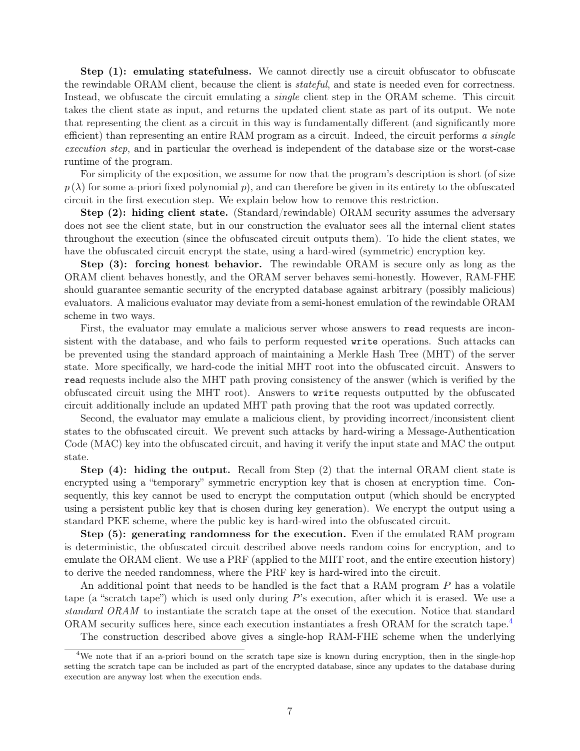Step (1): emulating statefulness. We cannot directly use a circuit obfuscator to obfuscate the rewindable ORAM client, because the client is *stateful*, and state is needed even for correctness. Instead, we obfuscate the circuit emulating a *single* client step in the ORAM scheme. This circuit takes the client state as input, and returns the updated client state as part of its output. We note that representing the client as a circuit in this way is fundamentally different (and significantly more efficient) than representing an entire RAM program as a circuit. Indeed, the circuit performs a single execution step, and in particular the overhead is independent of the database size or the worst-case runtime of the program.

For simplicity of the exposition, we assume for now that the program's description is short (of size  $p(\lambda)$  for some a-priori fixed polynomial p), and can therefore be given in its entirety to the obfuscated circuit in the first execution step. We explain below how to remove this restriction.

Step (2): hiding client state. (Standard/rewindable) ORAM security assumes the adversary does not see the client state, but in our construction the evaluator sees all the internal client states throughout the execution (since the obfuscated circuit outputs them). To hide the client states, we have the obfuscated circuit encrypt the state, using a hard-wired (symmetric) encryption key.

Step (3): forcing honest behavior. The rewindable ORAM is secure only as long as the ORAM client behaves honestly, and the ORAM server behaves semi-honestly. However, RAM-FHE should guarantee semantic security of the encrypted database against arbitrary (possibly malicious) evaluators. A malicious evaluator may deviate from a semi-honest emulation of the rewindable ORAM scheme in two ways.

First, the evaluator may emulate a malicious server whose answers to read requests are inconsistent with the database, and who fails to perform requested write operations. Such attacks can be prevented using the standard approach of maintaining a Merkle Hash Tree (MHT) of the server state. More specifically, we hard-code the initial MHT root into the obfuscated circuit. Answers to read requests include also the MHT path proving consistency of the answer (which is verified by the obfuscated circuit using the MHT root). Answers to write requests outputted by the obfuscated circuit additionally include an updated MHT path proving that the root was updated correctly.

Second, the evaluator may emulate a malicious client, by providing incorrect/inconsistent client states to the obfuscated circuit. We prevent such attacks by hard-wiring a Message-Authentication Code (MAC) key into the obfuscated circuit, and having it verify the input state and MAC the output state.

Step (4): hiding the output. Recall from Step (2) that the internal ORAM client state is encrypted using a "temporary" symmetric encryption key that is chosen at encryption time. Consequently, this key cannot be used to encrypt the computation output (which should be encrypted using a persistent public key that is chosen during key generation). We encrypt the output using a standard PKE scheme, where the public key is hard-wired into the obfuscated circuit.

Step (5): generating randomness for the execution. Even if the emulated RAM program is deterministic, the obfuscated circuit described above needs random coins for encryption, and to emulate the ORAM client. We use a PRF (applied to the MHT root, and the entire execution history) to derive the needed randomness, where the PRF key is hard-wired into the circuit.

An additional point that needs to be handled is the fact that a RAM program P has a volatile tape (a "scratch tape") which is used only during  $P$ 's execution, after which it is erased. We use a standard ORAM to instantiate the scratch tape at the onset of the execution. Notice that standard ORAM security suffices here, since each execution instantiates a fresh ORAM for the scratch tape.<sup>[4](#page-6-0)</sup>

<span id="page-6-0"></span>The construction described above gives a single-hop RAM-FHE scheme when the underlying

<sup>&</sup>lt;sup>4</sup>We note that if an a-priori bound on the scratch tape size is known during encryption, then in the single-hop setting the scratch tape can be included as part of the encrypted database, since any updates to the database during execution are anyway lost when the execution ends.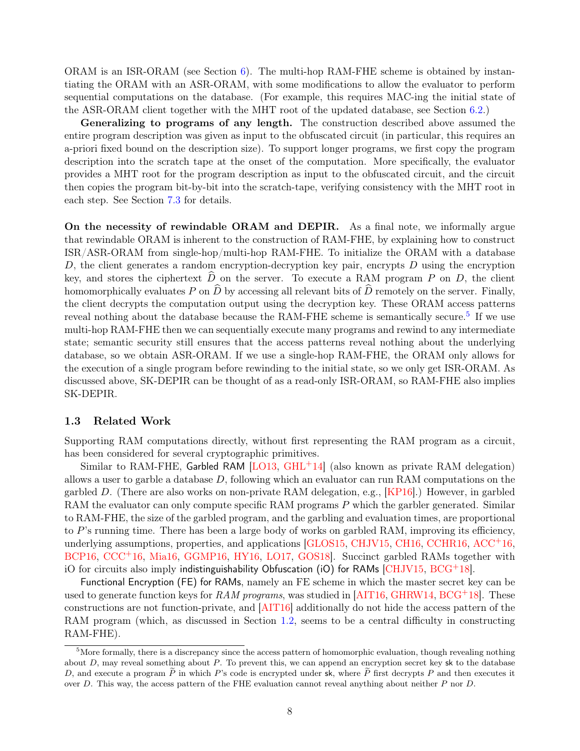ORAM is an ISR-ORAM (see Section [6\)](#page-34-0). The multi-hop RAM-FHE scheme is obtained by instantiating the ORAM with an ASR-ORAM, with some modifications to allow the evaluator to perform sequential computations on the database. (For example, this requires MAC-ing the initial state of the ASR-ORAM client together with the MHT root of the updated database, see Section [6.2.](#page-37-0))

Generalizing to programs of any length. The construction described above assumed the entire program description was given as input to the obfuscated circuit (in particular, this requires an a-priori fixed bound on the description size). To support longer programs, we first copy the program description into the scratch tape at the onset of the computation. More specifically, the evaluator provides a MHT root for the program description as input to the obfuscated circuit, and the circuit then copies the program bit-by-bit into the scratch-tape, verifying consistency with the MHT root in each step. See Section [7.3](#page-45-1) for details.

On the necessity of rewindable ORAM and DEPIR. As a final note, we informally argue that rewindable ORAM is inherent to the construction of RAM-FHE, by explaining how to construct ISR/ASR-ORAM from single-hop/multi-hop RAM-FHE. To initialize the ORAM with a database  $D$ , the client generates a random encryption-decryption key pair, encrypts  $D$  using the encryption key, and stores the ciphertext  $\hat{D}$  on the server. To execute a RAM program P on D, the client homomorphically evaluates P on  $\widehat{D}$  by accessing all relevant bits of  $\widehat{D}$  remotely on the server. Finally, the client decrypts the computation output using the decryption key. These ORAM access patterns reveal nothing about the database because the RAM-FHE scheme is semantically secure.<sup>[5](#page-7-1)</sup> If we use multi-hop RAM-FHE then we can sequentially execute many programs and rewind to any intermediate state; semantic security still ensures that the access patterns reveal nothing about the underlying database, so we obtain ASR-ORAM. If we use a single-hop RAM-FHE, the ORAM only allows for the execution of a single program before rewinding to the initial state, so we only get ISR-ORAM. As discussed above, SK-DEPIR can be thought of as a read-only ISR-ORAM, so RAM-FHE also implies SK-DEPIR.

### <span id="page-7-0"></span>1.3 Related Work

Supporting RAM computations directly, without first representing the RAM program as a circuit, has been considered for several cryptographic primitives.

Similar to RAM-FHE, Garbled RAM [\[LO13,](#page-51-8) [GHL](#page-50-7)+14] (also known as private RAM delegation) allows a user to garble a database D, following which an evaluator can run RAM computations on the garbled D. (There are also works on non-private RAM delegation, e.g., [\[KP16\]](#page-51-9).) However, in garbled RAM the evaluator can only compute specific RAM programs P which the garbler generated. Similar to RAM-FHE, the size of the garbled program, and the garbling and evaluation times, are proportional to  $P$ 's running time. There has been a large body of works on garbled RAM, improving its efficiency, underlying assumptions, properties, and applications [\[GLOS15,](#page-50-8) [CHJV15,](#page-49-10) [CH16,](#page-49-11) [CCHR16,](#page-49-12) [ACC](#page-48-6)+16, [BCP16,](#page-48-7) [CCC](#page-49-13)<sup>+</sup>16, [Mia16,](#page-51-10) [GGMP16,](#page-49-14) [HY16,](#page-50-9) [LO17,](#page-51-11) GOS18. Succinct garbled RAMs together with iO for circuits also imply indistinguishability Obfuscation (iO) for RAMs  $[CHJVI5, BCG+18]$  $[CHJVI5, BCG+18]$  $[CHJVI5, BCG+18]$ .

Functional Encryption (FE) for RAMs, namely an FE scheme in which the master secret key can be used to generate function keys for RAM programs, was studied in [\[AIT16,](#page-48-9) [GHRW14,](#page-50-11) [BCG](#page-48-8)<sup>+</sup>18]. These constructions are not function-private, and [\[AIT16\]](#page-48-9) additionally do not hide the access pattern of the RAM program (which, as discussed in Section [1.2,](#page-3-0) seems to be a central difficulty in constructing RAM-FHE).

<span id="page-7-1"></span> $5$ More formally, there is a discrepancy since the access pattern of homomorphic evaluation, though revealing nothing about  $D$ , may reveal something about  $P$ . To prevent this, we can append an encryption secret key sk to the database D, and execute a program  $\tilde{P}$  in which P's code is encrypted under sk, where  $\tilde{P}$  first decrypts P and then executes it over D. This way, the access pattern of the FHE evaluation cannot reveal anything about neither P nor D.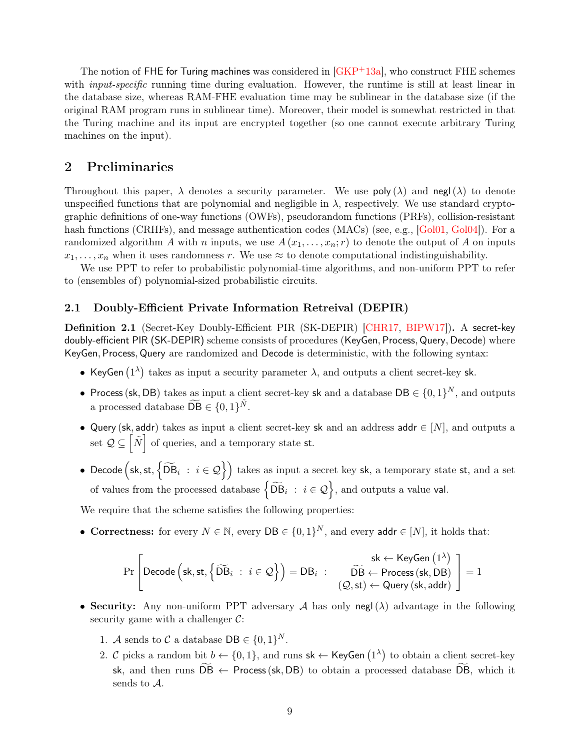The notion of FHE for Turing machines was considered in  $[GKP<sup>+</sup>13a]$  $[GKP<sup>+</sup>13a]$ , who construct FHE schemes with *input-specific* running time during evaluation. However, the runtime is still at least linear in the database size, whereas RAM-FHE evaluation time may be sublinear in the database size (if the original RAM program runs in sublinear time). Moreover, their model is somewhat restricted in that the Turing machine and its input are encrypted together (so one cannot execute arbitrary Turing machines on the input).

## <span id="page-8-0"></span>2 Preliminaries

Throughout this paper,  $\lambda$  denotes a security parameter. We use poly  $(\lambda)$  and negl( $\lambda$ ) to denote unspecified functions that are polynomial and negligible in  $\lambda$ , respectively. We use standard cryptographic definitions of one-way functions (OWFs), pseudorandom functions (PRFs), collision-resistant hash functions (CRHFs), and message authentication codes (MACs) (see, e.g., [\[Gol01,](#page-50-13) [Gol04\]](#page-50-14)). For a randomized algorithm A with n inputs, we use  $A(x_1, \ldots, x_n; r)$  to denote the output of A on inputs  $x_1, \ldots, x_n$  when it uses randomness r. We use  $\approx$  to denote computational indistinguishability.

We use PPT to refer to probabilistic polynomial-time algorithms, and non-uniform PPT to refer to (ensembles of) polynomial-sized probabilistic circuits.

## <span id="page-8-1"></span>2.1 Doubly-Efficient Private Information Retreival (DEPIR)

<span id="page-8-2"></span>Definition 2.1 (Secret-Key Doubly-Efficient PIR (SK-DEPIR) [\[CHR17,](#page-49-7) [BIPW17\]](#page-49-6)). A secret-key doubly-efficient PIR (SK-DEPIR) scheme consists of procedures (KeyGen, Process, Query, Decode) where KeyGen, Process, Query are randomized and Decode is deterministic, with the following syntax:

- KeyGen  $(1^{\lambda})$  takes as input a security parameter  $\lambda$ , and outputs a client secret-key sk.
- Process (sk, DB) takes as input a client secret-key sk and a database  $DB \in \{0,1\}^N$ , and outputs a processed database  $\widetilde{DB} \in \{0, 1\}^{\tilde{N}}$ .
- Query (sk, addr) takes as input a client secret-key sk and an address addr  $\in$  [N], and outputs a set  $\mathcal{Q} \subseteq \left\lceil \tilde{N} \right\rceil$  of queries, and a temporary state st.
- Decode  $\left($ sk, st,  $\left\{\widetilde{\textrm{DB}}_{i}\;:\;i\in\mathcal{Q}\right\}\right)$  takes as input a secret key sk, a temporary state st, and a set of values from the processed database  $\left\{\widetilde{\mathsf{DB}}_i : i \in \mathcal{Q}\right\}$ , and outputs a value val.

We require that the scheme satisfies the following properties:

• Correctness: for every  $N \in \mathbb{N}$ , every  $DB \in \{0,1\}^N$ , and every addr  $\in [N]$ , it holds that:

$$
\Pr\left[\text{Decode}\left(\text{sk},\text{st},\left\{\widetilde{\text{DB}}_i \ : \ i\in\mathcal{Q}\right\}\right)=\text{DB}_i \ : \quad \begin{array}{c} \text{sk} \gets \text{KeyGen}\left(1^{\lambda}\right) \\ \widetilde{\text{DB}} \gets \text{Process}\left(\text{sk},\text{DB}\right) \\ \left(\mathcal{Q},\text{st}\right) \gets \text{Query}\left(\text{sk},\text{addr}\right) \end{array}\right]=1
$$

- <span id="page-8-3"></span>• Security: Any non-uniform PPT adversary A has only negl( $\lambda$ ) advantage in the following security game with a challenger  $\mathcal{C}$ :
	- 1. A sends to C a database DB  $\in \{0,1\}^N$ .
	- 2. C picks a random bit  $b \leftarrow \{0, 1\}$ , and runs sk  $\leftarrow$  KeyGen  $(1^{\lambda})$  to obtain a client secret-key sk, and then runs  $\widetilde{DB} \leftarrow$  Process(sk, DB) to obtain a processed database  $\widetilde{DB}$ , which it sends to A.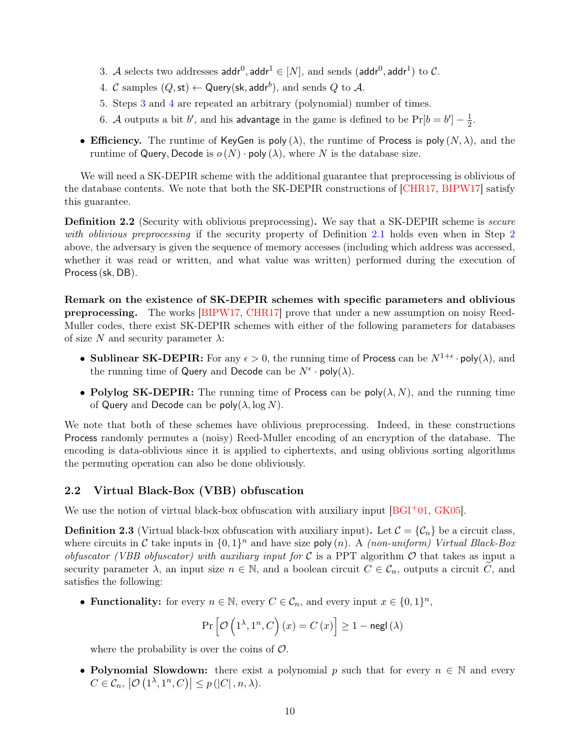- <span id="page-9-1"></span>3. A selects two addresses  $\text{addr}^0, \text{addr}^1 \in [N],$  and sends  $(\text{addr}^0, \text{addr}^1)$  to  $\mathcal{C}.$
- <span id="page-9-2"></span>4. C samples  $(Q, st) \leftarrow$  Query(sk, addr<sup>b</sup>), and sends Q to A.
- 5. Steps [3](#page-9-1) and [4](#page-9-2) are repeated an arbitrary (polynomial) number of times.
- 6. A outputs a bit b', and his advantage in the game is defined to be  $Pr[b = b'] \frac{1}{2}$  $\frac{1}{2}$ .
- Efficiency. The runtime of KeyGen is poly  $(\lambda)$ , the runtime of Process is poly  $(N, \lambda)$ , and the runtime of Query, Decode is  $o(N) \cdot \text{poly}(\lambda)$ , where N is the database size.

We will need a SK-DEPIR scheme with the additional guarantee that preprocessing is oblivious of the database contents. We note that both the SK-DEPIR constructions of [\[CHR17,](#page-49-7) [BIPW17\]](#page-49-6) satisfy this guarantee.

<span id="page-9-3"></span>**Definition 2.2** (Security with oblivious preprocessing). We say that a SK-DEPIR scheme is *secure* with oblivious preprocessing if the security property of Definition [2.1](#page-8-2) holds even when in Step [2](#page-8-3) above, the adversary is given the sequence of memory accesses (including which address was accessed, whether it was read or written, and what value was written) performed during the execution of Process(sk, DB).

Remark on the existence of SK-DEPIR schemes with specific parameters and oblivious preprocessing. The works [\[BIPW17,](#page-49-6) [CHR17\]](#page-49-7) prove that under a new assumption on noisy Reed-Muller codes, there exist SK-DEPIR schemes with either of the following parameters for databases of size N and security parameter  $\lambda$ :

- Sublinear SK-DEPIR: For any  $\epsilon > 0$ , the running time of Process can be  $N^{1+\epsilon}$  · poly( $\lambda$ ), and the running time of Query and Decode can be  $N^{\epsilon} \cdot \text{poly}(\lambda)$ .
- Polylog SK-DEPIR: The running time of Process can be  $\text{poly}(\lambda, N)$ , and the running time of Query and Decode can be  $poly(\lambda, \log N)$ .

We note that both of these schemes have oblivious preprocessing. Indeed, in these constructions Process randomly permutes a (noisy) Reed-Muller encoding of an encryption of the database. The encoding is data-oblivious since it is applied to ciphertexts, and using oblivious sorting algorithms the permuting operation can also be done obliviously.

### <span id="page-9-0"></span>2.2 Virtual Black-Box (VBB) obfuscation

We use the notion of virtual black-box obfuscation with auxiliary input  $[**BGI** + 01, **GK05**].$ 

<span id="page-9-4"></span>**Definition 2.3** (Virtual black-box obfuscation with auxiliary input). Let  $\mathcal{C} = {\mathcal{C}_n}$  be a circuit class, where circuits in C take inputs in  $\{0,1\}^n$  and have size poly (n). A (non-uniform) Virtual Black-Box obfuscator (VBB obfuscator) with auxiliary input for C is a PPT algorithm  $\mathcal O$  that takes as input a security parameter  $\lambda$ , an input size  $n \in \mathbb{N}$ , and a boolean circuit  $C \in \mathcal{C}_n$ , outputs a circuit C, and satisfies the following:

• Functionality: for every  $n \in \mathbb{N}$ , every  $C \in \mathcal{C}_n$ , and every input  $x \in \{0,1\}^n$ ,

$$
\Pr\left[\mathcal{O}\left(1^{\lambda}, 1^n, C\right)(x) = C\left(x\right)\right] \ge 1 - \mathsf{negl}\left(\lambda\right)
$$

where the probability is over the coins of  $\mathcal{O}$ .

• Polynomial Slowdown: there exist a polynomial p such that for every  $n \in \mathbb{N}$  and every  $C \in \mathcal{C}_n$ ,  $|\mathcal{O}(1^{\lambda}, 1^n, C)| \leq p(|C|, n, \lambda)$ .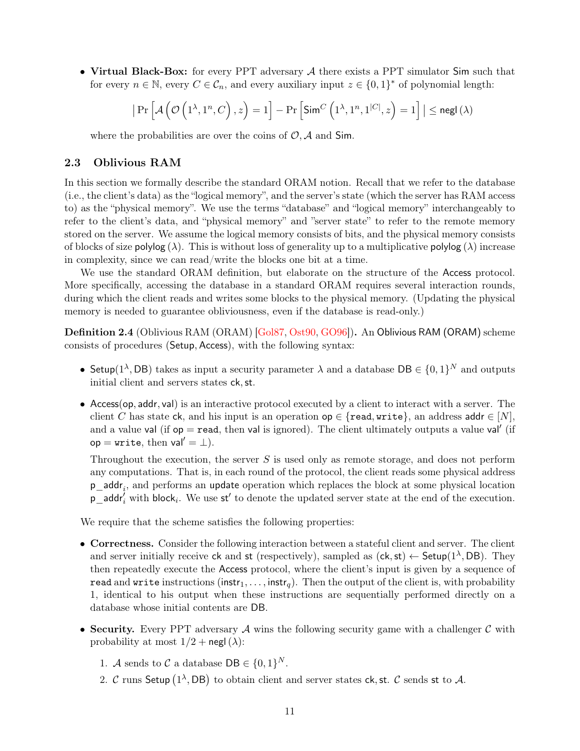• Virtual Black-Box: for every PPT adversary  $A$  there exists a PPT simulator Sim such that for every  $n \in \mathbb{N}$ , every  $C \in \mathcal{C}_n$ , and every auxiliary input  $z \in \{0,1\}^*$  of polynomial length:

$$
\left| \Pr\left[ \mathcal{A}\left( \mathcal{O}\left(1^{\lambda}, 1^n, C \right), z \right) = 1 \right] - \Pr\left[ \mathrm{Sim}^C\left(1^{\lambda}, 1^n, 1^{|C|}, z \right) = 1 \right] \right| \le \mathsf{negl}\left(\lambda\right)
$$

where the probabilities are over the coins of  $\mathcal{O}, \mathcal{A}$  and Sim.

### <span id="page-10-0"></span>2.3 Oblivious RAM

In this section we formally describe the standard ORAM notion. Recall that we refer to the database (i.e., the client's data) as the "logical memory", and the server's state (which the server has RAM access to) as the "physical memory". We use the terms "database" and "logical memory" interchangeably to refer to the client's data, and "physical memory" and "server state" to refer to the remote memory stored on the server. We assume the logical memory consists of bits, and the physical memory consists of blocks of size polylog  $(\lambda)$ . This is without loss of generality up to a multiplicative polylog  $(\lambda)$  increase in complexity, since we can read/write the blocks one bit at a time.

We use the standard ORAM definition, but elaborate on the structure of the Access protocol. More specifically, accessing the database in a standard ORAM requires several interaction rounds, during which the client reads and writes some blocks to the physical memory. (Updating the physical memory is needed to guarantee obliviousness, even if the database is read-only.)

<span id="page-10-1"></span>Definition 2.4 (Oblivious RAM (ORAM) [\[Gol87,](#page-50-5) [Ost90,](#page-51-6) [GO96\]](#page-50-6)). An Oblivious RAM (ORAM) scheme consists of procedures (Setup, Access), with the following syntax:

- Setup( $1^{\lambda}$ , DB) takes as input a security parameter  $\lambda$  and a database DB  $\in \{0,1\}^N$  and outputs initial client and servers states ck, st.
- Access(op, addr, val) is an interactive protocol executed by a client to interact with a server. The client C has state ck, and his input is an operation op  $\in \{$ read, write $\}$ , an address addr  $\in [N]$ , and a value val (if  $op = \text{read}$ , then val is ignored). The client ultimately outputs a value val' (if op = write, then val' =  $\perp$ ).

Throughout the execution, the server  $S$  is used only as remote storage, and does not perform any computations. That is, in each round of the protocol, the client reads some physical address  $p\_addr_i$ , and performs an update operation which replaces the block at some physical location  $p$ **addr**<sup>*i*</sup> with block<sub>*i*</sub>. We use st<sup>*'*</sup> to denote the updated server state at the end of the execution.

We require that the scheme satisfies the following properties:

- Correctness. Consider the following interaction between a stateful client and server. The client and server initially receive ck and st (respectively), sampled as  $(ck, st) \leftarrow$  Setup $(1^{\lambda}, DB)$ . They then repeatedly execute the Access protocol, where the client's input is given by a sequence of read and write instructions (instr<sub>1</sub>, ..., instr<sub>a</sub>). Then the output of the client is, with probability 1, identical to his output when these instructions are sequentially performed directly on a database whose initial contents are DB.
- <span id="page-10-3"></span><span id="page-10-2"></span>• Security. Every PPT adversary  $\mathcal A$  wins the following security game with a challenger  $\mathcal C$  with probability at most  $1/2 + \text{negl}(\lambda)$ :
	- 1. A sends to C a database DB  $\in \{0,1\}^N$ .
	- 2. C runs Setup ( $1^{\lambda}$ , DB) to obtain client and server states ck, st. C sends st to A.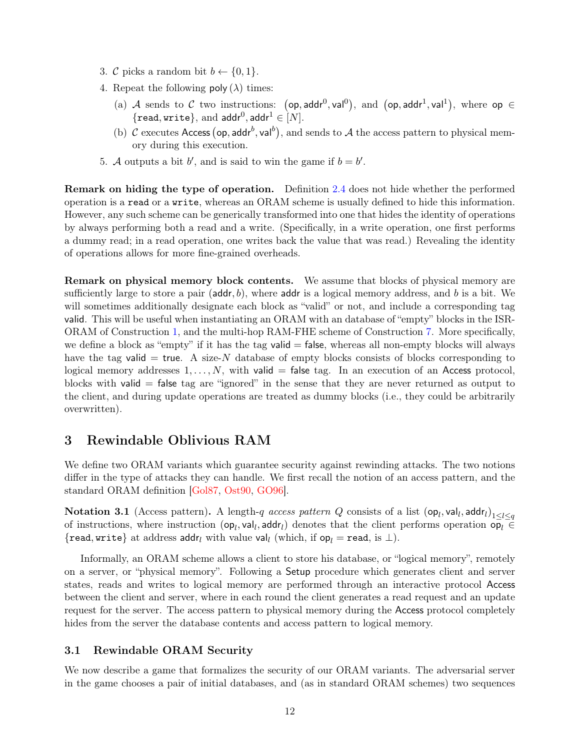- 3. C picks a random bit  $b \leftarrow \{0, 1\}.$
- 4. Repeat the following poly  $(\lambda)$  times:
	- (a) A sends to C two instructions: (op, addr<sup>0</sup>, val<sup>0</sup>), and (op, addr<sup>1</sup>, val<sup>1</sup>), where op  $\in$  ${ \text{read}, \text{write} \}, \text{ and } \text{addr}^0, \text{addr}^1 \in [N].$
	- (b) C executes Access (op, addr<sup>b</sup>, val<sup>b</sup>), and sends to A the access pattern to physical memory during this execution.
- 5. A outputs a bit b', and is said to win the game if  $b = b'$ .

Remark on hiding the type of operation. Definition [2.4](#page-10-1) does not hide whether the performed operation is a read or a write, whereas an ORAM scheme is usually defined to hide this information. However, any such scheme can be generically transformed into one that hides the identity of operations by always performing both a read and a write. (Specifically, in a write operation, one first performs a dummy read; in a read operation, one writes back the value that was read.) Revealing the identity of operations allows for more fine-grained overheads.

Remark on physical memory block contents. We assume that blocks of physical memory are sufficiently large to store a pair  $(\text{addr}, b)$ , where addr is a logical memory address, and b is a bit. We will sometimes additionally designate each block as "valid" or not, and include a corresponding tag valid. This will be useful when instantiating an ORAM with an database of "empty" blocks in the ISR-ORAM of Construction [1,](#page-13-2) and the multi-hop RAM-FHE scheme of Construction [7.](#page-41-1) More specifically, we define a block as "empty" if it has the tag valid  $=$  false, whereas all non-empty blocks will always have the tag valid  $=$  true. A size-N database of empty blocks consists of blocks corresponding to logical memory addresses  $1, \ldots, N$ , with valid = false tag. In an execution of an Access protocol, blocks with valid = false tag are "ignored" in the sense that they are never returned as output to the client, and during update operations are treated as dummy blocks (i.e., they could be arbitrarily overwritten).

## <span id="page-11-0"></span>3 Rewindable Oblivious RAM

We define two ORAM variants which guarantee security against rewinding attacks. The two notions differ in the type of attacks they can handle. We first recall the notion of an access pattern, and the standard ORAM definition [\[Gol87,](#page-50-5) [Ost90,](#page-51-6) [GO96\]](#page-50-6).

Notation 3.1 (Access pattern). A length-q access pattern  $Q$  consists of a list  $(\mathsf{op}_l, \mathsf{val}_l, \mathsf{addr}_l)_{1 \leq l \leq q}$ of instructions, where instruction  $(op_l, val_l, addr_l)$  denotes that the client performs operation  $op_l \in$  ${real, write}$  at address addr<sub>l</sub> with value val<sub>l</sub> (which, if op<sub>l</sub> = read, is ⊥).

Informally, an ORAM scheme allows a client to store his database, or "logical memory", remotely on a server, or "physical memory". Following a Setup procedure which generates client and server states, reads and writes to logical memory are performed through an interactive protocol Access between the client and server, where in each round the client generates a read request and an update request for the server. The access pattern to physical memory during the Access protocol completely hides from the server the database contents and access pattern to logical memory.

## <span id="page-11-1"></span>3.1 Rewindable ORAM Security

We now describe a game that formalizes the security of our ORAM variants. The adversarial server in the game chooses a pair of initial databases, and (as in standard ORAM schemes) two sequences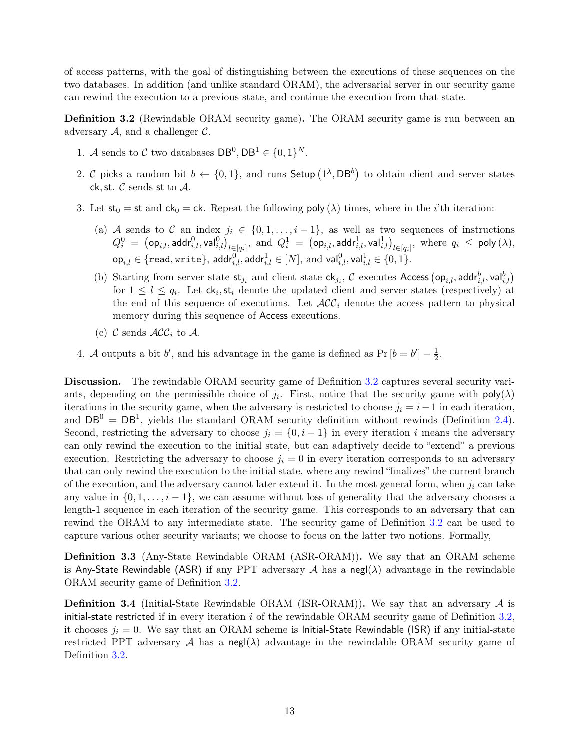of access patterns, with the goal of distinguishing between the executions of these sequences on the two databases. In addition (and unlike standard ORAM), the adversarial server in our security game can rewind the execution to a previous state, and continue the execution from that state.

<span id="page-12-0"></span>Definition 3.2 (Rewindable ORAM security game). The ORAM security game is run between an adversary  $A$ , and a challenger  $C$ .

- 1. A sends to C two databases  $DB^0, DB^1 \in \{0, 1\}^N$ .
- 2. C picks a random bit  $b \leftarrow \{0, 1\}$ , and runs Setup  $(1^{\lambda}, DB^b)$  to obtain client and server states ck, st.  $\mathcal C$  sends st to  $\mathcal A$ .
- <span id="page-12-1"></span>3. Let  $st_0 = st$  and  $ck_0 = ck$ . Repeat the following poly ( $\lambda$ ) times, where in the *i*'th iteration:
	- (a) A sends to C an index  $j_i \in \{0, 1, \ldots, i-1\}$ , as well as two sequences of instructions  $Q_i^0 \ = \ \left(\mathsf{op}_{i,l}, \mathsf{addr}_{i,l}^0, \mathsf{val}_{i,l}^0\right)_{l \in [q_i]}, \ \text{and} \ \ Q_i^1 \ = \ \left(\mathsf{op}_{i,l}, \mathsf{addr}_{i,l}^1, \mathsf{val}_{i,l}^1\right)_{l \in [q_i]}, \ \text{where} \ \ q_i \ \le \ \mathsf{poly}\,(\lambda),$  $\mathsf{op}_{i,l} \in \{\mathtt{read}, \mathtt{write}\},\, \mathsf{addr}_{i,l}^{0}, \mathsf{addr}_{i,l}^{1} \in [N],\, \text{and} \; \mathsf{val}_{i,l}^{0}, \mathsf{val}_{i,l}^{1} \in \{0,1\}.$
	- (b) Starting from server state  $st_{j_i}$  and client state  $ck_{j_i}$ , C executes Access  $(op_{i,l}, addr_{i,l}^b, val_{i,l}^b)$ for  $1 \leq l \leq q_i$ . Let  $ck_i, st_i$  denote the updated client and server states (respectively) at the end of this sequence of executions. Let  $\text{ACC}_i$  denote the access pattern to physical memory during this sequence of Access executions.
	- (c) C sends  $\mathcal{ACC}_i$  to A.
- 4. A outputs a bit b', and his advantage in the game is defined as  $Pr[b = b'] \frac{1}{2}$  $\frac{1}{2}$ .

Discussion. The rewindable ORAM security game of Definition [3.2](#page-12-0) captures several security variants, depending on the permissible choice of  $j_i$ . First, notice that the security game with  $poly(\lambda)$ iterations in the security game, when the adversary is restricted to choose  $j_i = i-1$  in each iteration, and  $DB^0 = DB^1$ , yields the standard ORAM security definition without rewinds (Definition [2.4\)](#page-10-1). Second, restricting the adversary to choose  $j_i = \{0, i - 1\}$  in every iteration i means the adversary can only rewind the execution to the initial state, but can adaptively decide to "extend" a previous execution. Restricting the adversary to choose  $j_i = 0$  in every iteration corresponds to an adversary that can only rewind the execution to the initial state, where any rewind "finalizes" the current branch of the execution, and the adversary cannot later extend it. In the most general form, when  $j_i$  can take any value in  $\{0, 1, \ldots, i-1\}$ , we can assume without loss of generality that the adversary chooses a length-1 sequence in each iteration of the security game. This corresponds to an adversary that can rewind the ORAM to any intermediate state. The security game of Definition [3.2](#page-12-0) can be used to capture various other security variants; we choose to focus on the latter two notions. Formally,

Definition 3.3 (Any-State Rewindable ORAM (ASR-ORAM)). We say that an ORAM scheme is Any-State Rewindable (ASR) if any PPT adversary A has a negl( $\lambda$ ) advantage in the rewindable ORAM security game of Definition [3.2.](#page-12-0)

**Definition 3.4** (Initial-State Rewindable ORAM (ISR-ORAM)). We say that an adversary  $A$  is initial-state restricted if in every iteration  $i$  of the rewindable ORAM security game of Definition [3.2,](#page-12-0) it chooses  $j_i = 0$ . We say that an ORAM scheme is Initial-State Rewindable (ISR) if any initial-state restricted PPT adversary A has a negl( $\lambda$ ) advantage in the rewindable ORAM security game of Definition [3.2.](#page-12-0)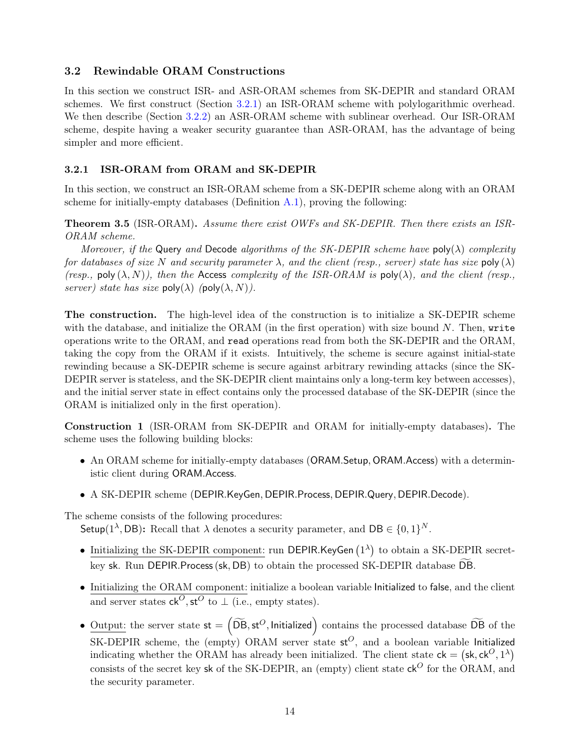## <span id="page-13-0"></span>3.2 Rewindable ORAM Constructions

In this section we construct ISR- and ASR-ORAM schemes from SK-DEPIR and standard ORAM schemes. We first construct (Section [3.2.1\)](#page-13-1) an ISR-ORAM scheme with polylogarithmic overhead. We then describe (Section [3.2.2\)](#page-16-0) an ASR-ORAM scheme with sublinear overhead. Our ISR-ORAM scheme, despite having a weaker security guarantee than ASR-ORAM, has the advantage of being simpler and more efficient.

### <span id="page-13-1"></span>3.2.1 ISR-ORAM from ORAM and SK-DEPIR

In this section, we construct an ISR-ORAM scheme from a SK-DEPIR scheme along with an ORAM scheme for initially-empty databases (Definition  $A.1$ ), proving the following:

<span id="page-13-3"></span>Theorem 3.5 (ISR-ORAM). Assume there exist OWFs and SK-DEPIR. Then there exists an ISR-ORAM scheme.

Moreover, if the Query and Decode algorithms of the SK-DEPIR scheme have  $poly(\lambda)$  complexity for databases of size N and security parameter  $\lambda$ , and the client (resp., server) state has size poly  $(\lambda)$ (resp., poly  $(\lambda, N)$ ), then the Access complexity of the ISR-ORAM is poly( $\lambda$ ), and the client (resp., server) state has size  $\text{poly}(\lambda)$  (poly $(\lambda, N)$ ).

The construction. The high-level idea of the construction is to initialize a SK-DEPIR scheme with the database, and initialize the ORAM (in the first operation) with size bound  $N$ . Then, write operations write to the ORAM, and read operations read from both the SK-DEPIR and the ORAM, taking the copy from the ORAM if it exists. Intuitively, the scheme is secure against initial-state rewinding because a SK-DEPIR scheme is secure against arbitrary rewinding attacks (since the SK-DEPIR server is stateless, and the SK-DEPIR client maintains only a long-term key between accesses), and the initial server state in effect contains only the processed database of the SK-DEPIR (since the ORAM is initialized only in the first operation).

<span id="page-13-2"></span>Construction 1 (ISR-ORAM from SK-DEPIR and ORAM for initially-empty databases). The scheme uses the following building blocks:

- An ORAM scheme for initially-empty databases (ORAM.Setup, ORAM.Access) with a deterministic client during ORAM.Access.
- A SK-DEPIR scheme (DEPIR.KeyGen, DEPIR.Process, DEPIR.Query, DEPIR.Decode).

The scheme consists of the following procedures:

Setup( $1^{\lambda}$ , DB): Recall that  $\lambda$  denotes a security parameter, and DB  $\in \{0,1\}^{N}$ .

- Initializing the SK-DEPIR component: run DEPIR.KeyGen  $(1^{\lambda})$  to obtain a SK-DEPIR secretkey sk. Run DEPIR. Process (sk, DB) to obtain the processed SK-DEPIR database DB.
- Initializing the ORAM component: initialize a boolean variable Initialized to false, and the client and server states  $ck^O$ ,  $st^O$  to  $\perp$  (i.e., empty states).
- <u>Output:</u> the server state  $st = \left( \widetilde{DB} , st^O ,$  Initialized contains the processed database  $\widetilde{DB}$  of the SK-DEPIR scheme, the (empty) ORAM server state  $st^O$ , and a boolean variable Initialized indicating whether the ORAM has already been initialized. The client state  $ck = (sk, ck^O, 1^{\lambda})$ consists of the secret key sk of the SK-DEPIR, an (empty) client state  $ck^O$  for the ORAM, and the security parameter.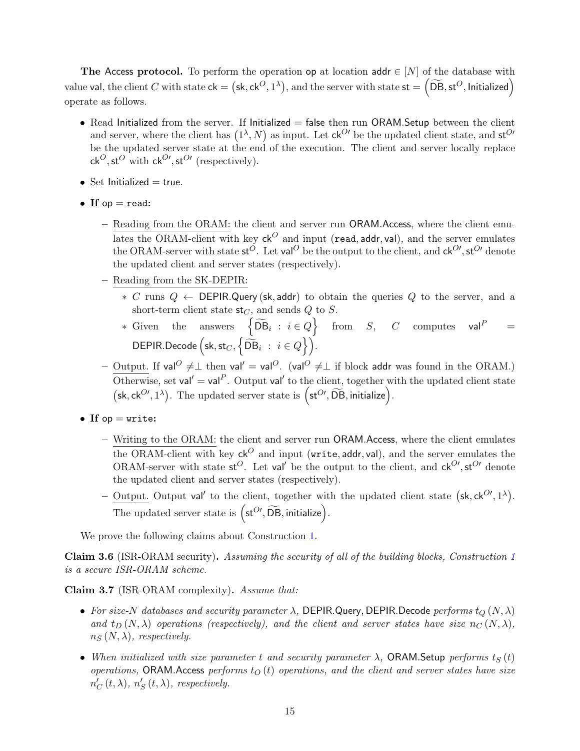**The Access protocol.** To perform the operation op at location addr  $\in [N]$  of the database with value val, the client  $C$  with state  $ck = (sk, ck^O, 1^{\lambda})$ , and the server with state  $st = (\widetilde{\sf DB}, st^O,$  Initialized $\Big)$ operate as follows.

- $\bullet$  Read Initialized from the server. If Initialized = false then run ORAM.Setup between the client and server, where the client has  $(1^{\lambda}, N)$  as input. Let  $ck^{O}$  be the updated client state, and  $st^{O}$ be the updated server state at the end of the execution. The client and server locally replace  $\mathsf{ck}^{O}, \mathsf{st}^{O}$  with  $\mathsf{ck}^{O\prime}, \mathsf{st}^{O\prime}$  (respectively).
- Set Initialized  $=$  true.
- If  $op = read$ :
	- Reading from the ORAM: the client and server run ORAM.Access, where the client emulates the ORAM-client with key  $ck^O$  and input (read, addr, val), and the server emulates the ORAM-server with state  $st^O$ . Let val<sup>O</sup> be the output to the client, and  $ck^{O}$ ,  $st^{O}$  denote the updated client and server states (respectively).
	- Reading from the SK-DEPIR:
		- ∗ C runs Q ← DEPIR.Query (sk, addr) to obtain the queries Q to the server, and a short-term client state  $st_C$ , and sends Q to S.
		- ∗ Given the answers  $\left\{\widetilde{\mathsf{DB}}_i : i \in Q\right\}$  from S, C computes val<sup>P</sup> =  $\mathsf{DEPIR}.\mathsf{Decode}\left(\mathsf{sk},\mathsf{st}_C,\left\{\widetilde{\mathsf{DB}}_i \ : \ i \in Q\right\}\right)\!.$
	- Output. If val<sup>O</sup>  $\neq \perp$  then val' = val<sup>O</sup>. (val<sup>O</sup>  $\neq \perp$  if block addr was found in the ORAM.) Otherwise, set val' = val<sup>P</sup>. Output val' to the client, together with the updated client state  $(\mathsf{sk}, \mathsf{ck}^{O\prime}, 1^\lambda)$ . The updated server state is  $(\mathsf{st}^{O\prime}, \widetilde{\mathsf{DB}}, \mathsf{initialize}).$
- If  $op =$  write:
	- Writing to the ORAM: the client and server run ORAM.Access, where the client emulates the ORAM-client with key  $ck^O$  and input (write, addr, val), and the server emulates the ORAM-server with state  $st^O$ . Let val' be the output to the client, and  $ck^{O'}$ ,  $st^{O'}$  denote the updated client and server states (respectively).
	- Output. Output val' to the client, together with the updated client state  $(\mathsf{sk}, \mathsf{ck}^{\mathcal{O} \prime}, 1^{\lambda})$ . The updated server state is  $\left( \mathsf{st}^{O\prime}, \widetilde{\mathsf{DB}}, \mathsf{initialize} \right)$ .

We prove the following claims about Construction [1.](#page-13-2)

<span id="page-14-0"></span>Claim 3.6 (ISR-ORAM security). Assuming the security of all of the building blocks, Construction [1](#page-13-2) is a secure ISR-ORAM scheme.

## <span id="page-14-1"></span>Claim 3.7 (ISR-ORAM complexity). Assume that:

- For size-N databases and security parameter  $\lambda$ , DEPIR.Query, DEPIR.Decode performs  $t_Q(N, \lambda)$ and  $t_D(N, \lambda)$  operations (respectively), and the client and server states have size  $n_C(N, \lambda)$ ,  $n_S(N, \lambda)$ , respectively.
- When initialized with size parameter t and security parameter  $\lambda$ , ORAM.Setup performs  $t_S(t)$ operations, ORAM.Access performs  $t<sub>O</sub>(t)$  operations, and the client and server states have size  $n_C'(t, \lambda)$ ,  $n_S'(t, \lambda)$ , respectively.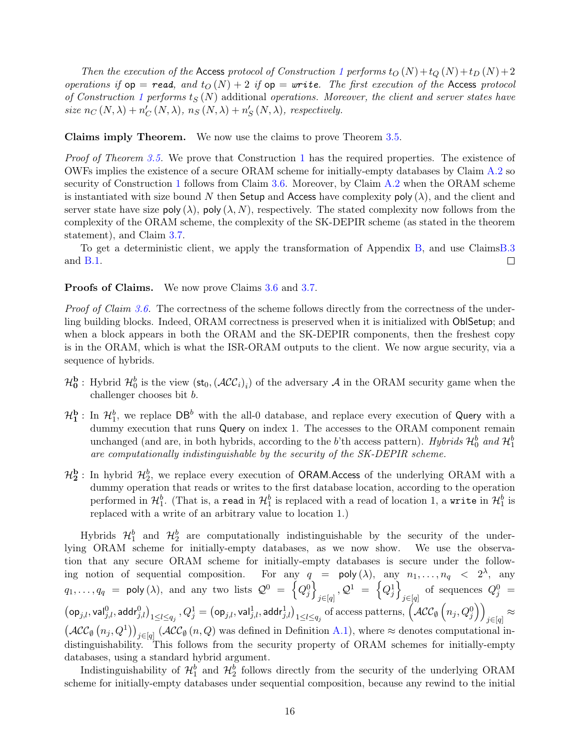Then the execution of the Access protocol of Construction [1](#page-13-2) performs  $t_O(N) + t_Q(N) + t_D(N) + 2$ operations if  $op = read$ , and  $t<sub>O</sub>(N) + 2$  if  $op = write$ . The first execution of the Access protocol of Construction [1](#page-13-2) performs  $t_S(N)$  additional operations. Moreover, the client and server states have size  $n_C(N, \lambda) + n'_C(N, \lambda), n_S(N, \lambda) + n'_S(N, \lambda)$ , respectively.

Claims imply Theorem. We now use the claims to prove Theorem [3.5.](#page-13-3)

Proof of Theorem [3.5.](#page-13-3) We prove that Construction [1](#page-13-2) has the required properties. The existence of OWFs implies the existence of a secure ORAM scheme for initially-empty databases by Claim [A.2](#page-52-0) so security of Construction [1](#page-13-2) follows from Claim [3.6.](#page-14-0) Moreover, by Claim [A.2](#page-52-0) when the ORAM scheme is instantiated with size bound N then Setup and Access have complexity poly  $(\lambda)$ , and the client and server state have size poly  $(\lambda)$ , poly  $(\lambda, N)$ , respectively. The stated complexity now follows from the complexity of the ORAM scheme, the complexity of the SK-DEPIR scheme (as stated in the theorem statement), and Claim [3.7.](#page-14-1)

To get a deterministic client, we apply the transformation of Appendix [B,](#page-54-0) and use Claim[sB.3](#page-55-0) and [B.1.](#page-55-1)  $\Box$ 

Proofs of Claims. We now prove Claims [3.6](#page-14-0) and [3.7.](#page-14-1)

Proof of Claim [3.6.](#page-14-0) The correctness of the scheme follows directly from the correctness of the underling building blocks. Indeed, ORAM correctness is preserved when it is initialized with OblSetup; and when a block appears in both the ORAM and the SK-DEPIR components, then the freshest copy is in the ORAM, which is what the ISR-ORAM outputs to the client. We now argue security, via a sequence of hybrids.

- $\mathcal{H}_{0}^{b}$ : Hybrid  $\mathcal{H}_{0}^{b}$  is the view  $(\mathsf{st}_{0},(\mathcal{ACC}_{i})_{i})$  of the adversary  $\mathcal{A}$  in the ORAM security game when the challenger chooses bit b.
- $\mathcal{H}^{\mathbf{b}}_1$ : In  $\mathcal{H}^b_1$ , we replace DB<sup>b</sup> with the all-0 database, and replace every execution of Query with a dummy execution that runs Query on index 1. The accesses to the ORAM component remain unchanged (and are, in both hybrids, according to the b'th access pattern). Hybrids  $\mathcal{H}_0^b$  and  $\mathcal{H}_1^b$ are computationally indistinguishable by the security of the SK-DEPIR scheme.
- $\mathcal{H}_2^{\mathbf{b}}$ : In hybrid  $\mathcal{H}_2^b$ , we replace every execution of **ORAM.Access** of the underlying ORAM with a dummy operation that reads or writes to the first database location, according to the operation performed in  ${\cal H}^b_1.$  (That is, a read in  ${\cal H}^b_1$  is replaced with a read of location 1, a write in  ${\cal H}^b_1$  is replaced with a write of an arbitrary value to location 1.)

Hybrids  $\mathcal{H}_1^b$  and  $\mathcal{H}_2^b$  are computationally indistinguishable by the security of the underlying ORAM scheme for initially-empty databases, as we now show. We use the observation that any secure ORAM scheme for initially-empty databases is secure under the following notion of sequential composition. For any  $q = \text{poly}(\lambda)$ , any  $n_1, \ldots, n_q < 2^{\lambda}$ , any  $q_1,\ldots,q_q$  = poly ( $\lambda$ ), and any two lists  $\mathcal{Q}^0 = \{Q^0_j\}$  $\left\{ \mathcal{Q}_{j}^{1}\right\}$  ,  $\mathcal{Q}^{1}\ =\ \left\{ Q_{j}^{1}\right\}$  $j \in [q]$  of sequences  $Q_j^0 =$  $\left(\mathsf{op}_{j,l},\mathsf{val}^0_{j,l},\mathsf{addr}^0_{j,l}\right)_{1\leq l\leq q_j},Q_j^1=\left(\mathsf{op}_{j,l},\mathsf{val}^1_{j,l},\mathsf{addr}^1_{j,l}\right)_{1\leq l\leq q_j} \text{ of access patterns,}\left(\mathcal{ACC}_{\emptyset}\left(n_j,Q_j^0\right)\right)$  $j\in[q]\stackrel{\approx}{\sim}$  $(\text{ACC}_{\emptyset}(n_j, Q^1))_{j \in [q]}$  ( $\text{ACC}_{\emptyset}(n, Q)$  was defined in Definition [A.1\)](#page-51-12), where  $\approx$  denotes computational indistinguishability. This follows from the security property of ORAM schemes for initially-empty databases, using a standard hybrid argument.

Indistinguishability of  $\mathcal{H}_1^b$  and  $\mathcal{H}_2^b$  follows directly from the security of the underlying ORAM scheme for initially-empty databases under sequential composition, because any rewind to the initial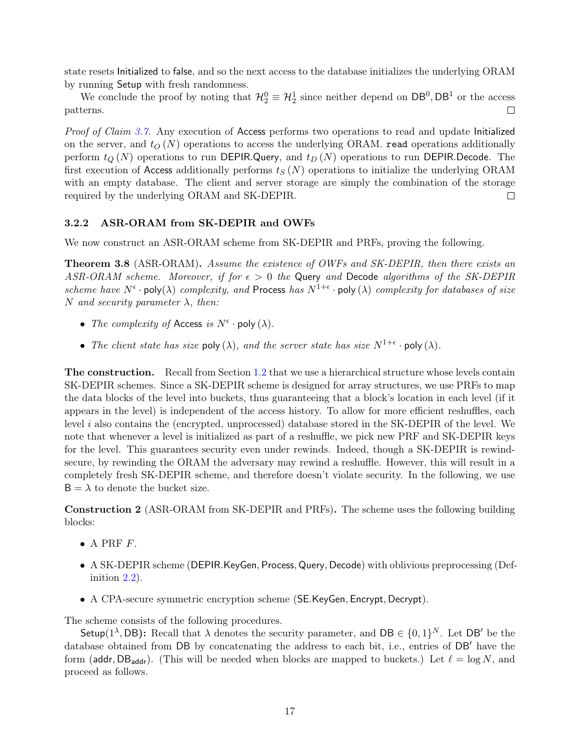state resets Initialized to false, and so the next access to the database initializes the underlying ORAM by running Setup with fresh randomness.

We conclude the proof by noting that  $\mathcal{H}_2^0 \equiv \mathcal{H}_2^1$  since neither depend on  $DB^0$ ,  $DB^1$  or the access patterns.  $\Box$ 

Proof of Claim [3.7.](#page-14-1) Any execution of Access performs two operations to read and update Initialized on the server, and  $t<sub>O</sub>(N)$  operations to access the underlying ORAM. read operations additionally perform  $t_o(N)$  operations to run DEPIR.Query, and  $t_p(N)$  operations to run DEPIR.Decode. The first execution of Access additionally performs  $t_S(N)$  operations to initialize the underlying ORAM with an empty database. The client and server storage are simply the combination of the storage required by the underlying ORAM and SK-DEPIR.  $\Box$ 

### <span id="page-16-0"></span>3.2.2 ASR-ORAM from SK-DEPIR and OWFs

<span id="page-16-1"></span>We now construct an ASR-ORAM scheme from SK-DEPIR and PRFs, proving the following.

**Theorem 3.8** (ASR-ORAM). Assume the existence of OWFs and SK-DEPIR, then there exists an ASR-ORAM scheme. Moreover, if for  $\epsilon > 0$  the Query and Decode algorithms of the SK-DEPIR scheme have  $N^{\epsilon}$  · poly( $\lambda$ ) complexity, and Process has  $N^{1+\epsilon}$  · poly( $\lambda$ ) complexity for databases of size N and security parameter  $\lambda$ , then:

- The complexity of Access is  $N^{\epsilon}$  · poly  $(\lambda)$ .
- The client state has size poly ( $\lambda$ ), and the server state has size  $N^{1+\epsilon}$  · poly ( $\lambda$ ).

The construction. Recall from Section [1.2](#page-3-0) that we use a hierarchical structure whose levels contain SK-DEPIR schemes. Since a SK-DEPIR scheme is designed for array structures, we use PRFs to map the data blocks of the level into buckets, thus guaranteeing that a block's location in each level (if it appears in the level) is independent of the access history. To allow for more efficient reshuffles, each level i also contains the (encrypted, unprocessed) database stored in the SK-DEPIR of the level. We note that whenever a level is initialized as part of a reshuffle, we pick new PRF and SK-DEPIR keys for the level. This guarantees security even under rewinds. Indeed, though a SK-DEPIR is rewindsecure, by rewinding the ORAM the adversary may rewind a reshuffle. However, this will result in a completely fresh SK-DEPIR scheme, and therefore doesn't violate security. In the following, we use  $B = \lambda$  to denote the bucket size.

<span id="page-16-2"></span>Construction 2 (ASR-ORAM from SK-DEPIR and PRFs). The scheme uses the following building blocks:

- A PRF  $F$ .
- A SK-DEPIR scheme (DEPIR.KeyGen, Process, Query, Decode) with oblivious preprocessing (Definition [2.2\)](#page-9-3).
- A CPA-secure symmetric encryption scheme (SE.KeyGen, Encrypt, Decrypt).

The scheme consists of the following procedures.

Setup( $1^{\lambda}$ , DB): Recall that  $\lambda$  denotes the security parameter, and DB  $\in \{0,1\}^{N}$ . Let DB' be the database obtained from DB by concatenating the address to each bit, i.e., entries of DB' have the form (addr,  $DB_{\text{addr}}$ ). (This will be needed when blocks are mapped to buckets.) Let  $\ell = \log N$ , and proceed as follows.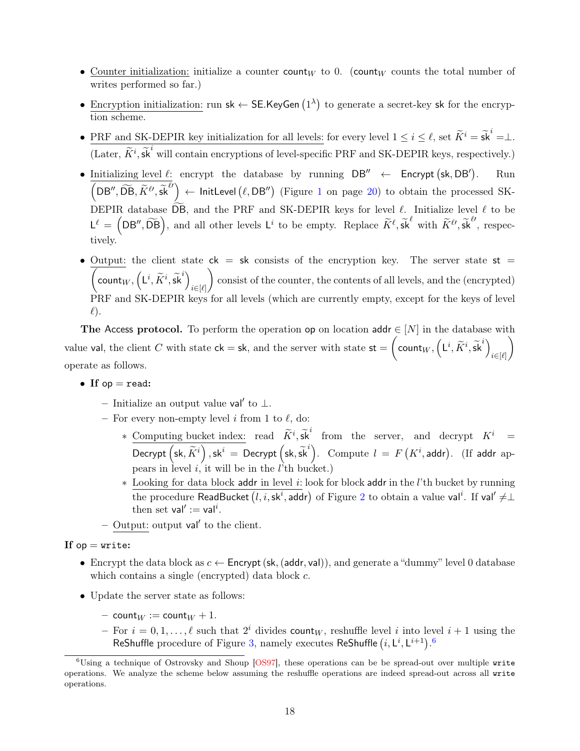- Counter initialization: initialize a counter count to 0. (count w counts the total number of writes performed so far.)
- Encryption initialization: run sk  $\leftarrow$  SE.KeyGen  $(1^{\lambda})$  to generate a secret-key sk for the encryption scheme.
- PRF and SK-DEPIR key initialization for all levels: for every level  $1 \leq i \leq \ell$ , set  $\widetilde{K}^i = \widetilde{\mathsf{sk}}^i = \bot$ . (Later,  $\tilde{K}^i$ ,  $\tilde{\mathsf{sk}}^i$  will contain encryptions of level-specific PRF and SK-DEPIR keys, respectively.)
- Initializing level  $\ell$ : encrypt the database by running  $DB'' \leftarrow$  Encrypt (sk, DB') . Run  $(DB'', \widetilde{DB}, \widetilde{K}^{\ell\ell}, \widetilde{\mathsf{sk}}^{\ell\ell}) \leftarrow$  InitLevel  $(\ell, DB'')$  (Figure [1](#page-19-0) on page [20\)](#page-19-0) to obtain the processed SK-DEPIR database  $\widetilde{DB}$ , and the PRF and SK-DEPIR keys for level  $\ell$ . Initialize level  $\ell$  to be  $\mathsf{L}^{\ell} = (\mathsf{DB}'', \widetilde{\mathsf{DB}})$ , and all other levels  $\mathsf{L}^i$  to be empty. Replace  $\widetilde{K}^{\ell}, \widetilde{\mathsf{sk}}^{\ell}$  with  $\widetilde{K}^{\ell\ell}, \widetilde{\mathsf{sk}}^{\ell\ell}$ , respectively.
- Output: the client state  $ck = sk$  consists of the encryption key. The server state st =  $\left({\rm count}_W, \left({\sf L}^i, \widetilde{K}^i, \widetilde{\mathsf{sk}}^i\right)$  $i \in [\ell]$  consist of the counter, the contents of all levels, and the (encrypted) PRF and SK-DEPIR keys for all levels (which are currently empty, except for the keys of level  $\ell$ ).

**The Access protocol.** To perform the operation op on location addr  $\in [N]$  in the database with value val, the client  $C$  with state  $\mathsf{ck} = \mathsf{sk},$  and the server with state  $\mathsf{st} = \bigg(\mathsf{count}_W, \left(\mathsf{L}^i, \widetilde{K}^i, \widetilde{\mathsf{sk}}^i\right)$  $i \in [\ell]$  $\setminus$ operate as follows.

- If  $op = read$ :
	- Initialize an output value val' to  $\perp$ .
	- For every non-empty level i from 1 to  $\ell$ , do:
		- \* Computing bucket index: read  $\widetilde{K}^i$ ,  $\widetilde{\mathsf{sk}}^i$  from the server, and decrypt  $K^i$  =  $\mathsf{Decrypt}\left(\mathsf{sk}, \widetilde{K}^i\right), \mathsf{sk}^i\,=\, \mathsf{Decrypt}\left(\mathsf{sk}, \widetilde{\mathsf{sk}}^i\right)\!. \ \ \mathsf{Compute}\ \ l\,=\, F\left(K^i, \mathsf{addr}\right).\ \ \left(\text{If } \mathsf{addr}\ \text{ap-} \right)$ pears in level  $i$ , it will be in the  $l$ 'th bucket.)
		- ∗ Looking for data block addr in level i: look for block addr in the l'th bucket by running the procedure <code>ReadBucket</code>  $(l,i,\mathsf{sk}^i,\mathsf{addr})$  of Figure  $2$  to obtain a value val $^i$ . If val $'\neq\perp$ then set  $val' := val^i$ .
	- Output: output val' to the client.

If  $op =$  write:

- Encrypt the data block as  $c \leftarrow$  Encrypt (sk, (addr, val)), and generate a "dummy" level 0 database which contains a single (encrypted) data block c.
- Update the server state as follows:
	- count<sub>W</sub> := count<sub>W</sub> + 1.
	- For  $i = 0, 1, \ldots, \ell$  such that  $2^i$  divides count<sub>*W*</sub>, reshuffle level i into level  $i + 1$  using the ReShuffle procedure of Figure [3,](#page-21-0) namely executes ReShuffle  $(i, L^i, L^{i+1})$ .<sup>[6](#page-17-0)</sup>

<span id="page-17-0"></span><sup>&</sup>lt;sup>6</sup>Using a technique of Ostrovsky and Shoup [\[OS97\]](#page-51-7), these operations can be be spread-out over multiple write operations. We analyze the scheme below assuming the reshuffle operations are indeed spread-out across all write operations.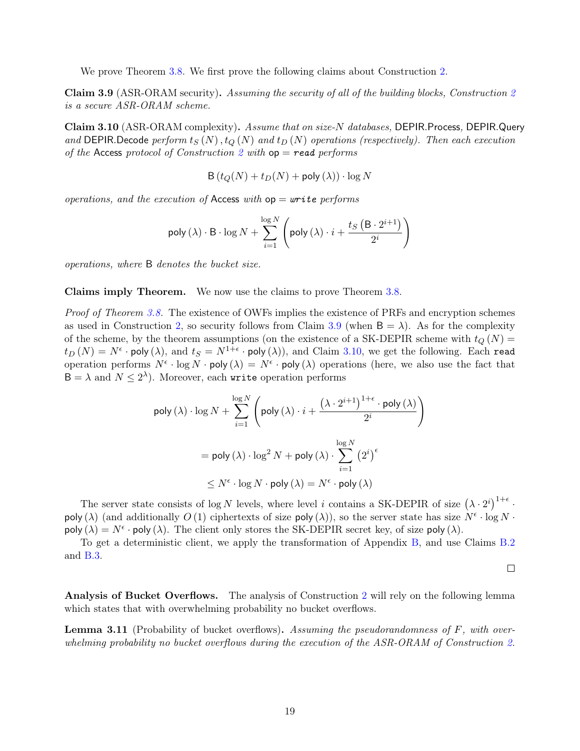We prove Theorem [3.8.](#page-16-1) We first prove the following claims about Construction [2.](#page-16-2)

<span id="page-18-0"></span>Claim 3.9 (ASR-ORAM security). Assuming the security of all of the building blocks, Construction [2](#page-16-2) is a secure ASR-ORAM scheme.

<span id="page-18-1"></span>Claim 3.10 (ASR-ORAM complexity). Assume that on size-N databases, DEPIR.Process, DEPIR.Query and DEPIR.Decode perform  $t_S(N)$ ,  $t_Q(N)$  and  $t_D(N)$  operations (respectively). Then each execution of the Access protocol of Construction [2](#page-16-2) with  $op = read$  performs

$$
B(t_Q(N) + t_D(N) + \text{poly}(\lambda)) \cdot \log N
$$

operations, and the execution of Access with  $op = write$  performs

$$
\text{poly}(\lambda) \cdot \text{B} \cdot \log N + \sum_{i=1}^{\log N} \left( \text{poly}(\lambda) \cdot i + \frac{t_S \left( \text{B} \cdot 2^{i+1} \right)}{2^i} \right)
$$

operations, where B denotes the bucket size.

Claims imply Theorem. We now use the claims to prove Theorem [3.8.](#page-16-1)

Proof of Theorem [3.8.](#page-16-1) The existence of OWFs implies the existence of PRFs and encryption schemes as used in Construction [2,](#page-16-2) so security follows from Claim [3.9](#page-18-0) (when  $B = \lambda$ ). As for the complexity of the scheme, by the theorem assumptions (on the existence of a SK-DEPIR scheme with  $t_Q(N)$  =  $t_D(N) = N^{\epsilon} \cdot \textsf{poly}(\lambda), \text{ and } t_S = N^{1+\epsilon} \cdot \textsf{poly}(\lambda)), \text{ and Claim 3.10, we get the following. Each read$  $t_D(N) = N^{\epsilon} \cdot \textsf{poly}(\lambda), \text{ and } t_S = N^{1+\epsilon} \cdot \textsf{poly}(\lambda)), \text{ and Claim 3.10, we get the following. Each read$  $t_D(N) = N^{\epsilon} \cdot \textsf{poly}(\lambda), \text{ and } t_S = N^{1+\epsilon} \cdot \textsf{poly}(\lambda)), \text{ and Claim 3.10, we get the following. Each read$ operation performs  $N^{\epsilon} \cdot \log N \cdot \text{poly}(\lambda) = N^{\epsilon} \cdot \text{poly}(\lambda)$  operations (here, we also use the fact that  $B = \lambda$  and  $N \le 2^{\lambda}$ ). Moreover, each write operation performs

$$
\text{poly}(\lambda) \cdot \log N + \sum_{i=1}^{\log N} \left( \text{poly}(\lambda) \cdot i + \frac{\left(\lambda \cdot 2^{i+1}\right)^{1+\epsilon} \cdot \text{poly}(\lambda)}{2^i} \right)
$$
\n
$$
= \text{poly}(\lambda) \cdot \log^2 N + \text{poly}(\lambda) \cdot \sum_{i=1}^{\log N} \left(2^i\right)^{\epsilon}
$$
\n
$$
\leq N^{\epsilon} \cdot \log N \cdot \text{poly}(\lambda) = N^{\epsilon} \cdot \text{poly}(\lambda)
$$

The server state consists of log N levels, where level i contains a SK-DEPIR of size  $(\lambda \cdot 2^i)^{1+\epsilon}$ . poly ( $\lambda$ ) (and additionally  $O(1)$  ciphertexts of size poly ( $\lambda$ )), so the server state has size  $N^{\epsilon} \cdot \log N \cdot$ poly  $(\lambda) = N^{\epsilon} \cdot \text{poly}(\lambda)$ . The client only stores the SK-DEPIR secret key, of size poly  $(\lambda)$ .

To get a deterministic client, we apply the transformation of Appendix [B,](#page-54-0) and use Claims [B.2](#page-55-2) and [B.3.](#page-55-0)

 $\Box$ 

Analysis of Bucket Overflows. The analysis of Construction [2](#page-16-2) will rely on the following lemma which states that with overwhelming probability no bucket overflows.

<span id="page-18-2"></span>Lemma 3.11 (Probability of bucket overflows). Assuming the pseudorandomness of F, with overwhelming probability no bucket overflows during the execution of the ASR-ORAM of Construction [2.](#page-16-2)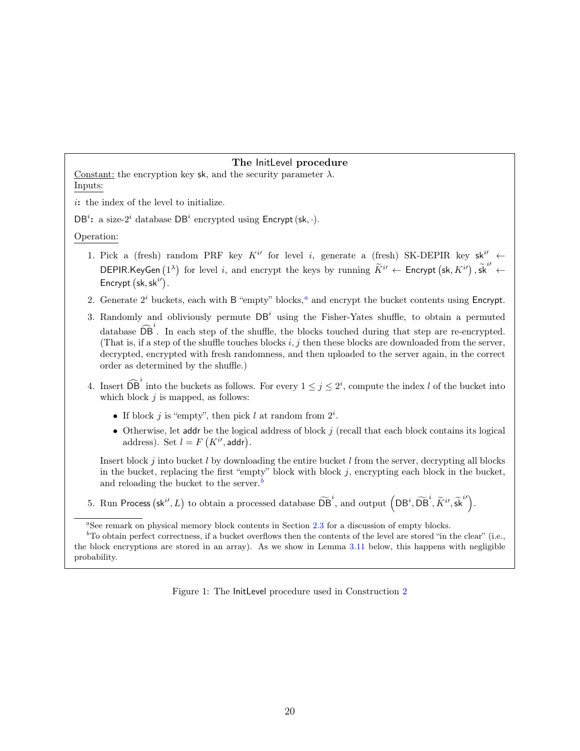#### The InitLevel procedure

<span id="page-19-0"></span>Constant: the encryption key sk, and the security parameter  $\lambda$ . Inputs:

i: the index of the level to initialize.

 $DB^i$ : a size- $2^i$  database  $DB^i$  encrypted using Encrypt (sk,  $\cdot$ ).

Operation:

- 1. Pick a (fresh) random PRF key  $K^{i}$  for level i, generate a (fresh) SK-DEPIR key  $sk^{i}$   $\leftarrow$ DEPIR.KeyGen  $(1^{\lambda})$  for level *i*, and encrypt the keys by running  $\widetilde{K}^{i} \leftarrow$  Encrypt  $(\mathsf{sk}, K^{i})$ ,  $\widetilde{\mathsf{sk}}^{i'} \leftarrow$ Encrypt  $(\mathsf{sk},\mathsf{sk}^{i\prime}).$
- 2. Gener[a](#page-19-1)te  $2^i$  buckets, each with B "empty" blocks,<sup>a</sup> and encrypt the bucket contents using Encrypt.
- 3. Randomly and obliviously permute  $DB<sup>i</sup>$  using the Fisher-Yates shuffle, to obtain a permuted database  $\widehat{DB}^i$ . In each step of the shuffle, the blocks touched during that step are re-encrypted. (That is, if a step of the shuffle touches blocks i, j then these blocks are downloaded from the server, decrypted, encrypted with fresh randomness, and then uploaded to the server again, in the correct order as determined by the shuffle.)
- <span id="page-19-3"></span>4. Insert  $\widehat{\text{DB}}^i$  into the buckets as follows. For every  $1 \leq j \leq 2^i$ , compute the index l of the bucket into which block  $j$  is mapped, as follows:
	- If block j is "empty", then pick l at random from  $2^i$ .
	- Otherwise, let addr be the logical address of block  $j$  (recall that each block contains its logical address). Set  $l = F(K^{i}, \text{addr}).$

Insert block j into bucket l by downloading the entire bucket l from the server, decrypting all blocks in the bucket, replacing the first "empty" block with block  $j$ , encrypting each block in the bucket, and reloading the [b](#page-19-2)ucket to the server.<sup>b</sup>

5. Run Process (sk<sup>i</sup>', L) to obtain a processed database  $\widetilde{DB}^i$ , and output  $(DB^i, \widetilde{DB}^i, \widetilde{K}^{i\prime}, \widetilde{sk}^{i\prime})$ .

Figure 1: The InitLevel procedure used in Construction [2](#page-16-2)

<span id="page-19-2"></span><span id="page-19-1"></span> ${}^a$ See remark on physical memory block contents in Section [2.3](#page-10-0) for a discussion of empty blocks.

 ${}^{b}$ To obtain perfect correctness, if a bucket overflows then the contents of the level are stored "in the clear" (i.e., the block encryptions are stored in an array). As we show in Lemma [3.11](#page-18-2) below, this happens with negligible probability.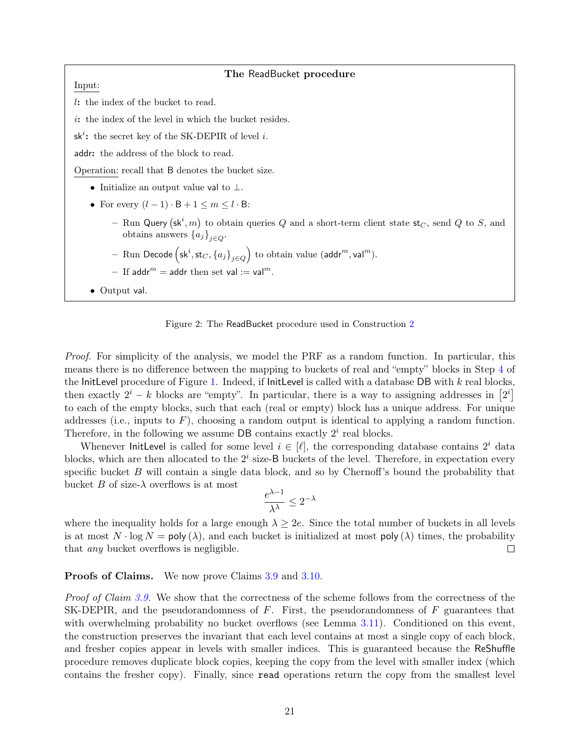<span id="page-20-0"></span>Input:

#### The ReadBucket procedure

l: the index of the bucket to read.

i: the index of the level in which the bucket resides.

sk<sup>i</sup>: the secret key of the SK-DEPIR of level *i*.

addr: the address of the block to read.

Operation: recall that B denotes the bucket size.

- Initialize an output value val to ⊥.
- For every  $(l-1) \cdot B + 1 \leq m \leq l \cdot B$ :
	- Run Query  $(\mathsf{sk}^i, m)$  to obtain queries  $Q$  and a short-term client state  $\mathsf{st}_C,$  send  $Q$  to  $S,$  and obtains answers  ${a_j}_{j \in Q}$ .
	- $-$  Run Decode  $\left(\mathsf{sk}^i, \mathsf{st}_C, \left\{a_j \right\}_{j \in Q} \right)$  to obtain value  $(\mathsf{addr}^m, \mathsf{val}^m).$
	- If addr<sup>m</sup> = addr then set val := val<sup>m</sup>.
- Output val.

Figure 2: The ReadBucket procedure used in Construction [2](#page-16-2)

Proof. For simplicity of the analysis, we model the PRF as a random function. In particular, this means there is no difference between the mapping to buckets of real and "empty" blocks in Step [4](#page-19-3) of the InitLevel procedure of Figure [1.](#page-19-0) Indeed, if InitLevel is called with a database DB with  $k$  real blocks, then exactly  $2^i - k$  blocks are "empty". In particular, there is a way to assigning addresses in  $[2^i]$ to each of the empty blocks, such that each (real or empty) block has a unique address. For unique addresses (i.e., inputs to  $F$ ), choosing a random output is identical to applying a random function. Therefore, in the following we assume DB contains exactly  $2^i$  real blocks.

Whenever InitLevel is called for some level  $i \in [\ell]$ , the corresponding database contains  $2^i$  data blocks, which are then allocated to the  $2^i$  size-B buckets of the level. Therefore, in expectation every specific bucket  $B$  will contain a single data block, and so by Chernoff's bound the probability that bucket B of size- $\lambda$  overflows is at most

$$
\frac{e^{\lambda-1}}{\lambda^\lambda}\leq 2^{-\lambda}
$$

where the inequality holds for a large enough  $\lambda > 2e$ . Since the total number of buckets in all levels is at most  $N \cdot \log N = \text{poly}(\lambda)$ , and each bucket is initialized at most  $\text{poly}(\lambda)$  times, the probability that any bucket overflows is negligible.  $\Box$ 

#### **Proofs of Claims.** We now prove Claims [3.9](#page-18-0) and [3.10.](#page-18-1)

Proof of Claim [3.9.](#page-18-0) We show that the correctness of the scheme follows from the correctness of the SK-DEPIR, and the pseudorandomness of  $F$ . First, the pseudorandomness of  $F$  guarantees that with overwhelming probability no bucket overflows (see Lemma [3.11\)](#page-18-2). Conditioned on this event, the construction preserves the invariant that each level contains at most a single copy of each block, and fresher copies appear in levels with smaller indices. This is guaranteed because the ReShuffle procedure removes duplicate block copies, keeping the copy from the level with smaller index (which contains the fresher copy). Finally, since read operations return the copy from the smallest level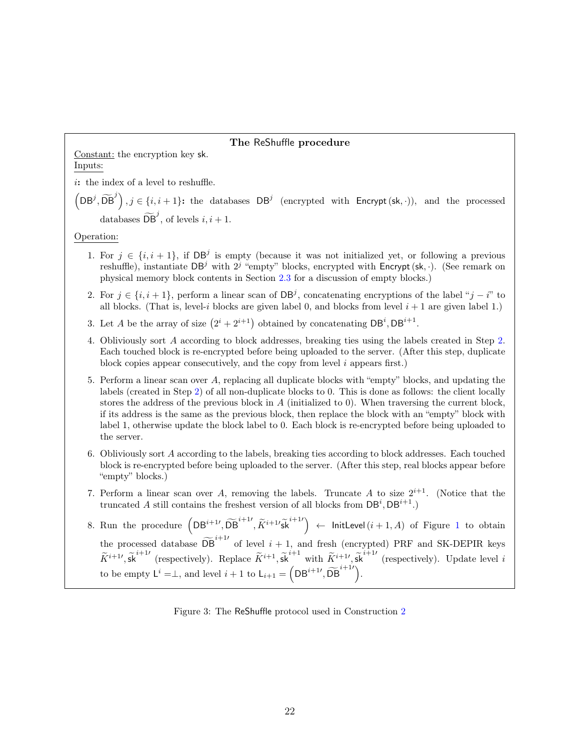#### The ReShuffle procedure

<span id="page-21-0"></span>Constant: the encryption key sk. Inputs:

i: the index of a level to reshuffle.

 $(DB^j, \widetilde{DB}^j), j \in \{i, i + 1\}$ : the databases  $DB^j$  (encrypted with Encrypt(sk, .)), and the processed databases  $\widetilde{\mathrm{DB}}^j$ , of levels  $i, i+1$ .

#### Operation:

- 1. For  $j \in \{i, i+1\}$ , if DB<sup>j</sup> is empty (because it was not initialized yet, or following a previous reshuffle), instantiate  $DB^j$  with  $2^j$  "empty" blocks, encrypted with Encrypt (sk, .). (See remark on physical memory block contents in Section [2.3](#page-10-0) for a discussion of empty blocks.)
- <span id="page-21-1"></span>2. For  $j \in \{i, i+1\}$ , perform a linear scan of  $DB^j$ , concatenating encryptions of the label " $j - i$ " to all blocks. (That is, level-i blocks are given label 0, and blocks from level  $i + 1$  are given label 1.)
- 3. Let A be the array of size  $(2^i + 2^{i+1})$  obtained by concatenating  $DB^i, DB^{i+1}$ .
- 4. Obliviously sort A according to block addresses, breaking ties using the labels created in Step [2.](#page-21-1) Each touched block is re-encrypted before being uploaded to the server. (After this step, duplicate block copies appear consecutively, and the copy from level  $i$  appears first.)
- 5. Perform a linear scan over A, replacing all duplicate blocks with "empty" blocks, and updating the labels (created in Step [2\)](#page-21-1) of all non-duplicate blocks to 0. This is done as follows: the client locally stores the address of the previous block in  $A$  (initialized to 0). When traversing the current block, if its address is the same as the previous block, then replace the block with an "empty" block with label 1, otherwise update the block label to 0. Each block is re-encrypted before being uploaded to the server.
- 6. Obliviously sort A according to the labels, breaking ties according to block addresses. Each touched block is re-encrypted before being uploaded to the server. (After this step, real blocks appear before "empty" blocks.)
- <span id="page-21-2"></span>7. Perform a linear scan over A, removing the labels. Truncate A to size  $2^{i+1}$ . (Notice that the truncated A still contains the freshest version of all blocks from  $DB<sup>i</sup>, DB<sup>i+1</sup>$ .)
- <span id="page-21-3"></span>8. Run the procedure  $(DB^{i+1}, \widetilde{D}B^{i+1}, \widetilde{K}^{i+1}\widetilde{\mathsf{sk}}^{i+1}) \leftarrow$  $(DB^{i+1}, \widetilde{D}B^{i+1}, \widetilde{K}^{i+1}\widetilde{\mathsf{sk}}^{i+1}) \leftarrow$  $(DB^{i+1}, \widetilde{D}B^{i+1}, \widetilde{K}^{i+1}\widetilde{\mathsf{sk}}^{i+1}) \leftarrow$  InitLevel  $(i+1, A)$  of Figure 1 to obtain the processed database  $\widetilde{DB}^{i+1}$  of level  $i + 1$ , and fresh (encrypted) PRF and SK-DEPIR keys  $\widetilde{K}^{i+1}$ ,  $\widetilde{\mathsf{sk}}^{i+1}$  (respectively). Replace  $\widetilde{K}^{i+1}$ ,  $\widetilde{\mathsf{sk}}^{i+1}$  with  $\widetilde{K}^{i+1}$ ,  $\widetilde{\mathsf{sk}}^{i+1}$  (respectively). Update level i to be empty  $\mathsf{L}^i = \perp$ , and level  $i + 1$  to  $\mathsf{L}_{i+1} = \left( \mathsf{DB}^{i+1}, \widetilde{\mathsf{DB}}^{i+1} \right)$ .

Figure 3: The ReShuffle protocol used in Construction [2](#page-16-2)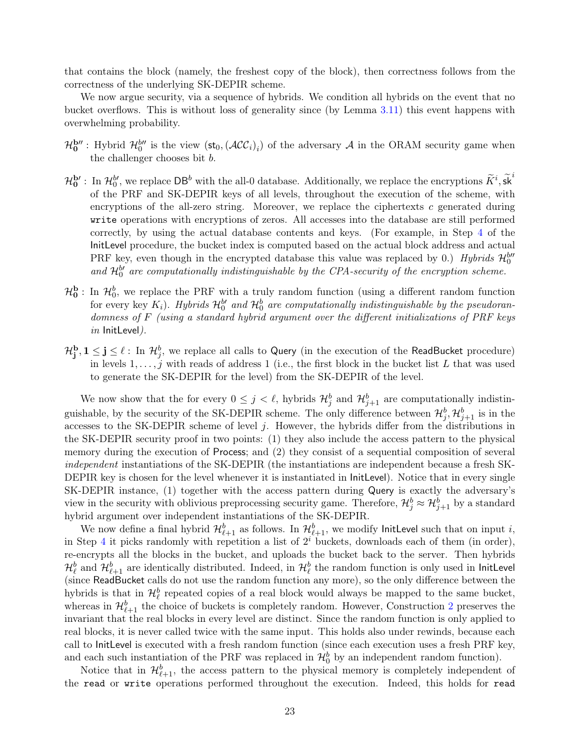that contains the block (namely, the freshest copy of the block), then correctness follows from the correctness of the underlying SK-DEPIR scheme.

We now argue security, via a sequence of hybrids. We condition all hybrids on the event that no bucket overflows. This is without loss of generality since (by Lemma [3.11\)](#page-18-2) this event happens with overwhelming probability.

- $\mathcal{H}_0^{\mathsf{b}\prime\prime}$ : Hybrid  $\mathcal{H}_0^{\mathsf{b}\prime\prime}$  is the view  $(\mathsf{st}_0,(\mathcal{ACC}_i)_i)$  of the adversary  $\mathcal A$  in the ORAM security game when the challenger chooses bit b.
- $\mathcal{H}_{0}^{b'}$ : In  $\mathcal{H}_{0}^{b'}$ , we replace DB<sup>b</sup> with the all-0 database. Additionally, we replace the encryptions  $\widetilde{K}^{i}$ ,  $\widetilde{\mathbf{s}}^{i}$ of the PRF and SK-DEPIR keys of all levels, throughout the execution of the scheme, with encryptions of the all-zero string. Moreover, we replace the ciphertexts  $c$  generated during write operations with encryptions of zeros. All accesses into the database are still performed correctly, by using the actual database contents and keys. (For example, in Step [4](#page-19-3) of the InitLevel procedure, the bucket index is computed based on the actual block address and actual PRF key, even though in the encrypted database this value was replaced by 0.) Hybrids  $\mathcal{H}_0^{b''}$ and  $\mathcal{H}_0^{b}$  are computationally indistinguishable by the CPA-security of the encryption scheme.
- $\mathcal{H}_{0}^{b}$ : In  $\mathcal{H}_{0}^{b}$ , we replace the PRF with a truly random function (using a different random function for every key  $K_i$ ). Hybrids  $\mathcal{H}_0^{b'}$  and  $\mathcal{H}_0^{b}$  are computationally indistinguishable by the pseudorandomness of F (using a standard hybrid argument over the different initializations of PRF keys  $in$  InitLevel).
- $\mathcal{H}^{\bf b}_{\bf j}, {\bf 1}\le {\bf j}\le \ell$  : In  $\mathcal{H}^b_j,$  we replace all calls to Query (in the execution of the ReadBucket procedure) in levels  $1, \ldots, j$  with reads of address 1 (i.e., the first block in the bucket list L that was used to generate the SK-DEPIR for the level) from the SK-DEPIR of the level.

We now show that the for every  $0 \leq j < \ell$ , hybrids  $\mathcal{H}_{j}^{b}$  and  $\mathcal{H}_{j+1}^{b}$  are computationally indistinguishable, by the security of the SK-DEPIR scheme. The only difference between  $\mathcal{H}_{j}^{b}$ ,  $\mathcal{H}_{j+1}^{b}$  is in the accesses to the SK-DEPIR scheme of level  $j$ . However, the hybrids differ from the distributions in the SK-DEPIR security proof in two points: (1) they also include the access pattern to the physical memory during the execution of Process; and (2) they consist of a sequential composition of several independent instantiations of the SK-DEPIR (the instantiations are independent because a fresh SK-DEPIR key is chosen for the level whenever it is instantiated in InitLevel). Notice that in every single SK-DEPIR instance, (1) together with the access pattern during Query is exactly the adversary's view in the security with oblivious preprocessing security game. Therefore,  $\mathcal{H}_{j}^{b} \approx \mathcal{H}_{j+1}^{b}$  by a standard hybrid argument over independent instantiations of the SK-DEPIR.

We now define a final hybrid  ${\cal H}^b_{\ell+1}$  as follows. In  ${\cal H}^b_{\ell+1}$ , we modify InitLevel such that on input  $i,$ in Step [4](#page-19-3) it picks randomly with repetition a list of  $2<sup>i</sup>$  buckets, downloads each of them (in order), re-encrypts all the blocks in the bucket, and uploads the bucket back to the server. Then hybrids  $\mathcal{H}_{\ell}^b$  and  $\mathcal{H}_{\ell+1}^b$  are identically distributed. Indeed, in  $\mathcal{H}_{\ell}^b$  the random function is only used in InitLevel (since ReadBucket calls do not use the random function any more), so the only difference between the hybrids is that in  $\mathcal{H}_{\ell}^{b}$  repeated copies of a real block would always be mapped to the same bucket, whereas in  $\mathcal{H}_{\ell+1}^b$  the choice of buckets is completely random. However, Construction [2](#page-16-2) preserves the invariant that the real blocks in every level are distinct. Since the random function is only applied to real blocks, it is never called twice with the same input. This holds also under rewinds, because each call to InitLevel is executed with a fresh random function (since each execution uses a fresh PRF key, and each such instantiation of the PRF was replaced in  $\mathcal{H}_0^b$  by an independent random function).

Notice that in  $\mathcal{H}_{\ell+1}^b$ , the access pattern to the physical memory is completely independent of the read or write operations performed throughout the execution. Indeed, this holds for read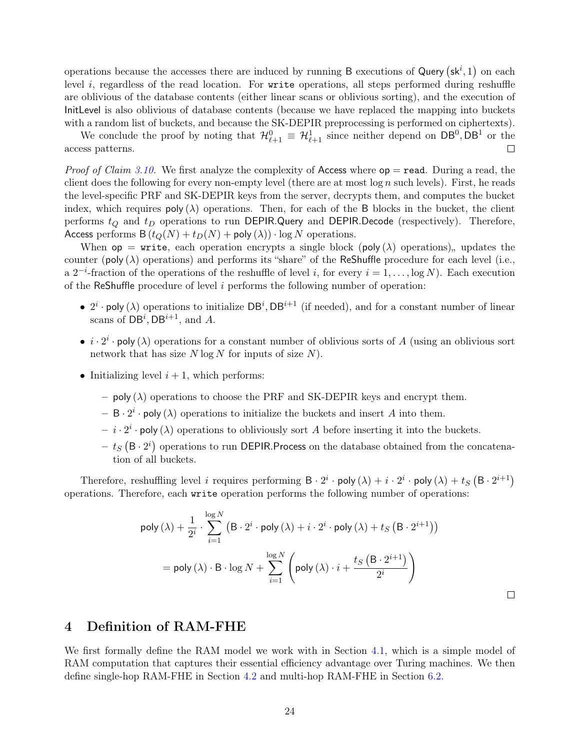operations because the accesses there are induced by running B executions of Query  $(\mathsf{sk}^i, 1)$  on each level i, regardless of the read location. For write operations, all steps performed during reshuffle are oblivious of the database contents (either linear scans or oblivious sorting), and the execution of InitLevel is also oblivious of database contents (because we have replaced the mapping into buckets with a random list of buckets, and because the SK-DEPIR preprocessing is performed on ciphertexts).

We conclude the proof by noting that  $\mathcal{H}_{\ell+1}^0 \equiv \mathcal{H}_{\ell+1}^1$  since neither depend on  $DB^0, DB^1$  or the access patterns.  $\Box$ 

*Proof of Claim [3.10.](#page-18-1)* We first analyze the complexity of Access where  $op = \text{read}$ . During a read, the client does the following for every non-empty level (there are at most  $\log n$  such levels). First, he reads the level-specific PRF and SK-DEPIR keys from the server, decrypts them, and computes the bucket index, which requires  $poly(\lambda)$  operations. Then, for each of the B blocks in the bucket, the client performs  $t_Q$  and  $t_D$  operations to run DEPIR.Query and DEPIR.Decode (respectively). Therefore, Access performs  $B(t<sub>Q</sub>(N) + t<sub>D</sub>(N) + poly(\lambda)) \cdot log N$  operations.

When  $op =$  write, each operation encrypts a single block (poly ( $\lambda$ ) operations), updates the counter (poly  $(\lambda)$  operations) and performs its "share" of the ReShuffle procedure for each level (i.e., a  $2^{-i}$ -fraction of the operations of the reshuffle of level i, for every  $i = 1, \ldots, \log N$ ). Each execution of the ReShuffle procedure of level  $i$  performs the following number of operation:

- $2^i$  · poly ( $\lambda$ ) operations to initialize DB<sup>i</sup>, DB<sup>i+1</sup> (if needed), and for a constant number of linear scans of  $DB<sup>i</sup>$ , DB<sup>i+1</sup>, and A.
- $i \cdot 2^i \cdot \text{poly}(\lambda)$  operations for a constant number of oblivious sorts of A (using an oblivious sort network that has size  $N \log N$  for inputs of size  $N$ ).
- Initializing level  $i + 1$ , which performs:
	- poly  $(\lambda)$  operations to choose the PRF and SK-DEPIR keys and encrypt them.
	- $B \cdot 2^{i} \cdot \text{poly}(\lambda)$  operations to initialize the buckets and insert A into them.
	- $i \cdot 2^i \cdot \text{poly}(\lambda)$  operations to obliviously sort A before inserting it into the buckets.
	- $t_S (\mathsf{B} \cdot 2^i)$  operations to run DEPIR. Process on the database obtained from the concatenation of all buckets.

Therefore, reshuffling level *i* requires performing  $B \cdot 2^i \cdot poly(\lambda) + i \cdot 2^i \cdot poly(\lambda) + t_S (B \cdot 2^{i+1})$ operations. Therefore, each write operation performs the following number of operations:

$$
\text{poly}(\lambda) + \frac{1}{2^i} \cdot \sum_{i=1}^{\log N} \left( \mathbf{B} \cdot 2^i \cdot \text{poly}(\lambda) + i \cdot 2^i \cdot \text{poly}(\lambda) + t_S \left( \mathbf{B} \cdot 2^{i+1} \right) \right)
$$
\n
$$
= \text{poly}(\lambda) \cdot \mathbf{B} \cdot \log N + \sum_{i=1}^{\log N} \left( \text{poly}(\lambda) \cdot i + \frac{t_S \left( \mathbf{B} \cdot 2^{i+1} \right)}{2^i} \right)
$$

## <span id="page-23-0"></span>4 Definition of RAM-FHE

We first formally define the RAM model we work with in Section [4.1,](#page-24-0) which is a simple model of RAM computation that captures their essential efficiency advantage over Turing machines. We then define single-hop RAM-FHE in Section [4.2](#page-25-0) and multi-hop RAM-FHE in Section [6.2.](#page-37-0)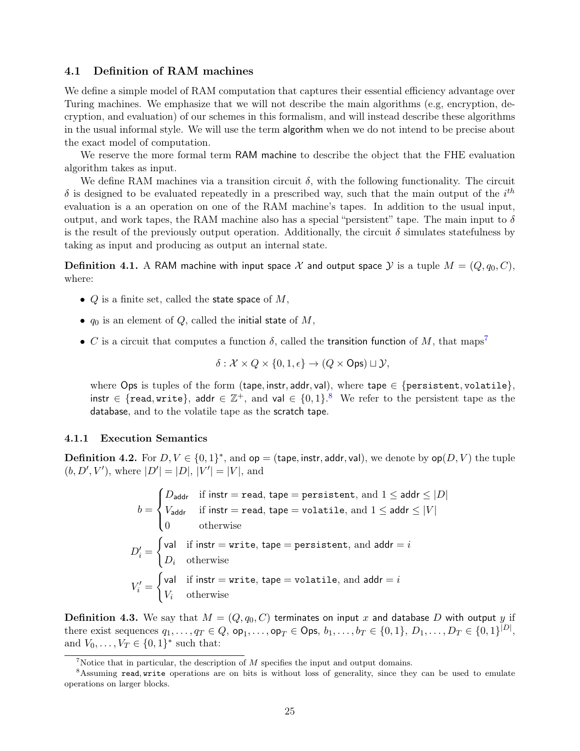#### <span id="page-24-0"></span>4.1 Definition of RAM machines

We define a simple model of RAM computation that captures their essential efficiency advantage over Turing machines. We emphasize that we will not describe the main algorithms (e.g, encryption, decryption, and evaluation) of our schemes in this formalism, and will instead describe these algorithms in the usual informal style. We will use the term algorithm when we do not intend to be precise about the exact model of computation.

We reserve the more formal term RAM machine to describe the object that the FHE evaluation algorithm takes as input.

We define RAM machines via a transition circuit  $\delta$ , with the following functionality. The circuit  $\delta$  is designed to be evaluated repeatedly in a prescribed way, such that the main output of the  $i^{th}$ evaluation is a an operation on one of the RAM machine's tapes. In addition to the usual input, output, and work tapes, the RAM machine also has a special "persistent" tape. The main input to  $\delta$ is the result of the previously output operation. Additionally, the circuit  $\delta$  simulates statefulness by taking as input and producing as output an internal state.

**Definition 4.1.** A RAM machine with input space X and output space Y is a tuple  $M = (Q, q_0, C)$ , where:

- $Q$  is a finite set, called the state space of  $M$ ,
- $q_0$  is an element of Q, called the initial state of M,
- C is a circuit that computes a function  $\delta$ , called the transition function of M, that maps<sup>[7](#page-24-2)</sup>

$$
\delta: \mathcal{X} \times Q \times \{0, 1, \epsilon\} \to (Q \times \mathsf{Ops}) \sqcup \mathcal{Y},
$$

where Ops is tuples of the form (tape, instr, addr, val), where tape  $\in$  {persistent, volatile}, instr  $\in$  {read, write}, addr  $\in \mathbb{Z}^+$ , and val  $\in \{0,1\}$ . <sup>[8](#page-24-3)</sup> We refer to the persistent tape as the database, and to the volatile tape as the scratch tape.

#### <span id="page-24-1"></span>4.1.1 Execution Semantics

**Definition 4.2.** For  $D, V \in \{0, 1\}^*$ , and  $op =$  (tape, instr, addr, val), we denote by  $op(D, V)$  the tuple  $(b, D', V')$ , where  $|D'| = |D|$ ,  $|V'| = |V|$ , and

$$
b = \begin{cases} D_{\text{addr}} & \text{if instr} = \text{read, tape} = \text{persistent, and } 1 \le \text{addr} \le |D| \\ V_{\text{addr}} & \text{if instr} = \text{read, tape} = \text{volatile, and } 1 \le \text{addr} \le |V| \\ 0 & \text{otherwise} \end{cases}
$$
\n
$$
D_i' = \begin{cases} \text{val} & \text{if instr} = \text{write, tape} = \text{persistent, and addr} = i \\ D_i & \text{otherwise} \end{cases}
$$
\n
$$
V_i' = \begin{cases} \text{val} & \text{if instr} = \text{write, tape} = \text{volatile, and addr} = i \\ V_i & \text{otherwise} \end{cases}
$$

<span id="page-24-4"></span>**Definition 4.3.** We say that  $M = (Q, q_0, C)$  terminates on input x and database D with output y if there exist sequences  $q_1, \ldots, q_T \in Q$ ,  $\mathsf{op}_1, \ldots, \mathsf{op}_T \in \mathsf{Ops}, b_1, \ldots, b_T \in \{0, 1\}, D_1, \ldots, D_T \in \{0, 1\}^{|D|},$ and  $V_0, ..., V_T \in \{0, 1\}^*$  such that:

<span id="page-24-3"></span><span id="page-24-2"></span><sup>&</sup>lt;sup>7</sup>Notice that in particular, the description of  $M$  specifies the input and output domains.

<sup>&</sup>lt;sup>8</sup>Assuming read, write operations are on bits is without loss of generality, since they can be used to emulate operations on larger blocks.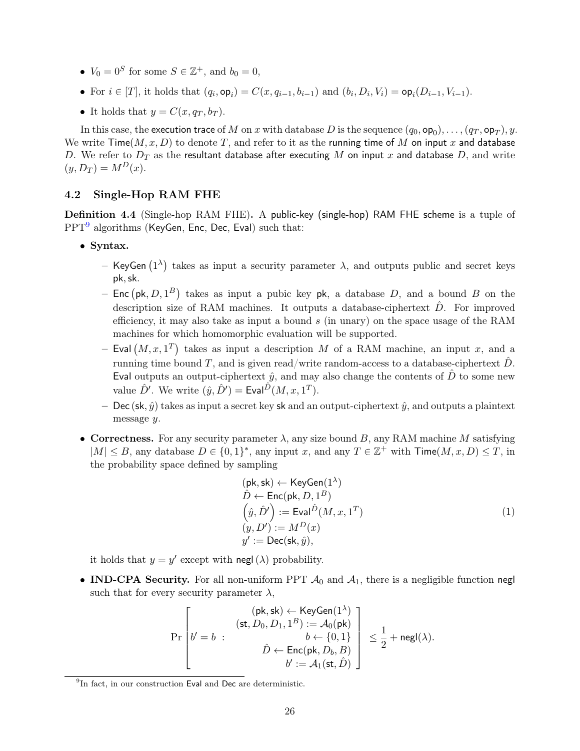- $V_0 = 0^S$  for some  $S \in \mathbb{Z}^+$ , and  $b_0 = 0$ ,
- For  $i \in [T]$ , it holds that  $(q_i, \mathsf{op}_i) = C(x, q_{i-1}, b_{i-1})$  and  $(b_i, D_i, V_i) = \mathsf{op}_i(D_{i-1}, V_{i-1})$ .
- It holds that  $y = C(x, q_T, b_T)$ .

In this case, the **execution trace** of  $M$  on  $x$  with database  $D$  is the sequence  $(q_0, \mathsf{op}_0), \ldots, (q_T, \mathsf{op}_T), y.$ We write  $\textsf{Time}(M, x, D)$  to denote T, and refer to it as the running time of M on input x and database D. We refer to  $D_T$  as the resultant database after executing M on input x and database D, and write  $(y, D_T) = M^D(x)$ .

### <span id="page-25-0"></span>4.2 Single-Hop RAM FHE

<span id="page-25-3"></span>Definition 4.4 (Single-hop RAM FHE). A public-key (single-hop) RAM FHE scheme is a tuple of  $PPT<sup>9</sup>$  $PPT<sup>9</sup>$  $PPT<sup>9</sup>$  algorithms (KeyGen, Enc, Dec, Eval) such that:

- Syntax.
	- KeyGen  $(1^{\lambda})$  takes as input a security parameter  $\lambda$ , and outputs public and secret keys pk,sk.
	- Enc (pk,  $D$ ,  $1^B$ ) takes as input a pubic key pk, a database D, and a bound B on the description size of RAM machines. It outputs a database-ciphertext  $\hat{D}$ . For improved efficiency, it may also take as input a bound  $s$  (in unary) on the space usage of the RAM machines for which homomorphic evaluation will be supported.
	- Eval  $(M, x, 1^T)$  takes as input a description M of a RAM machine, an input x, and a running time bound T, and is given read/write random-access to a database-ciphertext  $\hat{D}$ . Eval outputs an output-ciphertext  $\hat{y}$ , and may also change the contents of  $\hat{D}$  to some new value  $\hat{D}'$ . We write  $(\hat{y}, \hat{D}') = \mathsf{Eval}^{\hat{D}}(M, x, 1^T)$ .
	- Dec (sk,  $\hat{y}$ ) takes as input a secret key sk and an output-ciphertext  $\hat{y}$ , and outputs a plaintext message y.
- Correctness. For any security parameter  $\lambda$ , any size bound B, any RAM machine M satisfying  $|M| \leq B$ , any database  $D \in \{0,1\}^*$ , any input x, and any  $T \in \mathbb{Z}^+$  with  $\mathsf{Time}(M, x, D) \leq T$ , in the probability space defined by sampling

<span id="page-25-2"></span>
$$
(pk, sk) \leftarrow KeyGen(1\lambda)\n\hat{D} \leftarrow Enc(pk, D, 1B)\n(\hat{y}, \hat{D}') := Eva1\hat{D}(M, x, 1T)\n(y, D') := MD(x)\n y' := Dec(sk, \hat{y}),
$$
\n(1)

it holds that  $y = y'$  except with negl( $\lambda$ ) probability.

• IND-CPA Security. For all non-uniform PPT  $A_0$  and  $A_1$ , there is a negligible function negl such that for every security parameter  $\lambda$ ,

$$
\Pr\left[b'=b \; : \; \begin{array}{c} (\mathsf{pk},\mathsf{sk}) \leftarrow \mathsf{KeyGen}(1^{\lambda}) \\ (\mathsf{st},D_0,D_1,1^B) := \mathcal{A}_0(\mathsf{pk}) \\ b \leftarrow \{0,1\} \\ \hat{D} \leftarrow \mathsf{Enc}(\mathsf{pk},D_b,B) \\ b' := \mathcal{A}_1(\mathsf{st},\hat{D}) \end{array}\right] \;\leq \frac{1}{2} + \mathsf{negl}(\lambda).
$$

<span id="page-25-1"></span><sup>&</sup>lt;sup>9</sup>In fact, in our construction Eval and Dec are deterministic.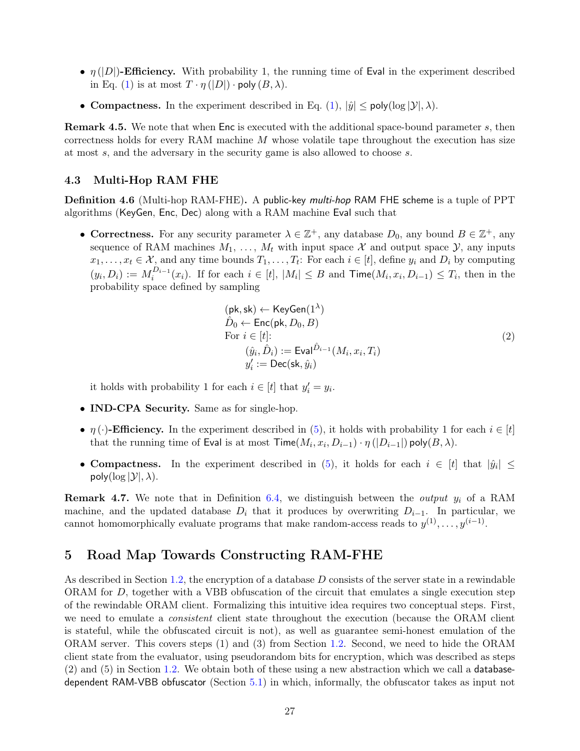- $\eta$  (|D|)-Efficiency. With probability 1, the running time of Eval in the experiment described in Eq. [\(1\)](#page-25-2) is at most  $T \cdot \eta(|D|) \cdot \text{poly}(B, \lambda)$ .
- Compactness. In the experiment described in Eq. [\(1\)](#page-25-2),  $|\hat{y}| \leq \text{poly}(\log |\mathcal{Y}|, \lambda)$ .

Remark 4.5. We note that when Enc is executed with the additional space-bound parameter s, then correctness holds for every RAM machine  $M$  whose volatile tape throughout the execution has size at most s, and the adversary in the security game is also allowed to choose s.

### <span id="page-26-0"></span>4.3 Multi-Hop RAM FHE

Definition 4.6 (Multi-hop RAM-FHE). A public-key multi-hop RAM FHE scheme is a tuple of PPT algorithms (KeyGen, Enc, Dec) along with a RAM machine Eval such that

• Correctness. For any security parameter  $\lambda \in \mathbb{Z}^+$ , any database  $D_0$ , any bound  $B \in \mathbb{Z}^+$ , any sequence of RAM machines  $M_1, \ldots, M_t$  with input space X and output space  $\mathcal{Y}$ , any inputs  $x_1, \ldots, x_t \in \mathcal{X}$ , and any time bounds  $T_1, \ldots, T_t$ : For each  $i \in [t]$ , define  $y_i$  and  $D_i$  by computing  $(y_i, D_i) := M_i^{D_{i-1}}$  $i<sup>D<sub>i-1</sub></sup>(x<sub>i</sub>)$ . If for each  $i \in [t]$ ,  $|M_i| \leq B$  and  $\textsf{Time}(M_i, x_i, D_{i-1}) \leq T_i$ , then in the probability space defined by sampling

$$
\begin{aligned} \n(\mathsf{pk}, \mathsf{sk}) &\leftarrow \mathsf{KeyGen}(1^{\lambda})\\ \n\hat{D}_0 &\leftarrow \mathsf{Enc}(\mathsf{pk}, D_0, B) \\ \n\text{For } i \in [t]:\\ \n(\hat{y}_i, \hat{D}_i) &:= \mathsf{Eval}^{\hat{D}_{i-1}}(M_i, x_i, T_i) \\ \n\mathit{y}'_i &:= \mathsf{Dec}(\mathsf{sk}, \hat{y}_i) \n\end{aligned} \tag{2}
$$

it holds with probability 1 for each  $i \in [t]$  that  $y'_i = y_i$ .

- IND-CPA Security. Same as for single-hop.
- $\eta(\cdot)$ -Efficiency. In the experiment described in [\(5\)](#page-38-1), it holds with probability 1 for each  $i \in [t]$ that the running time of Eval is at most  $\mathsf{Time}(M_i, x_i, D_{i-1}) \cdot \eta(|D_{i-1}|)$  poly $(B, \lambda)$ .
- Compactness. In the experiment described in [\(5\)](#page-38-1), it holds for each  $i \in [t]$  that  $|\hat{y}_i| \leq$ poly $(\log |\mathcal{Y}|, \lambda)$ .

**Remark 4.7.** We note that in Definition [6.4,](#page-37-1) we distinguish between the *output y<sub>i</sub>* of a RAM machine, and the updated database  $D_i$  that it produces by overwriting  $D_{i-1}$ . In particular, we cannot homomorphically evaluate programs that make random-access reads to  $y^{(1)}, \ldots, y^{(i-1)}$ .

## <span id="page-26-1"></span>5 Road Map Towards Constructing RAM-FHE

As described in Section [1.2,](#page-3-0) the encryption of a database D consists of the server state in a rewindable ORAM for D, together with a VBB obfuscation of the circuit that emulates a single execution step of the rewindable ORAM client. Formalizing this intuitive idea requires two conceptual steps. First, we need to emulate a *consistent* client state throughout the execution (because the ORAM client is stateful, while the obfuscated circuit is not), as well as guarantee semi-honest emulation of the ORAM server. This covers steps (1) and (3) from Section [1.2.](#page-3-0) Second, we need to hide the ORAM client state from the evaluator, using pseudorandom bits for encryption, which was described as steps (2) and (5) in Section [1.2.](#page-3-0) We obtain both of these using a new abstraction which we call a databasedependent RAM-VBB obfuscator (Section [5.1\)](#page-27-0) in which, informally, the obfuscator takes as input not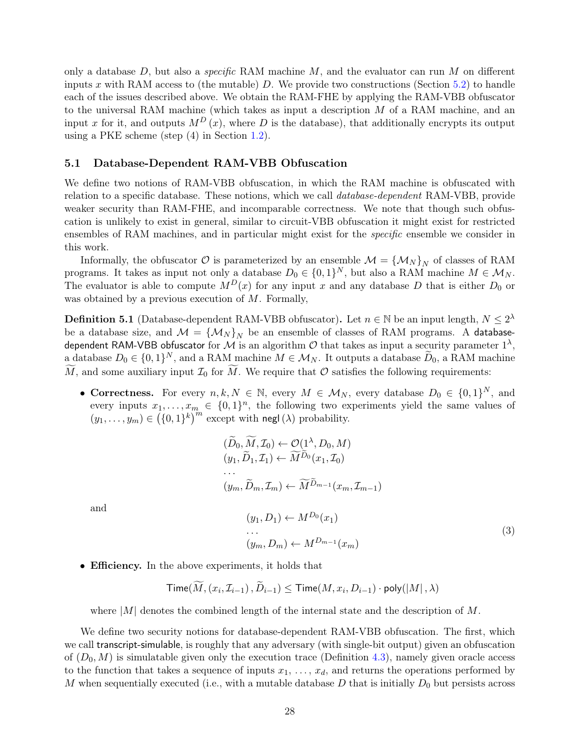only a database  $D$ , but also a *specific* RAM machine  $M$ , and the evaluator can run  $M$  on different inputs x with RAM access to (the mutable)  $D$ . We provide two constructions (Section [5.2\)](#page-28-0) to handle each of the issues described above. We obtain the RAM-FHE by applying the RAM-VBB obfuscator to the universal RAM machine (which takes as input a description M of a RAM machine, and an input x for it, and outputs  $M^D(x)$ , where D is the database), that additionally encrypts its output using a PKE scheme (step (4) in Section [1.2\)](#page-3-0).

#### <span id="page-27-0"></span>5.1 Database-Dependent RAM-VBB Obfuscation

We define two notions of RAM-VBB obfuscation, in which the RAM machine is obfuscated with relation to a specific database. These notions, which we call database-dependent RAM-VBB, provide weaker security than RAM-FHE, and incomparable correctness. We note that though such obfuscation is unlikely to exist in general, similar to circuit-VBB obfuscation it might exist for restricted ensembles of RAM machines, and in particular might exist for the specific ensemble we consider in this work.

Informally, the obfuscator  $\mathcal{O}$  is parameterized by an ensemble  $\mathcal{M} = {\{\mathcal{M}_N\}}_N$  of classes of RAM programs. It takes as input not only a database  $D_0 \in \{0,1\}^N$ , but also a RAM machine  $M \in \mathcal{M}_N$ . The evaluator is able to compute  $M^D(x)$  for any input x and any database D that is either  $D_0$  or was obtained by a previous execution of M. Formally,

<span id="page-27-2"></span>**Definition 5.1** (Database-dependent RAM-VBB obfuscator). Let  $n \in \mathbb{N}$  be an input length,  $N \leq 2^{\lambda}$ be a database size, and  $\mathcal{M} = \{M_N\}_N$  be an ensemble of classes of RAM programs. A databasedependent RAM-VBB obfuscator for M is an algorithm  $\mathcal O$  that takes as input a security parameter  $1^{\lambda}$ , a database  $D_0 \in \{0,1\}^N$ , and a RAM machine  $M \in \mathcal{M}_N$ . It outputs a database  $\widetilde{D}_0$ , a RAM machine  $\widetilde{M}$ , and some auxiliary input  $\mathcal{I}_0$  for  $\widetilde{M}$ . We require that  $\mathcal O$  satisfies the following requirements:

• Correctness. For every  $n, k, N \in \mathbb{N}$ , every  $M \in \mathcal{M}_N$ , every database  $D_0 \in \{0, 1\}^N$ , and every inputs  $x_1, \ldots, x_m \in \{0,1\}^n$ , the following two experiments yield the same values of  $(y_1, \ldots, y_m) \in \left(\{0,1\}^k\right)^m$  except with negl( $\lambda$ ) probability.

$$
(\widetilde{D}_0, \widetilde{M}, \mathcal{I}_0) \leftarrow \mathcal{O}(1^{\lambda}, D_0, M)
$$
  
\n
$$
(y_1, \widetilde{D}_1, \mathcal{I}_1) \leftarrow \widetilde{M}^{\widetilde{D}_0}(x_1, \mathcal{I}_0)
$$
  
\n...  
\n
$$
(y_m, \widetilde{D}_m, \mathcal{I}_m) \leftarrow \widetilde{M}^{\widetilde{D}_{m-1}}(x_m, \mathcal{I}_{m-1})
$$
  
\n
$$
(y_1, D_1) \leftarrow M^{D_0}(x_1)
$$
  
\n...  
\n
$$
(y_m, D_m) \leftarrow M^{D_{m-1}}(x_m)
$$
  
\n(3)

<span id="page-27-1"></span>and

• Efficiency. In the above experiments, it holds that

$$
\mathsf{Time}(\widetilde{M}, (x_i, \mathcal{I}_{i-1}), \widetilde{D}_{i-1}) \le \mathsf{Time}(M, x_i, D_{i-1}) \cdot \mathsf{poly}(|M|, \lambda)
$$

where  $|M|$  denotes the combined length of the internal state and the description of M.

We define two security notions for database-dependent RAM-VBB obfuscation. The first, which we call transcript-simulable, is roughly that any adversary (with single-bit output) given an obfuscation of  $(D_0, M)$  is simulatable given only the execution trace (Definition [4.3\)](#page-24-4), namely given oracle access to the function that takes a sequence of inputs  $x_1, \ldots, x_d$ , and returns the operations performed by M when sequentially executed (i.e., with a mutable database  $D$  that is initially  $D_0$  but persists across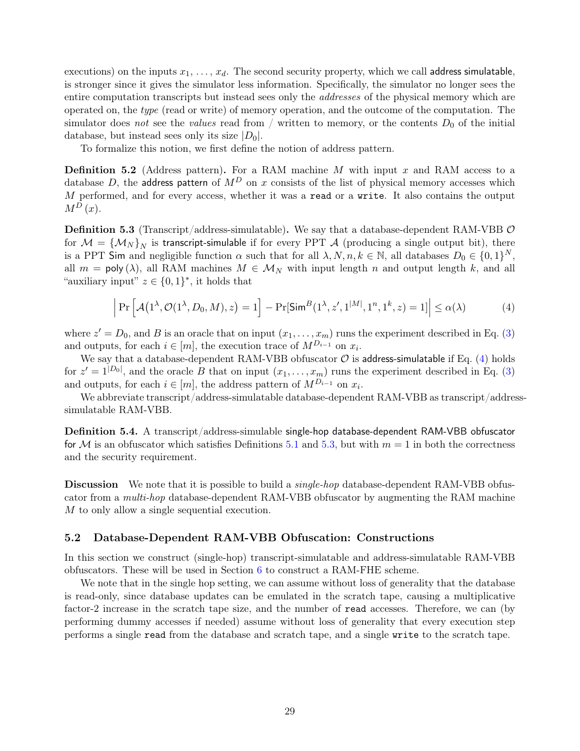executions) on the inputs  $x_1, \ldots, x_d$ . The second security property, which we call address simulatable, is stronger since it gives the simulator less information. Specifically, the simulator no longer sees the entire computation transcripts but instead sees only the *addresses* of the physical memory which are operated on, the type (read or write) of memory operation, and the outcome of the computation. The simulator does not see the values read from / written to memory, or the contents  $D_0$  of the initial database, but instead sees only its size  $|D_0|$ .

To formalize this notion, we first define the notion of address pattern.

**Definition 5.2** (Address pattern). For a RAM machine  $M$  with input  $x$  and RAM access to a database D, the address pattern of  $M^D$  on x consists of the list of physical memory accesses which  $M$  performed, and for every access, whether it was a read or a write. It also contains the output  $M^D(x)$ .

<span id="page-28-2"></span>**Definition 5.3** (Transcript/address-simulatable). We say that a database-dependent RAM-VBB  $\mathcal{O}$ for  $\mathcal{M} = {\{\mathcal{M}_N\}}_N$  is transcript-simulable if for every PPT A (producing a single output bit), there is a PPT Sim and negligible function  $\alpha$  such that for all  $\lambda, N, n, k \in \mathbb{N}$ , all databases  $D_0 \in \{0, 1\}^N$ , all  $m = \text{poly}(\lambda)$ , all RAM machines  $M \in \mathcal{M}_N$  with input length n and output length k, and all "auxiliary input"  $z \in \{0, 1\}^*$ , it holds that

<span id="page-28-1"></span>
$$
\left| \Pr \left[ \mathcal{A} \left( 1^{\lambda}, \mathcal{O} (1^{\lambda}, D_0, M), z \right) = 1 \right] - \Pr[\mathsf{Sim}^B (1^{\lambda}, z', 1^{|M|}, 1^n, 1^k, z) = 1] \right| \leq \alpha(\lambda)
$$
 (4)

where  $z' = D_0$ , and B is an oracle that on input  $(x_1, \ldots, x_m)$  runs the experiment described in Eq. [\(3\)](#page-27-1) and outputs, for each  $i \in [m]$ , the execution trace of  $M^{D_{i-1}}$  on  $x_i$ .

We say that a database-dependent RAM-VBB obfuscator  $\mathcal O$  is address-simulatable if Eq. [\(4\)](#page-28-1) holds for  $z' = 1^{|D_0|}$ , and the oracle B that on input  $(x_1, \ldots, x_m)$  runs the experiment described in Eq. [\(3\)](#page-27-1) and outputs, for each  $i \in [m]$ , the address pattern of  $M^{D_{i-1}}$  on  $x_i$ .

We abbreviate transcript/address-simulatable database-dependent RAM-VBB as transcript/addresssimulatable RAM-VBB.

Definition 5.4. A transcript/address-simulable single-hop database-dependent RAM-VBB obfuscator for M is an obfuscator which satisfies Definitions [5.1](#page-27-2) and [5.3,](#page-28-2) but with  $m = 1$  in both the correctness and the security requirement.

Discussion We note that it is possible to build a *single-hop* database-dependent RAM-VBB obfuscator from a multi-hop database-dependent RAM-VBB obfuscator by augmenting the RAM machine M to only allow a single sequential execution.

#### <span id="page-28-0"></span>5.2 Database-Dependent RAM-VBB Obfuscation: Constructions

In this section we construct (single-hop) transcript-simulatable and address-simulatable RAM-VBB obfuscators. These will be used in Section [6](#page-34-0) to construct a RAM-FHE scheme.

We note that in the single hop setting, we can assume without loss of generality that the database is read-only, since database updates can be emulated in the scratch tape, causing a multiplicative factor-2 increase in the scratch tape size, and the number of read accesses. Therefore, we can (by performing dummy accesses if needed) assume without loss of generality that every execution step performs a single read from the database and scratch tape, and a single write to the scratch tape.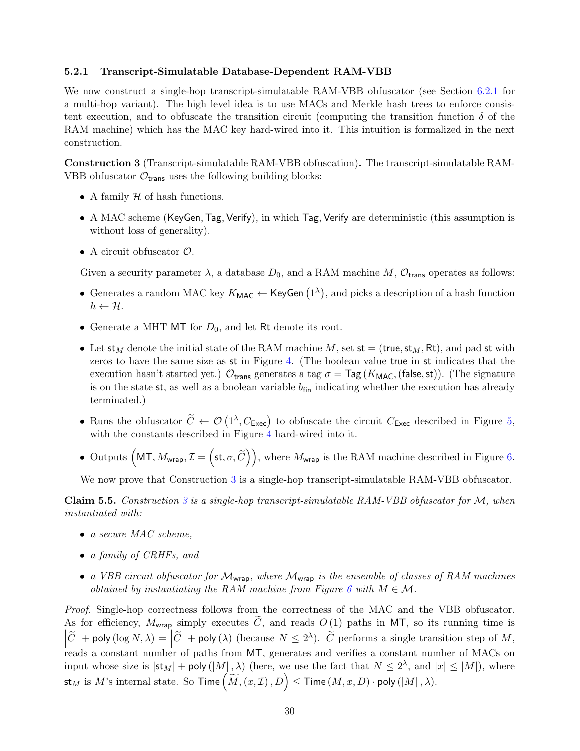#### <span id="page-29-0"></span>5.2.1 Transcript-Simulatable Database-Dependent RAM-VBB

We now construct a single-hop transcript-simulatable RAM-VBB obfuscator (see Section [6.2.1](#page-38-0) for a multi-hop variant). The high level idea is to use MACs and Merkle hash trees to enforce consistent execution, and to obfuscate the transition circuit (computing the transition function  $\delta$  of the RAM machine) which has the MAC key hard-wired into it. This intuition is formalized in the next construction.

<span id="page-29-1"></span>Construction 3 (Transcript-simulatable RAM-VBB obfuscation). The transcript-simulatable RAM-VBB obfuscator  $\mathcal{O}_{\text{trans}}$  uses the following building blocks:

- A family  $H$  of hash functions.
- A MAC scheme (KeyGen, Tag, Verify), in which Tag, Verify are deterministic (this assumption is without loss of generality).
- A circuit obfuscator  $\mathcal{O}$ .

Given a security parameter  $\lambda$ , a database  $D_0$ , and a RAM machine M,  $\mathcal{O}_{\text{trans}}$  operates as follows:

- Generates a random MAC key  $K_{\text{MAC}} \leftarrow \text{KeyGen} (1^{\lambda})$ , and picks a description of a hash function  $h \leftarrow H$ .
- Generate a MHT MT for  $D_0$ , and let Rt denote its root.
- Let  $\mathsf{st}_M$  denote the initial state of the RAM machine M, set  $\mathsf{st} = (\mathsf{true}, \mathsf{st}_M, \mathsf{Rt})$ , and pad  $\mathsf{st}$  with zeros to have the same size as st in Figure [4.](#page-30-0) (The boolean value true in st indicates that the execution hasn't started yet.)  $\mathcal{O}_{\text{trans}}$  generates a tag  $\sigma = \text{Tag}(K_{\text{MAC}}, \text{(false}, \text{st}))$ . (The signature is on the state st, as well as a boolean variable  $b_{fin}$  indicating whether the execution has already terminated.)
- Runs the obfuscator  $\tilde{C} \leftarrow \mathcal{O}(1^{\lambda}, C_{\text{Exec}})$  to obfuscate the circuit  $C_{\text{Exec}}$  described in Figure [5,](#page-57-0) with the constants described in Figure [4](#page-30-0) hard-wired into it.
- Outputs  $(MT, M_{\text{wrap}}, \mathcal{I} = (\text{st}, \sigma, \widetilde{C}))$ , where  $M_{\text{wrap}}$  is the RAM machine described in Figure [6.](#page-58-0)

We now prove that Construction [3](#page-29-1) is a single-hop transcript-simulatable RAM-VBB obfuscator.

<span id="page-29-2"></span>Claim 5.5. Construction [3](#page-29-1) is a single-hop transcript-simulatable RAM-VBB obfuscator for  $\mathcal{M}$ , when instantiated with:

- a secure MAC scheme,
- a family of CRHFs, and
- a VBB circuit obfuscator for  $\mathcal{M}_{\text{wrap}}$ , where  $\mathcal{M}_{\text{wrap}}$  is the ensemble of classes of RAM machines obtained by instantiating the RAM machine from Figure [6](#page-58-0) with  $M \in \mathcal{M}$ .

Proof. Single-hop correctness follows from the correctness of the MAC and the VBB obfuscator. As for efficiency,  $M_{\text{wrap}}$  simply executes  $\tilde{C}$ , and reads  $O(1)$  paths in MT, so its running time is  $|\tilde{C}|$  + poly  $(\log N, \lambda) = |\tilde{C}|$  + poly  $(\lambda)$  (because  $N \leq 2^{\lambda}$ ).  $\tilde{C}$  performs a single transition step of M, reads a constant number of paths from MT, generates and verifies a constant number of MACs on input whose size is  $|\mathsf{st}_M| + \mathsf{poly}(|M|, \lambda)$  (here, we use the fact that  $N \leq 2^{\lambda}$ , and  $|x| \leq |M|$ ), where  $\mathsf{st}_M$  is  $M$ 's internal state. So  $\mathsf{Time}\left(\widetilde{M}, (x, \mathcal{I})\, , D\right) \le \mathsf{Time}\left(M, x, D\right) \cdot \mathsf{poly}\left(\left|M\right|, \lambda\right).$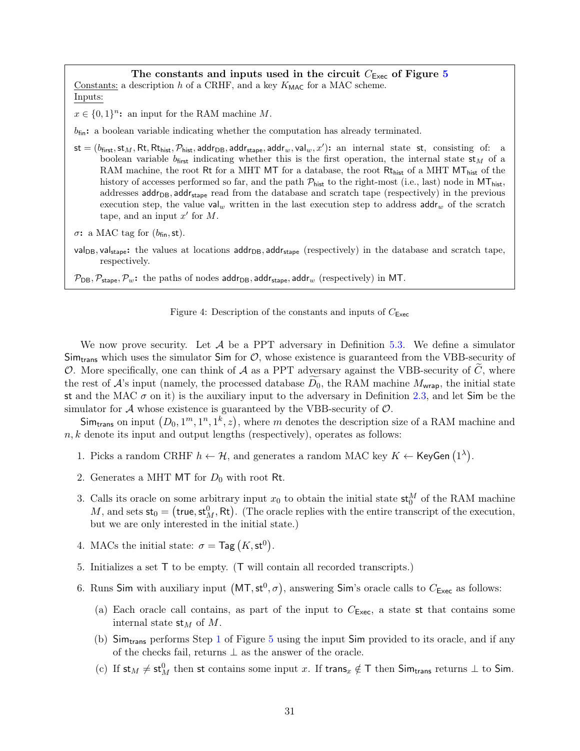<span id="page-30-0"></span>The constants and inputs used in the circuit  $C_{\text{Exec}}$  of Figure [5](#page-57-0) Constants: a description  $h$  of a CRHF, and a key  $K_{\text{MAC}}$  for a MAC scheme. Inputs:

 $x \in \{0,1\}^n$ : an input for the RAM machine M.

 $b_{fin}$ : a boolean variable indicating whether the computation has already terminated.

- $\mathsf{st} = (b_\mathsf{first}, \mathsf{st}_M, \mathsf{Rt}, \mathsf{Rt}_\mathsf{hist}, \mathcal{P}_\mathsf{hist}, \mathsf{addr}_\mathsf{DB}, \mathsf{addr}_\mathsf{step}, \mathsf{addr}_w, \mathsf{val}_w, x')$ : an internal state  $\mathsf{st},$  consisting of: a boolean variable  $b_{\text{first}}$  indicating whether this is the first operation, the internal state  $\mathsf{st}_M$  of a RAM machine, the root Rt for a MHT MT for a database, the root Rt<sub>hist</sub> of a MHT MT<sub>hist</sub> of the history of accesses performed so far, and the path  $\mathcal{P}_{\text{hist}}$  to the right-most (i.e., last) node in  $\text{MT}_{\text{hist}}$ , addresses addr<sub>DB</sub>, addr<sub>stape</sub> read from the database and scratch tape (respectively) in the previous execution step, the value val<sub>w</sub> written in the last execution step to address addr<sub>w</sub> of the scratch tape, and an input  $x'$  for  $M$ .
- σ: a MAC tag for  $(b_{fin},$  st).
- $val_{DB}$ , val<sub>stape</sub>: the values at locations addr<sub>DB</sub>, addr<sub>stape</sub> (respectively) in the database and scratch tape, respectively.

 $\mathcal{P}_{\text{DB}}, \mathcal{P}_{\text{shape}}, \mathcal{P}_{w}$ : the paths of nodes addr<sub>DB</sub>, addr<sub>stape</sub>, addr<sub>w</sub> (respectively) in MT.

Figure 4: Description of the constants and inputs of  $C_{\text{Exec}}$ 

We now prove security. Let  $A$  be a PPT adversary in Definition [5.3.](#page-28-2) We define a simulator  $Sim_{trans}$  which uses the simulator Sim for  $\mathcal{O}$ , whose existence is guaranteed from the VBB-security of O. More specifically, one can think of A as a PPT adversary against the VBB-security of  $\tilde{C}$ , where the rest of  $\mathcal{A}$ 's input (namely, the processed database  $D_0$ , the RAM machine  $M_{\text{wrap}}$ , the initial state st and the MAC  $\sigma$  on it) is the auxiliary input to the adversary in Definition [2.3,](#page-9-4) and let Sim be the simulator for  $A$  whose existence is guaranteed by the VBB-security of  $O$ .

Sim<sub>trans</sub> on input  $(D_0, 1^m, 1^n, 1^k, z)$ , where m denotes the description size of a RAM machine and  $n, k$  denote its input and output lengths (respectively), operates as follows:

- 1. Picks a random CRHF  $h \leftarrow H$ , and generates a random MAC key  $K \leftarrow$  KeyGen  $(1^{\lambda})$ .
- 2. Generates a MHT MT for  $D_0$  with root Rt.
- 3. Calls its oracle on some arbitrary input  $x_0$  to obtain the initial state  $\mathsf{st}_0^M$  of the RAM machine M, and sets  $st_0 = (true, st_M^0, Rt)$ . (The oracle replies with the entire transcript of the execution, but we are only interested in the initial state.)
- 4. MACs the initial state:  $\sigma = \text{Tag}(K, \text{st}^0)$ .
- 5. Initializes a set T to be empty. (T will contain all recorded transcripts.)
- <span id="page-30-1"></span>6. Runs Sim with auxiliary input  $(MT, st^0, \sigma)$ , answering Sim's oracle calls to  $C_{\text{Exec}}$  as follows:
	- (a) Each oracle call contains, as part of the input to  $C_{\text{Exec}}$ , a state st that contains some internal state  $st_M$  of M.
	- (b)  $Sim_{trans}$  performs Step [1](#page-57-1) of Figure [5](#page-57-0) using the input Sim provided to its oracle, and if any of the checks fail, returns  $\perp$  as the answer of the oracle.
	- (c) If  $st_M \neq st_M^0$  then st contains some input x. If trans<sub>x</sub>  $\notin \mathsf{T}$  then  $\mathsf{Sim}_{\mathsf{trans}}$  returns  $\bot$  to  $\mathsf{Sim}$ .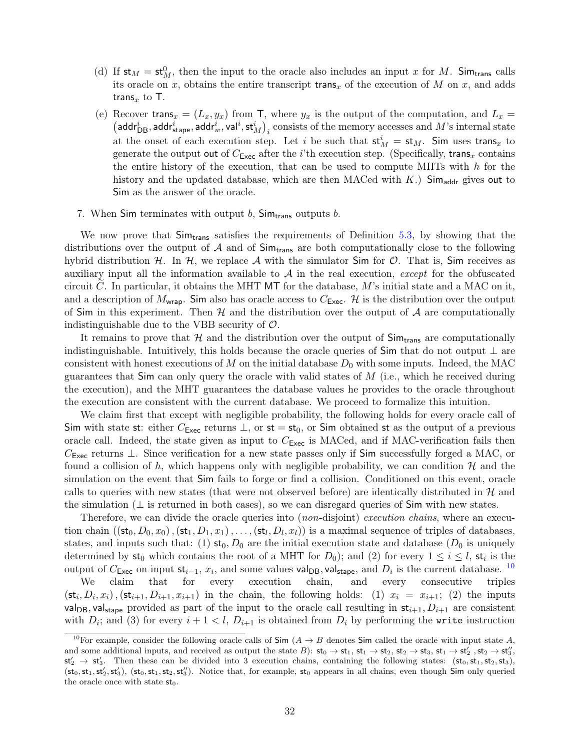- (d) If  $st_M = st_M^0$ , then the input to the oracle also includes an input x for M. Sim<sub>trans</sub> calls its oracle on x, obtains the entire transcript trans<sub>x</sub> of the execution of M on x, and adds trans<sub>x</sub> to T.
- (e) Recover trans<sub>x</sub> =  $(L_x, y_x)$  from T, where  $y_x$  is the output of the computation, and  $L_x$  =  $\big(\mathsf{addr}_\mathsf{DB}^i,\mathsf{addr}_\mathsf{stage}^i,\mathsf{addr}_w^i,\mathsf{val}^i,\mathsf{st}_M^i\big)_i$  consists of the memory accesses and  $M$ 's internal state at the onset of each execution step. Let i be such that  $\mathsf{st}_M^i = \mathsf{st}_M$ . Sim uses trans<sub>x</sub> to generate the output out of  $C_{\text{Exec}}$  after the *i*'th execution step. (Specifically, trans<sub>x</sub> contains the entire history of the execution, that can be used to compute MHTs with  $h$  for the history and the updated database, which are then MACed with  $K$ .) Sim<sub>addr</sub> gives out to Sim as the answer of the oracle.
- 7. When Sim terminates with output b,  $\mathsf{Sim}_{\mathsf{trans}}$  outputs b.

We now prove that  $Sim_{trans}$  satisfies the requirements of Definition [5.3,](#page-28-2) by showing that the distributions over the output of  $\mathcal A$  and of  $\mathsf{Sim}_{\mathsf{trans}}$  are both computationally close to the following hybrid distribution H. In H, we replace A with the simulator Sim for  $\mathcal{O}$ . That is, Sim receives as auxiliary input all the information available to  $A$  in the real execution, except for the obfuscated circuit C. In particular, it obtains the MHT MT for the database,  $M$ 's initial state and a MAC on it, and a description of  $M_{\text{wrap}}$ . Sim also has oracle access to  $C_{\text{Exec}}$ . H is the distribution over the output of Sim in this experiment. Then  $H$  and the distribution over the output of  $A$  are computationally indistinguishable due to the VBB security of  $\mathcal{O}$ .

It remains to prove that  $\mathcal{H}$  and the distribution over the output of  $Sim_{trans}$  are computationally indistinguishable. Intuitively, this holds because the oracle queries of Sim that do not output  $\perp$  are consistent with honest executions of  $M$  on the initial database  $D_0$  with some inputs. Indeed, the MAC guarantees that Sim can only query the oracle with valid states of  $M$  (i.e., which he received during the execution), and the MHT guarantees the database values he provides to the oracle throughout the execution are consistent with the current database. We proceed to formalize this intuition.

We claim first that except with negligible probability, the following holds for every oracle call of Sim with state st: either  $C_{\text{Exec}}$  returns  $\perp$ , or st = st<sub>0</sub>, or Sim obtained st as the output of a previous oracle call. Indeed, the state given as input to  $C_{\text{Exec}}$  is MACed, and if MAC-verification fails then  $C_{\text{Exec}}$  returns  $\perp$ . Since verification for a new state passes only if Sim successfully forged a MAC, or found a collision of h, which happens only with negligible probability, we can condition  $H$  and the simulation on the event that Sim fails to forge or find a collision. Conditioned on this event, oracle calls to queries with new states (that were not observed before) are identically distributed in  $\mathcal{H}$  and the simulation  $(\perp$  is returned in both cases), so we can disregard queries of Sim with new states.

Therefore, we can divide the oracle queries into (*non*-disjoint) execution chains, where an execution chain  $((\mathsf{st}_0, D_0, x_0), (\mathsf{st}_1, D_1, x_1), \ldots, (\mathsf{st}_l, D_l, x_l))$  is a maximal sequence of triples of databases, states, and inputs such that: (1)  $\mathsf{st}_0, D_0$  are the initial execution state and database ( $D_0$  is uniquely determined by  $st_0$  which contains the root of a MHT for  $D_0$ ); and (2) for every  $1 \leq i \leq l$ ,  $st_i$  is the output of  $C_{\text{Exec}}$  on input  $\mathsf{st}_{i-1}$ ,  $x_i$ , and some values val<sub>DB</sub>, val<sub>stape</sub>, and  $D_i$  is the current database. <sup>[10](#page-31-0)</sup>

We claim that for every execution chain, and every consecutive triples  $(\mathsf{st}_i, D_i, x_i), (\mathsf{st}_{i+1}, D_{i+1}, x_{i+1})$  in the chain, the following holds: (1)  $x_i = x_{i+1}$ ; (2) the inputs  $val_{DB}$ , val<sub>stape</sub> provided as part of the input to the oracle call resulting in  $st_{i+1}, D_{i+1}$  are consistent with  $D_i$ ; and (3) for every  $i + 1 < l$ ,  $D_{i+1}$  is obtained from  $D_i$  by performing the write instruction

<span id="page-31-0"></span><sup>&</sup>lt;sup>10</sup>For example, consider the following oracle calls of Sim ( $A \rightarrow B$  denotes Sim called the oracle with input state A, and some additional inputs, and received as output the state B):  $\mathsf{st}_0 \to \mathsf{st}_1$ ,  $\mathsf{st}_1 \to \mathsf{st}_2$ ,  $\mathsf{st}_2 \to \mathsf{st}_3$ ,  $\mathsf{st}_1 \to \mathsf{st}_2'$ ,  $\mathsf{st}_2 \to \mathsf{st}_3''$ ,  $st_2' \rightarrow st_3'$ . Then these can be divided into 3 execution chains, containing the following states:  $(st_0, st_1, st_2, st_3)$ ,  $(st_0, st_1, st'_2, st'_3)$ ,  $(st_0, st_1, st_2, st''_3)$ . Notice that, for example,  $st_0$  appears in all chains, even though Sim only queried the oracle once with state  $st_0$ .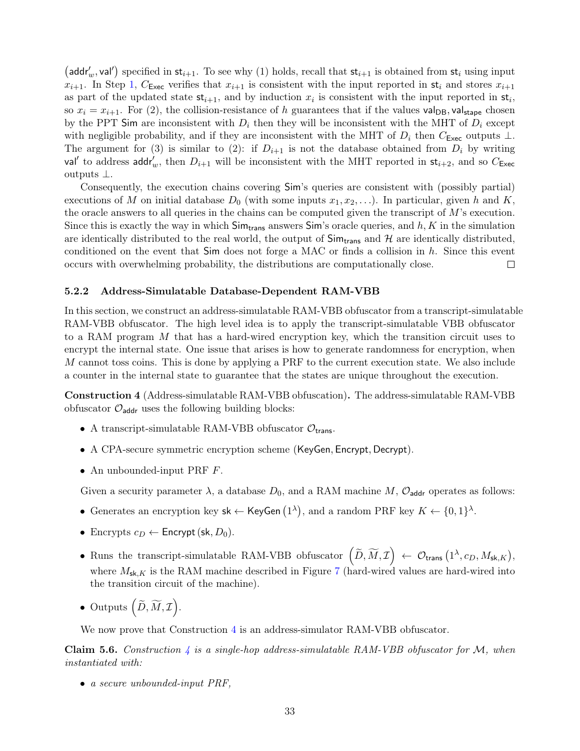(addr'<sub>w</sub>, val') specified in  $st_{i+1}$ . To see why (1) holds, recall that  $st_{i+1}$  is obtained from  $st_i$  using input  $x_{i+1}$ . In Step [1,](#page-57-1)  $C_{\text{Exec}}$  verifies that  $x_{i+1}$  is consistent with the input reported in  $st_i$  and stores  $x_{i+1}$ as part of the updated state  $st_{i+1}$ , and by induction  $x_i$  is consistent with the input reported in  $st_i$ , so  $x_i = x_{i+1}$ . For (2), the collision-resistance of h guarantees that if the values val<sub>DB</sub>, val<sub>stape</sub> chosen by the PPT Sim are inconsistent with  $D_i$  then they will be inconsistent with the MHT of  $D_i$  except with negligible probability, and if they are inconsistent with the MHT of  $D_i$  then  $C_{\text{Exec}}$  outputs  $\perp$ . The argument for (3) is similar to (2): if  $D_{i+1}$  is not the database obtained from  $D_i$  by writing val' to address addr'<sub>w</sub>, then  $D_{i+1}$  will be inconsistent with the MHT reported in  $st_{i+2}$ , and so  $C_{\text{Exec}}$ outputs ⊥.

Consequently, the execution chains covering Sim's queries are consistent with (possibly partial) executions of M on initial database  $D_0$  (with some inputs  $x_1, x_2, \ldots$ ). In particular, given h and K, the oracle answers to all queries in the chains can be computed given the transcript of  $M$ 's execution. Since this is exactly the way in which  $\text{Sim}_{trans}$  answers  $\text{Sim's oracle}$  queries, and h, K in the simulation are identically distributed to the real world, the output of  $Sim_{trans}$  and  $H$  are identically distributed, conditioned on the event that  $Sim$  does not forge a MAC or finds a collision in h. Since this event occurs with overwhelming probability, the distributions are computationally close.  $\Box$ 

#### <span id="page-32-0"></span>5.2.2 Address-Simulatable Database-Dependent RAM-VBB

In this section, we construct an address-simulatable RAM-VBB obfuscator from a transcript-simulatable RAM-VBB obfuscator. The high level idea is to apply the transcript-simulatable VBB obfuscator to a RAM program M that has a hard-wired encryption key, which the transition circuit uses to encrypt the internal state. One issue that arises is how to generate randomness for encryption, when M cannot toss coins. This is done by applying a PRF to the current execution state. We also include a counter in the internal state to guarantee that the states are unique throughout the execution.

<span id="page-32-1"></span>Construction 4 (Address-simulatable RAM-VBB obfuscation). The address-simulatable RAM-VBB obfuscator  $\mathcal{O}_{\text{addr}}$  uses the following building blocks:

- A transcript-simulatable RAM-VBB obfuscator  $\mathcal{O}_{\text{trans}}$ .
- A CPA-secure symmetric encryption scheme (KeyGen, Encrypt, Decrypt).
- An unbounded-input PRF F.

Given a security parameter  $\lambda$ , a database  $D_0$ , and a RAM machine  $M$ ,  $\mathcal{O}_{\mathsf{addr}}$  operates as follows:

- Generates an encryption key  $sk \leftarrow \text{KeyGen}(1^{\lambda})$ , and a random PRF key  $K \leftarrow \{0,1\}^{\lambda}$ .
- Encrypts  $c_D \leftarrow$  Encrypt (sk,  $D_0$ ).
- Runs the transcript-simulatable RAM-VBB obfuscator  $\left(\widetilde{D}, \widetilde{M}, \mathcal{I}\right) \leftarrow \mathcal{O}_{\text{trans}}\left(1^{\lambda}, c_D, M_{\text{sk}, K}\right),$ where  $M_{sk,K}$  is the RAM machine described in Figure [7](#page-59-0) (hard-wired values are hard-wired into the transition circuit of the machine).
- Outputs  $\left(\widetilde{D}, \widetilde{M}, \mathcal{I}\right)$ .

We now prove that Construction [4](#page-32-1) is an address-simulator RAM-VBB obfuscator.

<span id="page-32-2"></span>**Claim 5.6.** Construction [4](#page-32-1) is a single-hop address-simulatable RAM-VBB obfuscator for  $M$ , when instantiated with:

• a secure unbounded-input PRF,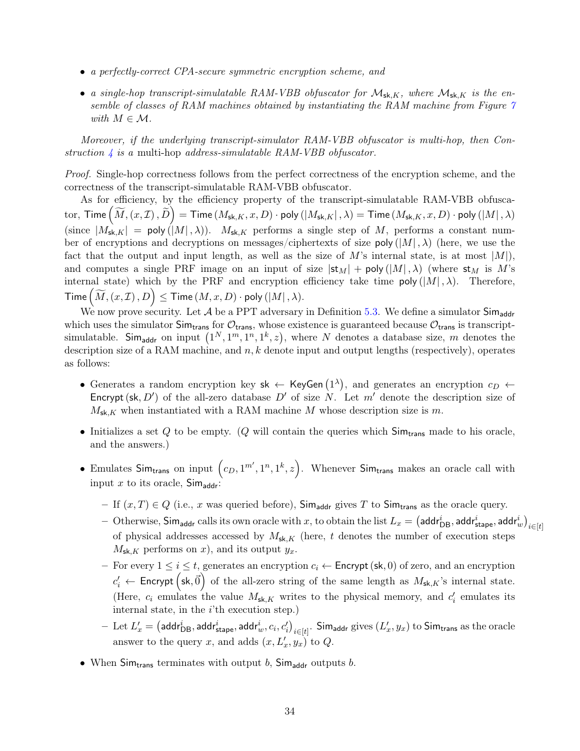- a perfectly-correct CPA-secure symmetric encryption scheme, and
- a single-hop transcript-simulatable RAM-VBB obfuscator for  $M_{sk,K}$ , where  $M_{sk,K}$  is the ensemble of classes of RAM machines obtained by instantiating the RAM machine from Figure [7](#page-59-0) with  $M \in \mathcal{M}$ .

Moreover, if the underlying transcript-simulator RAM-VBB obfuscator is multi-hop, then Construction  $\downarrow$  is a multi-hop address-simulatable RAM-VBB obfuscator.

Proof. Single-hop correctness follows from the perfect correctness of the encryption scheme, and the correctness of the transcript-simulatable RAM-VBB obfuscator.

As for efficiency, by the efficiency property of the transcript-simulatable RAM-VBB obfusca- ${\rm tor},\ {\sf Time}\left(\widetilde{M}, (x,\mathcal{I})\,, \widetilde{D}\right) ={\sf Time}\left(M_{\mathsf{sk}, K}, x, D\right)\cdot {\sf poly}\left(\lvert M_{\mathsf{sk}, K}\rvert, \lambda\right) ={\sf Time}\left(M_{\mathsf{sk}, K}, x, D\right)\cdot {\sf poly}\left(\lvert M\rvert\,, \lambda\right)$ (since  $|M_{\mathsf{sk},K}| = \mathsf{poly}(M|\,\lambda)).$   $M_{\mathsf{sk},K}$  performs a single step of M, performs a constant number of encryptions and decryptions on messages/ciphertexts of size poly  $(|M|, \lambda)$  (here, we use the fact that the output and input length, as well as the size of M's internal state, is at most  $|M|$ ), and computes a single PRF image on an input of size  $|\text{st}_M| + \text{poly}(|M|, \lambda)$  (where  $\text{st}_M$  is M's internal state) which by the PRF and encryption efficiency take time  $\mathsf{poly}(|M|,\lambda)$ . Therefore,  $\textsf{Time}\left(\widetilde{M},\left(x,\mathcal{I}\right),D\right)\leq \textsf{Time}\left(M,x,D\right)\cdot \textsf{poly}\left(\left|M\right|,\lambda\right).$ 

We now prove security. Let  $\mathcal A$  be a PPT adversary in Definition [5.3.](#page-28-2) We define a simulator  $Sim_{addr}$ which uses the simulator  $Sim_{trans}$  for  $\mathcal{O}_{trans}$ , whose existence is guaranteed because  $\mathcal{O}_{trans}$  is transcriptsimulatable. Sim<sub>addr</sub> on input  $(1^N, 1^m, 1^k, z)$ , where N denotes a database size, m denotes the description size of a RAM machine, and  $n, k$  denote input and output lengths (respectively), operates as follows:

- Generates a random encryption key  $sk \leftarrow \text{KeyGen}(1^{\lambda})$ , and generates an encryption  $c_D \leftarrow$ Encrypt (sk, D') of the all-zero database D' of size N. Let m' denote the description size of  $M_{\mathsf{sk},K}$  when instantiated with a RAM machine M whose description size is m.
- Initializes a set Q to be empty. (Q will contain the queries which  $Sim_{trans}$  made to his oracle, and the answers.)
- Emulates Sim<sub>trans</sub> on input  $(c_D, 1^{m'}, 1^n, 1^k, z)$ . Whenever Sim<sub>trans</sub> makes an oracle call with input x to its oracle,  $Sim_{addr}$ :
	- If  $(x, T) \in Q$  (i.e., x was queried before), Sim<sub>addr</sub> gives T to Sim<sub>trans</sub> as the oracle query.
	- $-$  Otherwise,  $\mathsf{Sim}_\mathsf{addr}$  calls its own oracle with  $x,$  to obtain the list  $L_x = \big(\mathsf{addr}_\mathsf{DB}^i,\mathsf{addr}_\mathsf{step}^i,\mathsf{addr}_w^i\big)_{i\in[t]}$ of physical addresses accessed by  $M_{sk,K}$  (here, t denotes the number of execution steps  $M_{\mathsf{sk},K}$  performs on x), and its output  $y_x$ .
	- For every  $1 \le i \le t$ , generates an encryption  $c_i$  ← Encrypt (sk, 0) of zero, and an encryption  $c'_i \leftarrow$  Encrypt  $(s_k, \vec{0})$  of the all-zero string of the same length as  $M_{sk,K}$ 's internal state. (Here,  $c_i$  emulates the value  $M_{sk,K}$  writes to the physical memory, and  $c'_i$  emulates its internal state, in the  $i$ <sup>th</sup> execution step.)
	- $-$  Let  $L'_x=$   $\big($ addr $^i_{\sf DB},$ addr $^i_{{\sf stage}}$ ,addr $^i_w,c_i,c'_i\big)_{i\in[t]}.$  Sim<sub>addr</sub> gives  $(L'_x,y_x)$  to Sim<sub>trans</sub> as the oracle answer to the query x, and adds  $(x, L'_x, y_x)$  to Q.
- When Sim<sub>trans</sub> terminates with output b, Sim<sub>addr</sub> outputs b.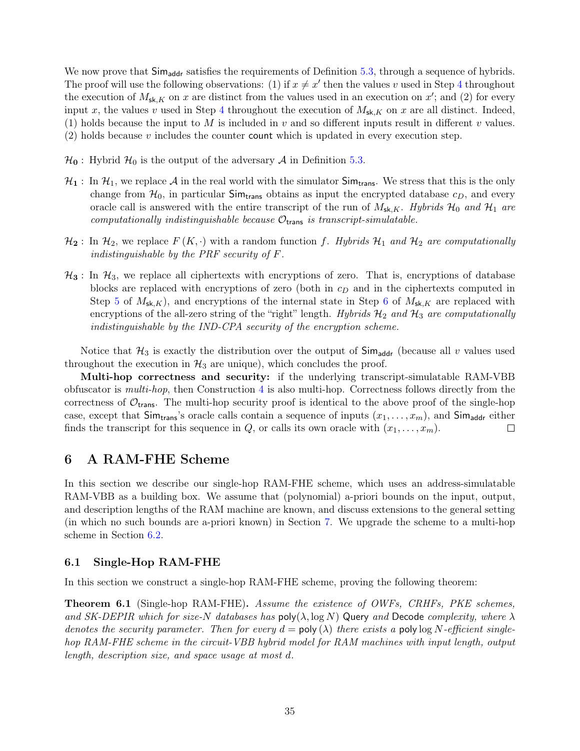We now prove that  $Sim_{addr}$  satisfies the requirements of Definition [5.3,](#page-28-2) through a sequence of hybrids. The proof will use the following observations: (1) if  $x \neq x'$  then the values v used in Step [4](#page-59-1) throughout the execution of  $M_{\mathsf{sk},K}$  on x are distinct from the values used in an execution on  $x'$ ; and (2) for every input x, the values v used in Step [4](#page-59-1) throughout the execution of  $M_{sk,K}$  on x are all distinct. Indeed, (1) holds because the input to M is included in v and so different inputs result in different v values.  $(2)$  holds because v includes the counter count which is updated in every execution step.

- $\mathcal{H}_{0}$ : Hybrid  $\mathcal{H}_{0}$  is the output of the adversary A in Definition [5.3.](#page-28-2)
- $\mathcal{H}_1$ : In  $\mathcal{H}_1$ , we replace  $\mathcal A$  in the real world with the simulator Sim<sub>trans</sub>. We stress that this is the only change from  $\mathcal{H}_0$ , in particular  $\mathsf{Sim}_{\mathsf{trans}}$  obtains as input the encrypted database  $c_D$ , and every oracle call is answered with the entire transcript of the run of  $M_{sk,K}$ . Hybrids  $\mathcal{H}_0$  and  $\mathcal{H}_1$  are computationally indistinguishable because  $\mathcal{O}_{\text{trans}}$  is transcript-simulatable.
- $\mathcal{H}_2$ : In  $\mathcal{H}_2$ , we replace  $F(K, \cdot)$  with a random function f. Hybrids  $\mathcal{H}_1$  and  $\mathcal{H}_2$  are computationally indistinguishable by the PRF security of F.
- $\mathcal{H}_3$ : In  $\mathcal{H}_3$ , we replace all ciphertexts with encryptions of zero. That is, encryptions of database blocks are replaced with encryptions of zero (both in  $c<sub>D</sub>$  and in the ciphertexts computed in Step [5](#page-59-2) of  $M_{sk,K}$ , and encryptions of the internal state in Step [6](#page-59-3) of  $M_{sk,K}$  are replaced with encryptions of the all-zero string of the "right" length. Hybrids  $\mathcal{H}_2$  and  $\mathcal{H}_3$  are computationally indistinguishable by the IND-CPA security of the encryption scheme.

Notice that  $\mathcal{H}_3$  is exactly the distribution over the output of Sim<sub>addr</sub> (because all v values used throughout the execution in  $\mathcal{H}_3$  are unique), which concludes the proof.

Multi-hop correctness and security: if the underlying transcript-simulatable RAM-VBB obfuscator is *multi-hop*, then Construction  $4$  is also multi-hop. Correctness follows directly from the correctness of  $\mathcal{O}_{\text{trans}}$ . The multi-hop security proof is identical to the above proof of the single-hop case, except that  $Sim_{trans}$ 's oracle calls contain a sequence of inputs  $(x_1, \ldots, x_m)$ , and  $Sim_{addr}$  either finds the transcript for this sequence in Q, or calls its own oracle with  $(x_1, \ldots, x_m)$ .  $\Box$ 

## <span id="page-34-0"></span>6 A RAM-FHE Scheme

In this section we describe our single-hop RAM-FHE scheme, which uses an address-simulatable RAM-VBB as a building box. We assume that (polynomial) a-priori bounds on the input, output, and description lengths of the RAM machine are known, and discuss extensions to the general setting (in which no such bounds are a-priori known) in Section [7.](#page-44-0) We upgrade the scheme to a multi-hop scheme in Section [6.2.](#page-37-0)

### <span id="page-34-1"></span>6.1 Single-Hop RAM-FHE

<span id="page-34-2"></span>In this section we construct a single-hop RAM-FHE scheme, proving the following theorem:

**Theorem 6.1** (Single-hop RAM-FHE). Assume the existence of OWFs, CRHFs, PKE schemes, and SK-DEPIR which for size-N databases has  $poly(\lambda, \log N)$  Query and Decode complexity, where  $\lambda$ denotes the security parameter. Then for every  $d = \text{poly}(\lambda)$  there exists a poly log N-efficient singlehop RAM-FHE scheme in the circuit-VBB hybrid model for RAM machines with input length, output length, description size, and space usage at most d.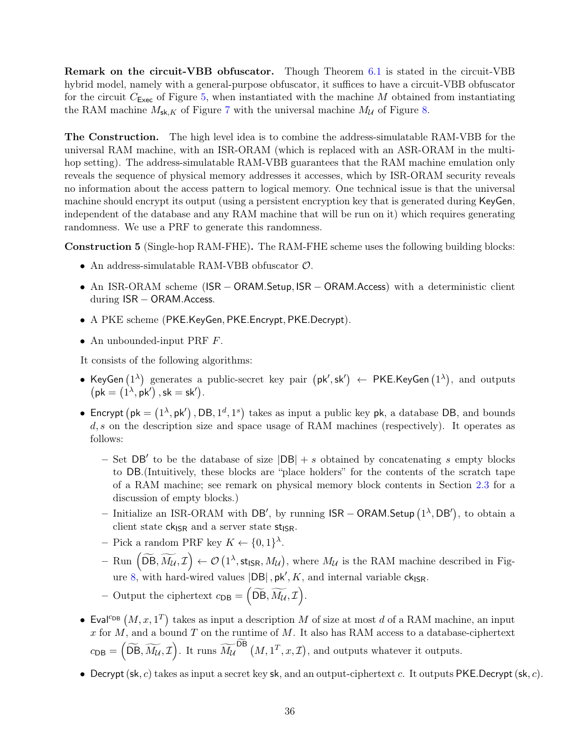Remark on the circuit-VBB obfuscator. Though Theorem [6.1](#page-34-2) is stated in the circuit-VBB hybrid model, namely with a general-purpose obfuscator, it suffices to have a circuit-VBB obfuscator for the circuit  $C_{\text{Exec}}$  of Figure [5,](#page-57-0) when instantiated with the machine M obtained from instantiating the RAM machine  $M_{\mathsf{sk},K}$  of Figure [7](#page-59-0) with the universal machine  $M_{\mathcal{U}}$  of Figure [8.](#page-60-0)

The Construction. The high level idea is to combine the address-simulatable RAM-VBB for the universal RAM machine, with an ISR-ORAM (which is replaced with an ASR-ORAM in the multihop setting). The address-simulatable RAM-VBB guarantees that the RAM machine emulation only reveals the sequence of physical memory addresses it accesses, which by ISR-ORAM security reveals no information about the access pattern to logical memory. One technical issue is that the universal machine should encrypt its output (using a persistent encryption key that is generated during KeyGen, independent of the database and any RAM machine that will be run on it) which requires generating randomness. We use a PRF to generate this randomness.

<span id="page-35-0"></span>Construction 5 (Single-hop RAM-FHE). The RAM-FHE scheme uses the following building blocks:

- An address-simulatable RAM-VBB obfuscator  $\mathcal{O}$ .
- An ISR-ORAM scheme (ISR ORAM.Setup, ISR ORAM.Access) with a deterministic client during ISR – ORAM.Access.
- A PKE scheme (PKE.KeyGen, PKE.Encrypt, PKE.Decrypt).
- An unbounded-input PRF F.

It consists of the following algorithms:

- KeyGen  $(1^{\lambda})$  generates a public-secret key pair  $(\mathsf{pk}', \mathsf{sk}') \leftarrow \mathsf{PKE}$ . KeyGen  $(1^{\lambda})$ , and outputs  $(\mathsf{pk} = (1^{\lambda}, \mathsf{pk}')$ , sk = sk').
- Encrypt  $(\mathsf{pk} = (1^{\lambda}, \mathsf{pk}')$ , DB,  $1^d, 1^s)$  takes as input a public key pk, a database DB, and bounds  $d, s$  on the description size and space usage of RAM machines (respectively). It operates as follows:
	- Set DB' to be the database of size  $|DB| + s$  obtained by concatenating s empty blocks to DB.(Intuitively, these blocks are "place holders" for the contents of the scratch tape of a RAM machine; see remark on physical memory block contents in Section [2.3](#page-10-0) for a discussion of empty blocks.)
	- Initialize an ISR-ORAM with DB', by running  $\textsf{ISR} \textsf{ORAM}$ . Setup  $(1^\lambda, \textsf{DB}')$ , to obtain a client state  $ck_{ISR}$  and a server state  $st_{ISR}$ .
	- Pick a random PRF key  $K \leftarrow \{0,1\}^{\lambda}$ .
	- $-$  Run  $\left(\widetilde{\mathsf{DB}}, \widetilde{M_{\mathcal{U}}}, \mathcal{I}\right) \leftarrow \mathcal{O}\left(1^{\lambda}, \mathsf{st}_{\mathsf{ISR}}, M_{\mathcal{U}}\right)$ , where  $M_{\mathcal{U}}$  is the RAM machine described in Fig-ure [8,](#page-60-0) with hard-wired values  $|DB|$ ,  $pk', K$ , and internal variable  $ck_{ISR}$ .
	- Output the ciphertext  $c_{DB} = (\widetilde{DB}, \widetilde{M}_U, \mathcal{I}).$
- Eval<sup>cob</sup>  $(M, x, 1^T)$  takes as input a description M of size at most d of a RAM machine, an input x for  $M$ , and a bound  $T$  on the runtime of  $M$ . It also has RAM access to a database-ciphertext  $c_{\text{DB}} = (\widetilde{\text{DB}}, \widetilde{M}_{\mathcal{U}}, \mathcal{I})$ . It runs  $\widetilde{M}_{\mathcal{U}}^{\text{DB}}(M, 1^T, x, \mathcal{I})$ , and outputs whatever it outputs.
- Decrypt (sk, c) takes as input a secret key sk, and an output-ciphertext c. It outputs PKE.Decrypt (sk, c).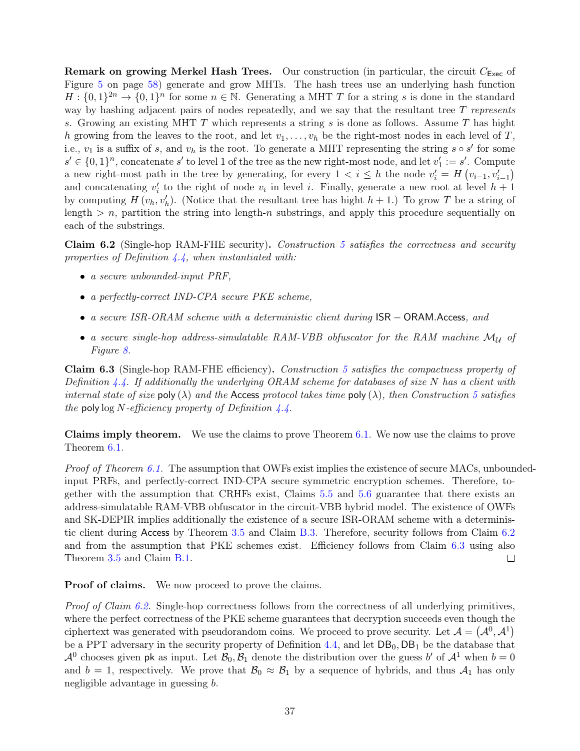<span id="page-36-2"></span>Remark on growing Merkel Hash Trees. Our construction (in particular, the circuit  $C_{\text{Exec}}$  of Figure [5](#page-57-0) on page [58\)](#page-57-0) generate and grow MHTs. The hash trees use an underlying hash function  $H: \{0,1\}^{2n} \to \{0,1\}^n$  for some  $n \in \mathbb{N}$ . Generating a MHT T for a string s is done in the standard way by hashing adjacent pairs of nodes repeatedly, and we say that the resultant tree  $T$  represents s. Growing an existing MHT T which represents a string s is done as follows. Assume T has hight h growing from the leaves to the root, and let  $v_1, \ldots, v_h$  be the right-most nodes in each level of T, i.e.,  $v_1$  is a suffix of s, and  $v_h$  is the root. To generate a MHT representing the string s  $\circ s'$  for some  $s' \in \{0,1\}^n$ , concatenate s' to level 1 of the tree as the new right-most node, and let  $v'_1 := s'$ . Compute a new right-most path in the tree by generating, for every  $1 < i \leq h$  the node  $v'_{i} = H(v_{i-1}, v'_{i-1})$ and concatenating  $v'_i$  to the right of node  $v_i$  in level i. Finally, generate a new root at level  $h + 1$ by computing  $H(v_h, v'_h)$ . (Notice that the resultant tree has hight  $h + 1$ .) To grow T be a string of length  $> n$ , partition the string into length-n substrings, and apply this procedure sequentially on each of the substrings.

<span id="page-36-0"></span>Claim 6.2 (Single-hop RAM-FHE security). Construction [5](#page-35-0) satisfies the correctness and security properties of Definition  $\frac{1}{4}$ , when instantiated with:

- a secure unbounded-input PRF,
- a perfectly-correct IND-CPA secure PKE scheme,
- a secure ISR-ORAM scheme with a deterministic client during ISR ORAM.Access, and
- a secure single-hop address-simulatable RAM-VBB obfuscator for the RAM machine  $\mathcal{M}_{\mathcal{U}}$  of Figure [8.](#page-60-0)

<span id="page-36-1"></span>Claim 6.3 (Single-hop RAM-FHE efficiency). Construction [5](#page-35-0) satisfies the compactness property of Definition  $4.4$ . If additionally the underlying ORAM scheme for databases of size N has a client with internal state of size poly ( $\lambda$ ) and the Access protocol takes time poly ( $\lambda$ ), then Construction [5](#page-35-0) satisfies the poly  $\log N$ -efficiency property of Definition [4.4.](#page-25-3)

Claims imply theorem. We use the claims to prove Theorem [6.1.](#page-34-2) We now use the claims to prove Theorem [6.1.](#page-34-2)

*Proof of Theorem [6.1.](#page-34-2)* The assumption that OWFs exist implies the existence of secure MACs, unboundedinput PRFs, and perfectly-correct IND-CPA secure symmetric encryption schemes. Therefore, together with the assumption that CRHFs exist, Claims [5.5](#page-29-2) and [5.6](#page-32-2) guarantee that there exists an address-simulatable RAM-VBB obfuscator in the circuit-VBB hybrid model. The existence of OWFs and SK-DEPIR implies additionally the existence of a secure ISR-ORAM scheme with a deterministic client during Access by Theorem [3.5](#page-13-3) and Claim [B.3.](#page-55-0) Therefore, security follows from Claim [6.2](#page-36-0) and from the assumption that PKE schemes exist. Efficiency follows from Claim [6.3](#page-36-1) using also Theorem [3.5](#page-13-3) and Claim [B.1.](#page-55-1)  $\Box$ 

**Proof of claims.** We now proceed to prove the claims.

*Proof of Claim [6.2.](#page-36-0)* Single-hop correctness follows from the correctness of all underlying primitives, where the perfect correctness of the PKE scheme guarantees that decryption succeeds even though the ciphertext was generated with pseudorandom coins. We proceed to prove security. Let  $\mathcal{A} = (\mathcal{A}^0, \mathcal{A}^1)$ be a PPT adversary in the security property of Definition [4.4,](#page-25-3) and let  $DB_0$ ,  $DB_1$  be the database that  $\mathcal{A}^0$  chooses given pk as input. Let  $\mathcal{B}_0, \mathcal{B}_1$  denote the distribution over the guess b' of  $\mathcal{A}^1$  when  $b = 0$ and  $b = 1$ , respectively. We prove that  $\mathcal{B}_0 \approx \mathcal{B}_1$  by a sequence of hybrids, and thus  $\mathcal{A}_1$  has only negligible advantage in guessing b.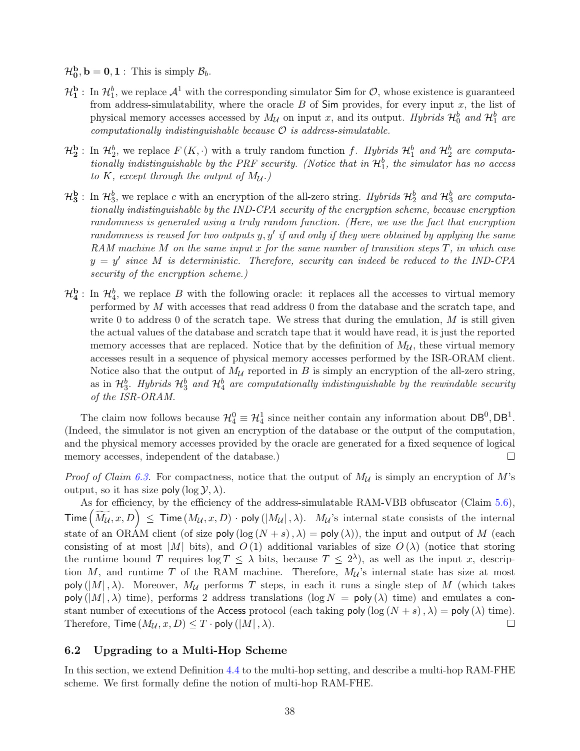$\mathcal{H}_0^{\mathbf{b}}, \mathbf{b} = \mathbf{0}, \mathbf{1}$ : This is simply  $\mathcal{B}_b$ .

- $\mathcal{H}^{\bf b}_1$  : In  $\mathcal{H}^b_1$ , we replace  $\mathcal{A}^1$  with the corresponding simulator Sim for  $\mathcal{O}$ , whose existence is guaranteed from address-simulatability, where the oracle  $B$  of Sim provides, for every input  $x$ , the list of physical memory accesses accessed by  $M_{\mathcal{U}}$  on input x, and its output. Hybrids  $\mathcal{H}_0^b$  and  $\mathcal{H}_1^b$  are computationally indistinguishable because  $\mathcal O$  is address-simulatable.
- $\mathcal{H}_2^{\mathbf{b}}$ : In  $\mathcal{H}_2^b$ , we replace  $F(K, \cdot)$  with a truly random function f. Hybrids  $\mathcal{H}_1^b$  and  $\mathcal{H}_2^b$  are computationally indistinguishable by the PRF security. (Notice that in  $\mathcal{H}_1^b$ , the simulator has no access to K, except through the output of  $M_{\mathcal{U}}$ .)
- $\mathcal{H}_3^b$ : In  $\mathcal{H}_3^b$ , we replace c with an encryption of the all-zero string. Hybrids  $\mathcal{H}_2^b$  and  $\mathcal{H}_3^b$  are computationally indistinguishable by the IND-CPA security of the encryption scheme, because encryption randomness is generated using a truly random function. (Here, we use the fact that encryption randomness is reused for two outputs  $y, y'$  if and only if they were obtained by applying the same RAM machine M on the same input x for the same number of transition steps  $T$ , in which case  $y = y'$  since M is deterministic. Therefore, security can indeed be reduced to the IND-CPA security of the encryption scheme.)
- $\mathcal{H}_{4}^{b}$ : In  $\mathcal{H}_{4}^{b}$ , we replace B with the following oracle: it replaces all the accesses to virtual memory performed by M with accesses that read address 0 from the database and the scratch tape, and write 0 to address 0 of the scratch tape. We stress that during the emulation,  $M$  is still given the actual values of the database and scratch tape that it would have read, it is just the reported memory accesses that are replaced. Notice that by the definition of  $M_{\mathcal{U}}$ , these virtual memory accesses result in a sequence of physical memory accesses performed by the ISR-ORAM client. Notice also that the output of  $M_{\mathcal{U}}$  reported in B is simply an encryption of the all-zero string, as in  $\mathcal{H}_3^b$ . Hybrids  $\mathcal{H}_3^b$  and  $\mathcal{H}_4^b$  are computationally indistinguishable by the rewindable security of the ISR-ORAM.

The claim now follows because  $\mathcal{H}_4^0 \equiv \mathcal{H}_4^1$  since neither contain any information about  $DB^0$ ,  $DB^1$ . (Indeed, the simulator is not given an encryption of the database or the output of the computation, and the physical memory accesses provided by the oracle are generated for a fixed sequence of logical memory accesses, independent of the database.)  $\Box$ 

*Proof of Claim [6.3.](#page-36-1)* For compactness, notice that the output of  $M_{\mathcal{U}}$  is simply an encryption of M's output, so it has size poly  $(\log \mathcal{Y}, \lambda)$ .

As for efficiency, by the efficiency of the address-simulatable RAM-VBB obfuscator (Claim [5.6\)](#page-32-2),  $\textsf{Time}\left(\widetilde{M_{\mathcal U}},x,D\right)\,\leq\, \textsf{Time}\left(M_{\mathcal U},x,D\right)\cdot \textsf{poly}\left(\left|M_{\mathcal U}\right|,\lambda\right)\!,\;\;M_{\mathcal U}\text{'s internal state consists of the internal$ state of an ORAM client (of size poly  $(\log(N + s), \lambda) = \text{poly}(\lambda)$ ), the input and output of M (each consisting of at most |M| bits), and  $O(1)$  additional variables of size  $O(\lambda)$  (notice that storing the runtime bound T requires  $\log T \leq \lambda$  bits, because  $T \leq 2^{\lambda}$ , as well as the input x, description M, and runtime T of the RAM machine. Therefore,  $M_{\mathcal{U}}$ 's internal state has size at most poly  $(|M|, \lambda)$ . Moreover,  $M_{\mathcal{U}}$  performs T steps, in each it runs a single step of M (which takes  $poly (|M|, \lambda)$  time), performs 2 address translations  $(\log N = poly(\lambda))$  time) and emulates a constant number of executions of the Access protocol (each taking poly ( $\log(N + s)$ ,  $\lambda$ ) = poly ( $\lambda$ ) time). Therefore, Time  $(M_{\mathcal{U}}, x, D) \leq T \cdot \text{poly}(|M|, \lambda)$ .  $\Box$ 

### <span id="page-37-0"></span>6.2 Upgrading to a Multi-Hop Scheme

<span id="page-37-1"></span>In this section, we extend Definition [4.4](#page-25-3) to the multi-hop setting, and describe a multi-hop RAM-FHE scheme. We first formally define the notion of multi-hop RAM-FHE.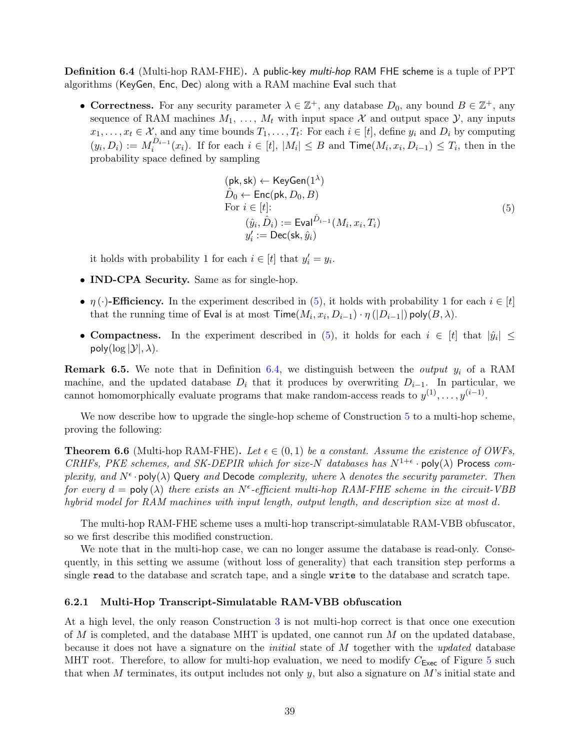Definition 6.4 (Multi-hop RAM-FHE). A public-key multi-hop RAM FHE scheme is a tuple of PPT algorithms (KeyGen, Enc, Dec) along with a RAM machine Eval such that

• Correctness. For any security parameter  $\lambda \in \mathbb{Z}^+$ , any database  $D_0$ , any bound  $B \in \mathbb{Z}^+$ , any sequence of RAM machines  $M_1, \ldots, M_t$  with input space X and output space  $\mathcal{Y}$ , any inputs  $x_1, \ldots, x_t \in \mathcal{X}$ , and any time bounds  $T_1, \ldots, T_t$ : For each  $i \in [t]$ , define  $y_i$  and  $D_i$  by computing  $(y_i, D_i) := M_i^{D_{i-1}}$  $i^{D_{i-1}}(x_i)$ . If for each  $i \in [t]$ ,  $|M_i| \leq B$  and  $\mathsf{Time}(M_i, x_i, D_{i-1}) \leq T_i$ , then in the probability space defined by sampling

<span id="page-38-1"></span>
$$
\begin{aligned}\n(\mathsf{pk}, \mathsf{sk}) &\leftarrow \mathsf{KeyGen}(1^{\lambda}) \\
\hat{D}_0 &\leftarrow \mathsf{Enc}(\mathsf{pk}, D_0, B) \\
\text{For } i \in [t]: \\
(\hat{y}_i, \hat{D}_i) &:= \mathsf{Eval}^{\hat{D}_{i-1}}(M_i, x_i, T_i) \\
y_i' &:= \mathsf{Dec}(\mathsf{sk}, \hat{y}_i)\n\end{aligned} \tag{5}
$$

it holds with probability 1 for each  $i \in [t]$  that  $y'_i = y_i$ .

- **IND-CPA Security.** Same as for single-hop.
- $\eta(\cdot)$ -Efficiency. In the experiment described in [\(5\)](#page-38-1), it holds with probability 1 for each  $i \in [t]$ that the running time of Eval is at most  $\mathsf{Time}(M_i, x_i, D_{i-1}) \cdot \eta(|D_{i-1}|)$  poly $(B, \lambda)$ .
- Compactness. In the experiment described in [\(5\)](#page-38-1), it holds for each  $i \in [t]$  that  $|\hat{y}_i| \leq$ poly( $\log |\mathcal{Y}|, \lambda$ ).

**Remark 6.5.** We note that in Definition [6.4,](#page-37-1) we distinguish between the *output*  $y_i$  of a RAM machine, and the updated database  $D_i$  that it produces by overwriting  $D_{i-1}$ . In particular, we cannot homomorphically evaluate programs that make random-access reads to  $y^{(1)}, \ldots, y^{(i-1)}$ .

We now describe how to upgrade the single-hop scheme of Construction [5](#page-35-0) to a multi-hop scheme, proving the following:

<span id="page-38-2"></span>**Theorem 6.6** (Multi-hop RAM-FHE). Let  $\epsilon \in (0,1)$  be a constant. Assume the existence of OWFs, CRHFs, PKE schemes, and SK-DEPIR which for size-N databases has  $N^{1+\epsilon}$  poly( $\lambda$ ) Process complexity, and  $N^{\epsilon}$  · poly( $\lambda$ ) Query and Decode complexity, where  $\lambda$  denotes the security parameter. Then for every  $d = \text{poly}(\lambda)$  there exists an  $N^{\epsilon}$ -efficient multi-hop RAM-FHE scheme in the circuit-VBB hybrid model for RAM machines with input length, output length, and description size at most d.

The multi-hop RAM-FHE scheme uses a multi-hop transcript-simulatable RAM-VBB obfuscator, so we first describe this modified construction.

We note that in the multi-hop case, we can no longer assume the database is read-only. Consequently, in this setting we assume (without loss of generality) that each transition step performs a single read to the database and scratch tape, and a single write to the database and scratch tape.

#### <span id="page-38-0"></span>6.2.1 Multi-Hop Transcript-Simulatable RAM-VBB obfuscation

At a high level, the only reason Construction [3](#page-29-1) is not multi-hop correct is that once one execution of M is completed, and the database MHT is updated, one cannot run M on the updated database, because it does not have a signature on the initial state of M together with the updated database MHT root. Therefore, to allow for multi-hop evaluation, we need to modify  $C_{\text{Exec}}$  of Figure [5](#page-57-0) such that when M terminates, its output includes not only  $y$ , but also a signature on M's initial state and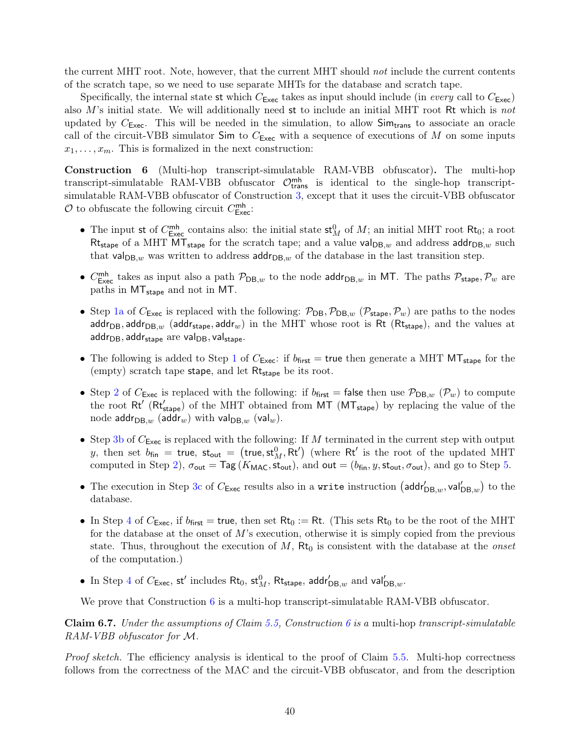the current MHT root. Note, however, that the current MHT should not include the current contents of the scratch tape, so we need to use separate MHTs for the database and scratch tape.

Specifically, the internal state st which  $C_{\text{Exec}}$  takes as input should include (in *every* call to  $C_{\text{Exec}}$ ) also M's initial state. We will additionally need st to include an initial MHT root Rt which is not updated by  $C_{\text{Exec}}$ . This will be needed in the simulation, to allow  $\text{Sim}_{\text{trans}}$  to associate an oracle call of the circuit-VBB simulator Sim to  $C_{\text{Exec}}$  with a sequence of executions of M on some inputs  $x_1, \ldots, x_m$ . This is formalized in the next construction:

<span id="page-39-0"></span>Construction 6 (Multi-hop transcript-simulatable RAM-VBB obfuscator). The multi-hop transcript-simulatable RAM-VBB obfuscator  $\mathcal{O}_{\text{trans}}^{\text{mh}}$  is identical to the single-hop transcriptsimulatable RAM-VBB obfuscator of Construction [3,](#page-29-1) except that it uses the circuit-VBB obfuscator  $\mathcal{O}$  to obfuscate the following circuit  $C_{\text{Exec}}^{\text{mh}}$ .

- The input st of  $C_{\text{Exec}}^{\text{mh}}$  contains also: the initial state  $\mathsf{st}_{M}^{0}$  of  $M$ ; an initial MHT root Rt<sub>0</sub>; a root Rt<sub>stape</sub> of a MHT MT<sub>stape</sub> for the scratch tape; and a value val<sub>DB,w</sub> and address addr<sub>DB,w</sub> such that val<sub>DB,w</sub> was written to address addr<sub>DB,w</sub> of the database in the last transition step.
- $C_{\text{Exec}}^{\text{mh}}$  takes as input also a path  $\mathcal{P}_{\text{DB},w}$  to the node addr<sub>DB,w</sub> in MT. The paths  $\mathcal{P}_{\text{stage}},\mathcal{P}_{w}$  are paths in  $MT_{\text{shape}}$  and not in MT.
- Step [1a](#page-57-2) of  $C_{\text{Exec}}$  is replaced with the following:  $\mathcal{P}_{DB}$ ,  $\mathcal{P}_{DB,w}$  ( $\mathcal{P}_{\text{stage}},\mathcal{P}_{w}$ ) are paths to the nodes addr<sub>DB</sub>, addr<sub>DB,w</sub> (addr<sub>stape</sub>, addr<sub>w</sub>) in the MHT whose root is Rt (Rt<sub>stape</sub>), and the values at addr $_{DB}$ , addr<sub>stape</sub> are val<sub>DB</sub>, val<sub>stape</sub>.
- The following is added to Step [1](#page-57-1) of  $C_{\text{Exec}}$ : if  $b_{\text{first}} =$  true then generate a MHT MT<sub>stape</sub> for the (empty) scratch tape stape, and let  $Rt_{\text{stage}}$  be its root.
- Step [2](#page-57-3) of  $C_{\text{Exec}}$  is replaced with the following: if  $b_{\text{first}} =$  false then use  $\mathcal{P}_{\text{DB},w}$  ( $\mathcal{P}_w$ ) to compute the root Rt' (Rt'<sub>stape</sub>) of the MHT obtained from MT (MT<sub>stape</sub>) by replacing the value of the node addr $_{\text{DB},w}$  (addr<sub>w</sub>) with val<sub>DB,w</sub> (val<sub>w</sub>).
- Step [3b](#page-57-4) of  $C_{\text{Exec}}$  is replaced with the following: If M terminated in the current step with output y, then set  $b_{fin}$  = true,  $st_{out}$  = (true,  $st_M^0$ , Rt') (where Rt' is the root of the updated MHT computed in Step [2\)](#page-57-3),  $\sigma_{\text{out}} = \text{Tag}(K_{\text{MAC}}, \text{st}_{\text{out}})$ , and  $\text{out} = (b_{\text{fin}}, y, \text{st}_{\text{out}}, \sigma_{\text{out}})$ , and go to Step [5.](#page-57-5)
- The execution in Step [3c](#page-57-6) of  $C_{\text{Exec}}$  results also in a write instruction  $(\text{addr}_{\text{DB},w}', \text{val}_{\text{DB},w}')$  to the database.
- In Step [4](#page-57-7) of  $C_{\text{Exec}}$ , if  $b_{\text{first}} = \text{true}$ , then set  $\text{Rt}_0 := \text{Rt}$ . (This sets  $\text{Rt}_0$  to be the root of the MHT for the database at the onset of  $M$ 's execution, otherwise it is simply copied from the previous state. Thus, throughout the execution of  $M$ , Rt<sub>0</sub> is consistent with the database at the *onset* of the computation.)
- In Step [4](#page-57-7) of  $C_{\text{Exec}}$ , st' includes  $\text{Rt}_0$ , st $^0_M$ ,  $\text{Rt}_{\text{stage}}$ , addr $'_{\text{DB},w}$  and val $'_{\text{DB},w}$ .

We prove that Construction [6](#page-39-0) is a multi-hop transcript-simulatable RAM-VBB obfuscator.

<span id="page-39-1"></span>**Claim [6](#page-39-0).7.** Under the assumptions of Claim [5.5,](#page-29-2) Construction 6 is a multi-hop transcript-simulatable RAM-VBB obfuscator for M.

Proof sketch. The efficiency analysis is identical to the proof of Claim [5.5.](#page-29-2) Multi-hop correctness follows from the correctness of the MAC and the circuit-VBB obfuscator, and from the description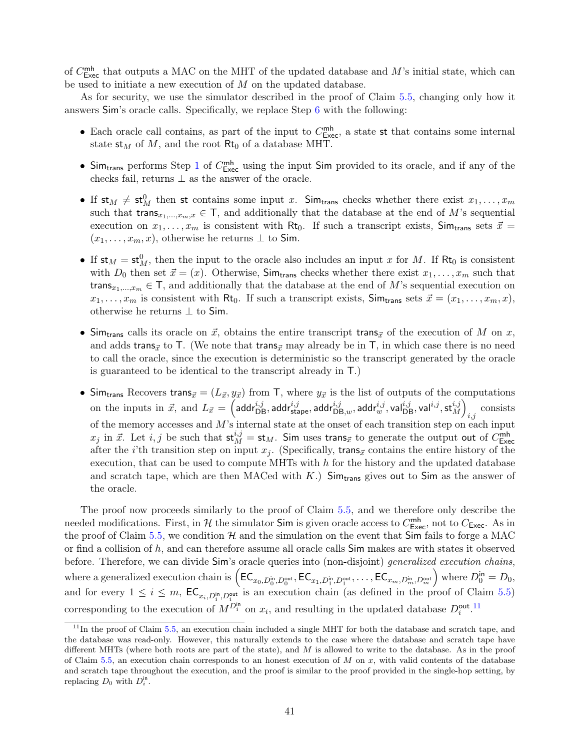of  $C_{\text{Exec}}^{\text{mh}}$  that outputs a MAC on the MHT of the updated database and M's initial state, which can be used to initiate a new execution of  $M$  on the updated database.

As for security, we use the simulator described in the proof of Claim [5.5,](#page-29-2) changing only how it answers Sim's oracle calls. Specifically, we replace Step [6](#page-30-1) with the following:

- Each oracle call contains, as part of the input to  $C_{\text{Exec}}^{\text{mh}}$ , a state st that contains some internal state  $st_M$  of M, and the root  $Rt_0$  of a database MHT.
- Sim<sub>trans</sub> performs Step [1](#page-57-1) of  $C_{\text{Exec}}^{\text{mh}}$  using the input Sim provided to its oracle, and if any of the checks fail, returns  $\perp$  as the answer of the oracle.
- If  $st_M \neq st_M^0$  then st contains some input x. Sim<sub>trans</sub> checks whether there exist  $x_1, \ldots, x_m$ such that trans $x_1,...,x_m,x \in \mathsf{T}$ , and additionally that the database at the end of M's sequential execution on  $x_1, \ldots, x_m$  is consistent with Rt<sub>0</sub>. If such a transcript exists, Sim<sub>trans</sub> sets  $\vec{x}$  $(x_1, \ldots, x_m, x)$ , otherwise he returns  $\perp$  to Sim.
- If  $st_M = st_M^0$ , then the input to the oracle also includes an input x for M. If  $Rt_0$  is consistent with  $D_0$  then set  $\vec{x} = (x)$ . Otherwise, Sim<sub>trans</sub> checks whether there exist  $x_1, \ldots, x_m$  such that trans $x_1,...,x_m \in \mathsf{T}$ , and additionally that the database at the end of M's sequential execution on  $x_1, \ldots, x_m$  is consistent with Rt<sub>0</sub>. If such a transcript exists, Sim<sub>trans</sub> sets  $\vec{x} = (x_1, \ldots, x_m, x)$ , otherwise he returns  $\perp$  to Sim.
- Sim<sub>trans</sub> calls its oracle on  $\vec{x}$ , obtains the entire transcript trans<sub> $\vec{x}$ </sub> of the execution of M on x, and adds trans<sub> $\vec{x}$ </sub> to T. (We note that trans<sub> $\vec{x}$ </sub> may already be in T, in which case there is no need to call the oracle, since the execution is deterministic so the transcript generated by the oracle is guaranteed to be identical to the transcript already in T.)
- Sim<sub>trans</sub> Recovers trans<sub> $\vec{x}$ </sub> =  $(L_{\vec{x}}, y_{\vec{x}})$  from T, where  $y_{\vec{x}}$  is the list of outputs of the computations on the inputs in  $\vec{x}$ , and  $L_{\vec{x}} = \left($  addr $^{i,j}_{\text{DB}}$ , addr $^{i,j}_{\text{stage}},$  addr $^{i,j}_{\text{DB},w},$  addr $^{i,j}_{w},$  val $^{i,j}_{\text{DB}},$  val $^{i,j},$   $\text{st}^{i,j}_M\right)$  $\sum_{i,j}$  consists of the memory accesses and  $M$ 's internal state at the onset of each transition step on each input  $x_j$  in  $\vec{x}$ . Let  $i, j$  be such that  $\mathsf{st}^{i,j}_M = \mathsf{st}_M$ . Sim uses trans<sub> $\vec{x}$ </sub> to generate the output out of  $C^{\text{mh}}_{\text{Exec}}$ after the *i*'th transition step on input  $x_j$ . (Specifically, trans<sub> $\vec{x}$ </sub> contains the entire history of the execution, that can be used to compute MHTs with  $h$  for the history and the updated database and scratch tape, which are then MACed with K.)  $Sim_{trans}$  gives out to Sim as the answer of the oracle.

The proof now proceeds similarly to the proof of Claim [5.5,](#page-29-2) and we therefore only describe the needed modifications. First, in  $H$  the simulator  $Sim$  is given oracle access to  $C_{Exec}^{mh}$ , not to  $C_{Exec}$ . As in the proof of Claim [5.5,](#page-29-2) we condition  $H$  and the simulation on the event that Sim fails to forge a MAC or find a collision of h, and can therefore assume all oracle calls Sim makes are with states it observed before. Therefore, we can divide Sim's oracle queries into (non-disjoint) generalized execution chains, where a generalized execution chain is  $\left(\mathsf{EC}_{x_0,D_0^{\mathsf{in}},D_0^{\mathsf{out}}},\mathsf{EC}_{x_1,D_1^{\mathsf{in}},D_1^{\mathsf{out}}},\ldots,\mathsf{EC}_{x_m,D_m^{\mathsf{in}},D_m^{\mathsf{out}}}\right)$  where  $D_0^{\mathsf{in}} = D_0,$ and for every  $1 \leq i \leq m$ ,  $\mathsf{EC}_{x_i,D_i^{\mathsf{in}},D_i^{\mathsf{out}}}$  is an execution chain (as defined in the proof of Claim [5.5\)](#page-29-2) corresponding to the execution of  $M^{D_i^{\text{in}}}$  on  $x_i$ , and resulting in the updated database  $D_i^{\text{out}}$ .<sup>[11](#page-40-0)</sup>

<span id="page-40-0"></span> $11$ In the proof of Claim [5.5,](#page-29-2) an execution chain included a single MHT for both the database and scratch tape, and the database was read-only. However, this naturally extends to the case where the database and scratch tape have different MHTs (where both roots are part of the state), and M is allowed to write to the database. As in the proof of Claim [5.5,](#page-29-2) an execution chain corresponds to an honest execution of  $M$  on  $x$ , with valid contents of the database and scratch tape throughout the execution, and the proof is similar to the proof provided in the single-hop setting, by replacing  $D_0$  with  $D_i^{\text{in}}$ .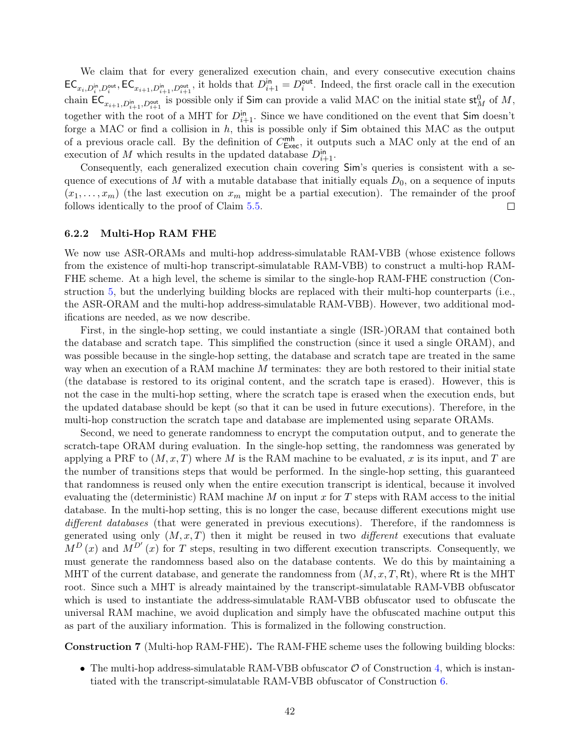We claim that for every generalized execution chain, and every consecutive execution chains  $\mathsf{EC}_{x_i,D_i^{\mathsf{in}},D_i^{\mathsf{out}}},\mathsf{EC}_{x_{i+1},D_{i+1}^{\mathsf{in}},D_{i+1}^{\mathsf{out}}},$  it holds that  $D_{i+1}^{\mathsf{in}}=D_i^{\mathsf{out}}.$  Indeed, the first oracle call in the execution chain  $\mathsf{EC}_{x_{i+1},D_{i+1}^{\mathsf{in}},D_{i+1}^{\mathsf{out}}}$  is possible only if Sim can provide a valid MAC on the initial state  $\mathsf{st}_{M}^{0}$  of  $M$ , together with the root of a MHT for  $D_{i+1}^{\text{in}}$ . Since we have conditioned on the event that Sim doesn't forge a MAC or find a collision in  $h$ , this is possible only if Sim obtained this MAC as the output of a previous oracle call. By the definition of  $C_{\text{Exec}}^{\text{mh}}$ , it outputs such a MAC only at the end of an execution of M which results in the updated database  $D_{i+1}^{\text{in}}$ .

Consequently, each generalized execution chain covering Sim's queries is consistent with a sequence of executions of M with a mutable database that initially equals  $D_0$ , on a sequence of inputs  $(x_1, \ldots, x_m)$  (the last execution on  $x_m$  might be a partial execution). The remainder of the proof follows identically to the proof of Claim [5.5.](#page-29-2)  $\Box$ 

#### <span id="page-41-0"></span>6.2.2 Multi-Hop RAM FHE

We now use ASR-ORAMs and multi-hop address-simulatable RAM-VBB (whose existence follows from the existence of multi-hop transcript-simulatable RAM-VBB) to construct a multi-hop RAM-FHE scheme. At a high level, the scheme is similar to the single-hop RAM-FHE construction (Construction [5,](#page-35-0) but the underlying building blocks are replaced with their multi-hop counterparts (i.e., the ASR-ORAM and the multi-hop address-simulatable RAM-VBB). However, two additional modifications are needed, as we now describe.

First, in the single-hop setting, we could instantiate a single (ISR-)ORAM that contained both the database and scratch tape. This simplified the construction (since it used a single ORAM), and was possible because in the single-hop setting, the database and scratch tape are treated in the same way when an execution of a RAM machine M terminates: they are both restored to their initial state (the database is restored to its original content, and the scratch tape is erased). However, this is not the case in the multi-hop setting, where the scratch tape is erased when the execution ends, but the updated database should be kept (so that it can be used in future executions). Therefore, in the multi-hop construction the scratch tape and database are implemented using separate ORAMs.

Second, we need to generate randomness to encrypt the computation output, and to generate the scratch-tape ORAM during evaluation. In the single-hop setting, the randomness was generated by applying a PRF to  $(M, x, T)$  where M is the RAM machine to be evaluated, x is its input, and T are the number of transitions steps that would be performed. In the single-hop setting, this guaranteed that randomness is reused only when the entire execution transcript is identical, because it involved evaluating the (deterministic) RAM machine M on input x for T steps with RAM access to the initial database. In the multi-hop setting, this is no longer the case, because different executions might use different databases (that were generated in previous executions). Therefore, if the randomness is generated using only  $(M, x, T)$  then it might be reused in two *different* executions that evaluate  $M^{D}(x)$  and  $M^{D'}(x)$  for T steps, resulting in two different execution transcripts. Consequently, we must generate the randomness based also on the database contents. We do this by maintaining a MHT of the current database, and generate the randomness from  $(M, x, T, Rt)$ , where Rt is the MHT root. Since such a MHT is already maintained by the transcript-simulatable RAM-VBB obfuscator which is used to instantiate the address-simulatable RAM-VBB obfuscator used to obfuscate the universal RAM machine, we avoid duplication and simply have the obfuscated machine output this as part of the auxiliary information. This is formalized in the following construction.

<span id="page-41-1"></span>Construction 7 (Multi-hop RAM-FHE). The RAM-FHE scheme uses the following building blocks:

• The multi-hop address-simulatable RAM-VBB obfuscator  $\mathcal O$  of Construction [4,](#page-32-1) which is instantiated with the transcript-simulatable RAM-VBB obfuscator of Construction [6.](#page-39-0)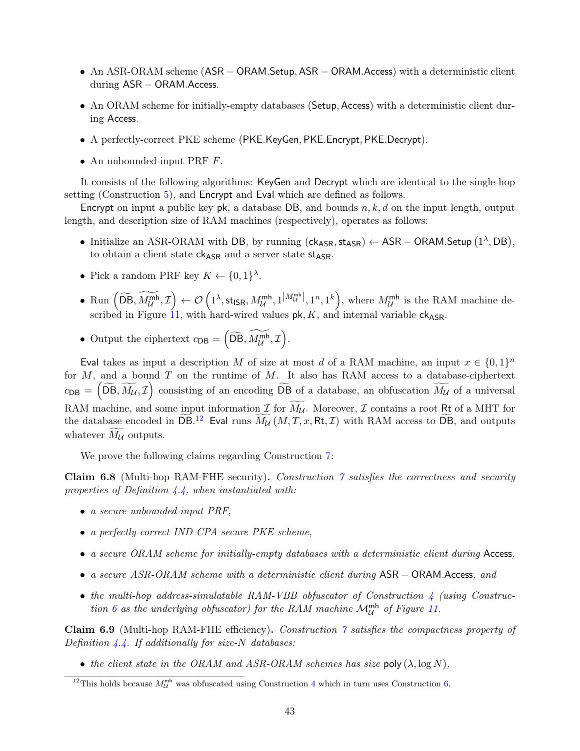- An ASR-ORAM scheme (ASR ORAM.Setup, ASR ORAM.Access) with a deterministic client during ASR – ORAM.Access.
- An ORAM scheme for initially-empty databases (Setup, Access) with a deterministic client during Access.
- A perfectly-correct PKE scheme (PKE.KeyGen, PKE.Encrypt, PKE.Decrypt).
- An unbounded-input PRF  $F$ .

It consists of the following algorithms: KeyGen and Decrypt which are identical to the single-hop setting (Construction [5\)](#page-35-0), and Encrypt and Eval which are defined as follows.

Encrypt on input a public key pk, a database DB, and bounds  $n, k, d$  on the input length, output length, and description size of RAM machines (respectively), operates as follows:

- Initialize an ASR-ORAM with DB, by running  $(\text{ck}_{ASR}, \text{st}_{ASR}) \leftarrow \text{ASR} \text{ORAM}$ . Setup  $(1^{\lambda}, \text{DB})$ , to obtain a client state  $ck_{ASR}$  and a server state  $st_{ASR}$ .
- Pick a random PRF key  $K \leftarrow \{0,1\}^{\lambda}$ .
- Run  $\left(\widetilde{\mathsf{DB}}, \widetilde{M_{\mathcal{U}}^{\mathsf{mb}}}, \mathcal{I}\right) \leftarrow \mathcal{O}\left(1^{\lambda}, \text{st}_{\mathsf{ISR}}, M_{\mathcal{U}}^{\mathsf{mb}}, 1^{\left|\mathcal{M}_{\mathcal{U}}^{\mathsf{mb}}\right|}, 1^n, 1^k\right)$ , where  $M_{\mathcal{U}}^{\mathsf{mb}}$  is the RAM machine de-scribed in Figure [11,](#page-62-0) with hard-wired values  $pk, K$ , and internal variable  $ck_{ASR}$ .
- Output the ciphertext  $c_{DB} = \left(\widetilde{DB}, \widetilde{M_{\mathcal{U}}^{\text{mh}}}, \mathcal{I}\right)$ .

Eval takes as input a description M of size at most d of a RAM machine, an input  $x \in \{0,1\}^n$ for  $M$ , and a bound  $T$  on the runtime of  $M$ . It also has RAM access to a database-ciphertext  $c_{\text{DB}} = (\widetilde{\text{DB}}, \widetilde{M_{U}}, \mathcal{I})$  consisting of an encoding  $\widetilde{\text{DB}}$  of a database, an obfuscation  $\widetilde{M_{U}}$  of a universal RAM machine, and some input information  $\mathcal{I}$  for  $\widetilde{M_{\mathcal{U}}}$ . Moreover,  $\mathcal{I}$  contains a root Rt of a MHT for the database encoded in  $\overline{DB}$ .<sup>[12](#page-42-0)</sup> Eval runs  $\overline{M}_{\mathcal{U}}(M, T, x, Rt, \mathcal{I})$  with RAM access to  $\overline{DB}$ , and outputs whatever  $\overline{M}_{\cal U}$  outputs.

We prove the following claims regarding Construction [7:](#page-41-1)

<span id="page-42-1"></span>**Claim 6.8** (Multi-hop RAM-FHE security). Construction  $\gamma$  satisfies the correctness and security properties of Definition  $\frac{1}{4}$ , when instantiated with:

- a secure unbounded-input PRF,
- a perfectly-correct IND-CPA secure PKE scheme,
- a secure ORAM scheme for initially-empty databases with a deterministic client during Access,
- a secure ASR-ORAM scheme with a deterministic client during ASR ORAM.Access, and
- the multi-hop address-simulatable RAM-VBB obfuscator of Construction  $\frac{1}{4}$  $\frac{1}{4}$  $\frac{1}{4}$  (using Construc-tion [6](#page-39-0) as the underlying obfuscator) for the RAM machine  $\mathcal{M}_{\mathcal{U}}^{\text{mh}}$  of Figure [11.](#page-62-0)

<span id="page-42-2"></span>Claim 6.9 (Multi-hop RAM-FHE efficiency). Construction  $\gamma$  satisfies the compactness property of Definition  $\lambda \cdot \lambda$ . If additionally for size-N databases:

• the client state in the ORAM and ASR-ORAM schemes has size poly  $(\lambda, \log N)$ ,

<span id="page-42-0"></span><sup>&</sup>lt;sup>12</sup>This holds because  $M_{\mathcal{U}}^{\text{mh}}$  was obfuscated using Construction [4](#page-32-1) which in turn uses Construction [6.](#page-39-0)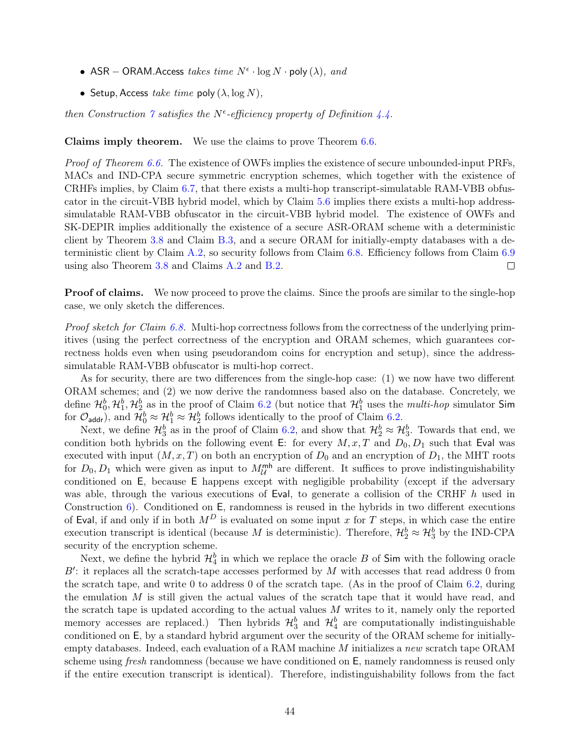- ASR ORAM. Access takes time  $N^{\epsilon} \cdot \log N \cdot \text{poly}(\lambda)$ , and
- Setup, Access take time poly  $(\lambda, \log N)$ ,

then Construction  $\gamma$  satisfies the N<sup> $\epsilon$ </sup>-efficiency property of Definition [4.4.](#page-25-3)

Claims imply theorem. We use the claims to prove Theorem [6.6.](#page-38-2)

*Proof of Theorem [6.6.](#page-38-2)* The existence of OWFs implies the existence of secure unbounded-input PRFs, MACs and IND-CPA secure symmetric encryption schemes, which together with the existence of CRHFs implies, by Claim [6.7,](#page-39-1) that there exists a multi-hop transcript-simulatable RAM-VBB obfuscator in the circuit-VBB hybrid model, which by Claim [5.6](#page-32-2) implies there exists a multi-hop addresssimulatable RAM-VBB obfuscator in the circuit-VBB hybrid model. The existence of OWFs and SK-DEPIR implies additionally the existence of a secure ASR-ORAM scheme with a deterministic client by Theorem [3.8](#page-16-1) and Claim [B.3,](#page-55-0) and a secure ORAM for initially-empty databases with a deterministic client by Claim [A.2,](#page-52-0) so security follows from Claim [6.8.](#page-42-1) Efficiency follows from Claim [6.9](#page-42-2) using also Theorem [3.8](#page-16-1) and Claims [A.2](#page-52-0) and [B.2.](#page-55-2)  $\Box$ 

**Proof of claims.** We now proceed to prove the claims. Since the proofs are similar to the single-hop case, we only sketch the differences.

Proof sketch for Claim [6.8.](#page-42-1) Multi-hop correctness follows from the correctness of the underlying primitives (using the perfect correctness of the encryption and ORAM schemes, which guarantees correctness holds even when using pseudorandom coins for encryption and setup), since the addresssimulatable RAM-VBB obfuscator is multi-hop correct.

As for security, there are two differences from the single-hop case: (1) we now have two different ORAM schemes; and (2) we now derive the randomness based also on the database. Concretely, we define  $\mathcal{H}_0^b$ ,  $\mathcal{H}_1^b$ ,  $\mathcal{H}_2^b$  as in the proof of Claim [6.2](#page-36-0) (but notice that  $\mathcal{H}_1^b$  uses the *multi-hop* simulator Sim for  $\mathcal{O}_{\mathsf{addr}}$ , and  $\mathcal{H}_0^b \approx \mathcal{H}_1^b \approx \mathcal{H}_2^b$  follows identically to the proof of Claim [6.2.](#page-36-0)

Next, we define  $\mathcal{H}_3^b$  as in the proof of Claim [6.2,](#page-36-0) and show that  $\mathcal{H}_2^b \approx \mathcal{H}_3^b$ . Towards that end, we condition both hybrids on the following event E: for every  $M, x, T$  and  $D_0, D_1$  such that Eval was executed with input  $(M, x, T)$  on both an encryption of  $D_0$  and an encryption of  $D_1$ , the MHT roots for  $D_0, D_1$  which were given as input to  $M_{\mathcal{U}}^{\text{mh}}$  are different. It suffices to prove indistinguishability conditioned on E, because E happens except with negligible probability (except if the adversary was able, through the various executions of Eval, to generate a collision of the CRHF h used in Construction  $6$ ). Conditioned on E, randomness is reused in the hybrids in two different executions of Eval, if and only if in both  $M^D$  is evaluated on some input x for T steps, in which case the entire execution transcript is identical (because M is deterministic). Therefore,  $\mathcal{H}_2^b \approx \mathcal{H}_3^b$  by the IND-CPA security of the encryption scheme.

Next, we define the hybrid  $\mathcal{H}_4^b$  in which we replace the oracle B of Sim with the following oracle  $B'$ : it replaces all the scratch-tape accesses performed by  $M$  with accesses that read address 0 from the scratch tape, and write 0 to address 0 of the scratch tape. (As in the proof of Claim [6.2,](#page-36-0) during the emulation  $M$  is still given the actual values of the scratch tape that it would have read, and the scratch tape is updated according to the actual values  $M$  writes to it, namely only the reported memory accesses are replaced.) Then hybrids  $\mathcal{H}_3^b$  and  $\mathcal{H}_4^b$  are computationally indistinguishable conditioned on E, by a standard hybrid argument over the security of the ORAM scheme for initiallyempty databases. Indeed, each evaluation of a RAM machine M initializes a new scratch tape ORAM scheme using *fresh* randomness (because we have conditioned on E, namely randomness is reused only if the entire execution transcript is identical). Therefore, indistinguishability follows from the fact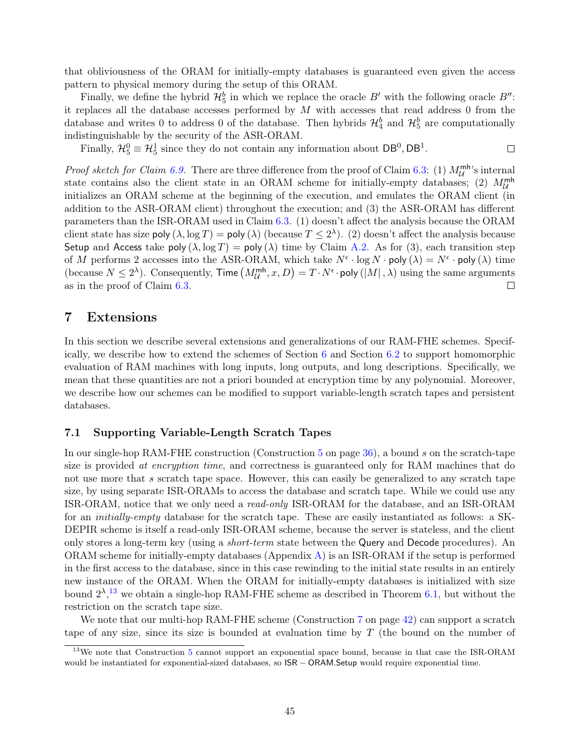that obliviousness of the ORAM for initially-empty databases is guaranteed even given the access pattern to physical memory during the setup of this ORAM.

Finally, we define the hybrid  $\mathcal{H}_5^b$  in which we replace the oracle  $B'$  with the following oracle  $B''$ : it replaces all the database accesses performed by  $M$  with accesses that read address 0 from the database and writes 0 to address 0 of the database. Then hybrids  $\mathcal{H}_4^b$  and  $\mathcal{H}_5^b$  are computationally indistinguishable by the security of the ASR-ORAM.

Finally,  $\mathcal{H}_5^0 \equiv \mathcal{H}_5^1$  since they do not contain any information about  $DB^0$ ,  $DB^1$ .

 $\Box$ 

*Proof sketch for Claim [6.9.](#page-42-2)* There are three difference from the proof of Claim [6.3:](#page-36-1) (1)  $M_{\mathcal{U}}^{\text{mh}}$ 's internal state contains also the client state in an ORAM scheme for initially-empty databases; (2)  $M_{\mathcal{U}}^{\text{mh}}$ initializes an ORAM scheme at the beginning of the execution, and emulates the ORAM client (in addition to the ASR-ORAM client) throughout the execution; and (3) the ASR-ORAM has different parameters than the ISR-ORAM used in Claim [6.3.](#page-36-1) (1) doesn't affect the analysis because the ORAM client state has size poly  $(\lambda, \log T) =$  poly  $(\lambda)$  (because  $T \leq 2^{\lambda}$ ). (2) doesn't affect the analysis because Setup and Access take poly  $(\lambda, \log T) = \text{poly}(\lambda)$  time by Claim [A.2.](#page-52-0) As for (3), each transition step of M performs 2 accesses into the ASR-ORAM, which take  $N^{\epsilon} \cdot \log N \cdot \text{poly}(\lambda) = N^{\epsilon} \cdot \text{poly}(\lambda)$  time (because  $N \le 2^{\lambda}$ ). Consequently, Time  $(M_{\mathcal{U}}^{\mathsf{mh}}, x, D) = T \cdot N^{\epsilon} \cdot \mathsf{poly}(|M|, \lambda)$  using the same arguments as in the proof of Claim [6.3.](#page-36-1)  $\Box$ 

## <span id="page-44-0"></span>7 Extensions

In this section we describe several extensions and generalizations of our RAM-FHE schemes. Specifically, we describe how to extend the schemes of Section [6](#page-34-0) and Section [6.2](#page-37-0) to support homomorphic evaluation of RAM machines with long inputs, long outputs, and long descriptions. Specifically, we mean that these quantities are not a priori bounded at encryption time by any polynomial. Moreover, we describe how our schemes can be modified to support variable-length scratch tapes and persistent databases.

### <span id="page-44-1"></span>7.1 Supporting Variable-Length Scratch Tapes

In our single-hop RAM-FHE construction (Construction [5](#page-35-0) on page [36\)](#page-35-0), a bound s on the scratch-tape size is provided at encryption time, and correctness is guaranteed only for RAM machines that do not use more that s scratch tape space. However, this can easily be generalized to any scratch tape size, by using separate ISR-ORAMs to access the database and scratch tape. While we could use any ISR-ORAM, notice that we only need a read-only ISR-ORAM for the database, and an ISR-ORAM for an initially-empty database for the scratch tape. These are easily instantiated as follows: a SK-DEPIR scheme is itself a read-only ISR-ORAM scheme, because the server is stateless, and the client only stores a long-term key (using a short-term state between the Query and Decode procedures). An ORAM scheme for initially-empty databases (Appendix  $\hat{A}$ ) is an ISR-ORAM if the setup is performed in the first access to the database, since in this case rewinding to the initial state results in an entirely new instance of the ORAM. When the ORAM for initially-empty databases is initialized with size bound  $2^{\lambda}$ , <sup>[13](#page-44-2)</sup> we obtain a single-hop RAM-FHE scheme as described in Theorem [6.1,](#page-34-2) but without the restriction on the scratch tape size.

We note that our multi-hop RAM-FHE scheme (Construction [7](#page-41-1) on page [42\)](#page-41-1) can support a scratch tape of any size, since its size is bounded at evaluation time by  $T$  (the bound on the number of

<span id="page-44-2"></span><sup>&</sup>lt;sup>13</sup>We note that Construction [5](#page-35-0) cannot support an exponential space bound, because in that case the ISR-ORAM would be instantiated for exponential-sized databases, so ISR − ORAM.Setup would require exponential time.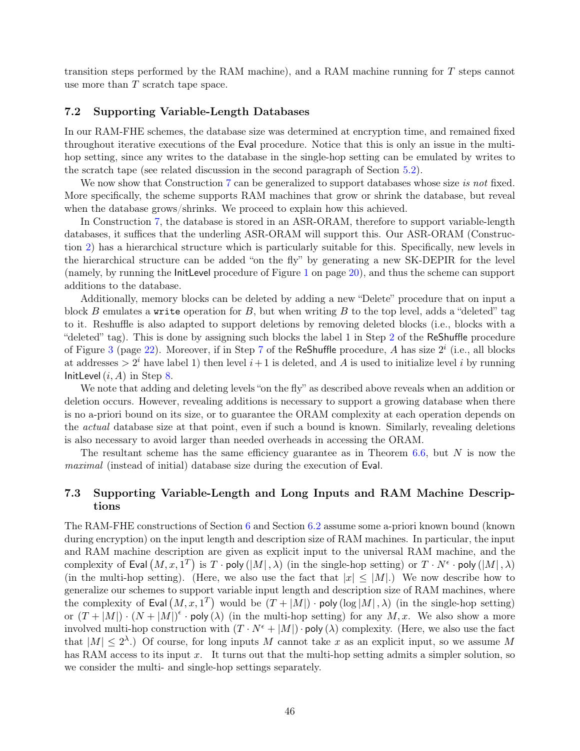transition steps performed by the RAM machine), and a RAM machine running for T steps cannot use more than  $T$  scratch tape space.

### <span id="page-45-0"></span>7.2 Supporting Variable-Length Databases

In our RAM-FHE schemes, the database size was determined at encryption time, and remained fixed throughout iterative executions of the Eval procedure. Notice that this is only an issue in the multihop setting, since any writes to the database in the single-hop setting can be emulated by writes to the scratch tape (see related discussion in the second paragraph of Section [5.2\)](#page-28-0).

We now show that Construction [7](#page-41-1) can be generalized to support databases whose size is not fixed. More specifically, the scheme supports RAM machines that grow or shrink the database, but reveal when the database grows/shrinks. We proceed to explain how this achieved.

In Construction [7,](#page-41-1) the database is stored in an ASR-ORAM, therefore to support variable-length databases, it suffices that the underling ASR-ORAM will support this. Our ASR-ORAM (Construction [2\)](#page-16-2) has a hierarchical structure which is particularly suitable for this. Specifically, new levels in the hierarchical structure can be added "on the fly" by generating a new SK-DEPIR for the level (namely, by running the InitLevel procedure of Figure [1](#page-19-0) on page [20\)](#page-19-0), and thus the scheme can support additions to the database.

Additionally, memory blocks can be deleted by adding a new "Delete" procedure that on input a block B emulates a write operation for  $B$ , but when writing  $B$  to the top level, adds a "deleted" tag to it. Reshuffle is also adapted to support deletions by removing deleted blocks (i.e., blocks with a "deleted" tag). This is done by assigning such blocks the label 1 in Step [2](#page-21-1) of the ReShuffle procedure of Figure [3](#page-21-0) (page [22\)](#page-21-0). Moreover, if in Step [7](#page-21-2) of the ReShuffle procedure, A has size  $2^i$  (i.e., all blocks at addresses  $> 2<sup>i</sup>$  have label 1) then level  $i+1$  is deleted, and A is used to initialize level i by running InitLevel  $(i, A)$  in Step [8.](#page-21-3)

We note that adding and deleting levels "on the fly" as described above reveals when an addition or deletion occurs. However, revealing additions is necessary to support a growing database when there is no a-priori bound on its size, or to guarantee the ORAM complexity at each operation depends on the actual database size at that point, even if such a bound is known. Similarly, revealing deletions is also necessary to avoid larger than needed overheads in accessing the ORAM.

The resultant scheme has the same efficiency guarantee as in Theorem  $6.6$ , but N is now the maximal (instead of initial) database size during the execution of Eval.

## <span id="page-45-1"></span>7.3 Supporting Variable-Length and Long Inputs and RAM Machine Descriptions

The RAM-FHE constructions of Section [6](#page-34-0) and Section [6.2](#page-37-0) assume some a-priori known bound (known during encryption) on the input length and description size of RAM machines. In particular, the input and RAM machine description are given as explicit input to the universal RAM machine, and the complexity of Eval  $(M, x, 1^T)$  is  $T \cdot \text{poly}(|M|, \lambda)$  (in the single-hop setting) or  $T \cdot N^{\epsilon} \cdot \text{poly}(|M|, \lambda)$ (in the multi-hop setting). (Here, we also use the fact that  $|x| \leq |M|$ .) We now describe how to generalize our schemes to support variable input length and description size of RAM machines, where the complexity of Eval  $(M, x, 1^T)$  would be  $(T + |M|) \cdot \text{poly}(\log|M|, \lambda)$  (in the single-hop setting) or  $(T + |M|) \cdot (N + |M|)^{\epsilon}$  poly  $(\lambda)$  (in the multi-hop setting) for any  $M, x$ . We also show a more involved multi-hop construction with  $(T \cdot N^{\epsilon} + |M|) \cdot \text{poly}(\lambda)$  complexity. (Here, we also use the fact that  $|M| \leq 2^{\lambda}$ .) Of course, for long inputs M cannot take x as an explicit input, so we assume M has RAM access to its input  $x$ . It turns out that the multi-hop setting admits a simpler solution, so we consider the multi- and single-hop settings separately.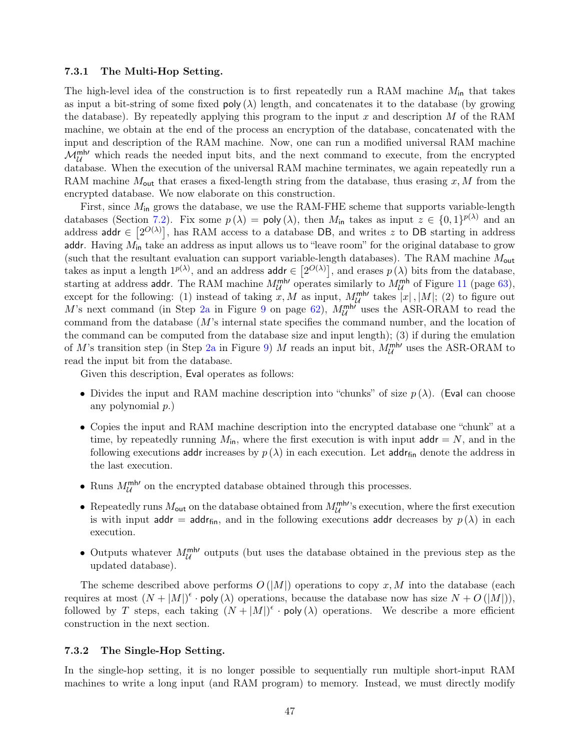#### <span id="page-46-0"></span>7.3.1 The Multi-Hop Setting.

The high-level idea of the construction is to first repeatedly run a RAM machine  $M_{\text{in}}$  that takes as input a bit-string of some fixed poly  $(\lambda)$  length, and concatenates it to the database (by growing the database). By repeatedly applying this program to the input x and description M of the RAM machine, we obtain at the end of the process an encryption of the database, concatenated with the input and description of the RAM machine. Now, one can run a modified universal RAM machine  $\mathcal{M}_{\mathcal{U}}^{\text{mh}}$  which reads the needed input bits, and the next command to execute, from the encrypted database. When the execution of the universal RAM machine terminates, we again repeatedly run a RAM machine  $M_{\text{out}}$  that erases a fixed-length string from the database, thus erasing x, M from the encrypted database. We now elaborate on this construction.

First, since  $M_{\text{in}}$  grows the database, we use the RAM-FHE scheme that supports variable-length databases (Section [7.2\)](#page-45-0). Fix some  $p(\lambda) = \text{poly}(\lambda)$ , then  $M_{\text{in}}$  takes as input  $z \in \{0,1\}^{p(\lambda)}$  and an address addr  $\in [2^{O(\lambda)}]$ , has RAM access to a database DB, and writes z to DB starting in address addr. Having  $M_{\text{in}}$  take an address as input allows us to "leave room" for the original database to grow (such that the resultant evaluation can support variable-length databases). The RAM machine  $M_{\text{out}}$ takes as input a length  $1^{p(\lambda)}$ , and an address addr  $\in [2^{O(\lambda)}]$ , and erases  $p(\lambda)$  bits from the database, starting at address addr. The RAM machine  $M_{\mathcal{U}}^{\text{mh}}$  operates similarly to  $M_{\mathcal{U}}^{\text{mh}}$  of Figure [11](#page-62-0) (page [63\)](#page-62-0), except for the following: (1) instead of taking  $x, M$  as input,  $M_{\mathcal{U}}^{\text{mh}\prime}$  takes  $|x|, |M|$ ; (2) to figure out M's next command (in Step [2a](#page-61-0) in Figure [9](#page-61-1) on page [62\)](#page-61-1),  $M_{\mathcal{U}}^{\text{m}h'}$  uses the ASR-ORAM to read the command from the database (M's internal state specifies the command number, and the location of the command can be computed from the database size and input length); (3) if during the emulation of M's transition step (in Step [2a](#page-61-0) in Figure [9\)](#page-61-1) M reads an input bit,  $M_{\mathcal{U}}^{\text{mh}}$  uses the ASR-ORAM to read the input bit from the database.

Given this description, Eval operates as follows:

- Divides the input and RAM machine description into "chunks" of size  $p(\lambda)$ . (Eval can choose any polynomial p.)
- Copies the input and RAM machine description into the encrypted database one "chunk" at a time, by repeatedly running  $M_{\text{in}}$ , where the first execution is with input addr = N, and in the following executions addr increases by  $p(\lambda)$  in each execution. Let addr<sub>fin</sub> denote the address in the last execution.
- Runs  $M_{\mathcal{U}}^{\text{mh}}$  on the encrypted database obtained through this processes.
- Repeatedly runs  $M_{\text{out}}$  on the database obtained from  $M_{\mathcal{U}}^{\text{mh}\prime}$ 's execution, where the first execution is with input addr = addr<sub>fin</sub>, and in the following executions addr decreases by  $p(\lambda)$  in each execution.
- Outputs whatever  $M_{\mathcal{U}}^{\text{mh}\prime}$  outputs (but uses the database obtained in the previous step as the updated database).

The scheme described above performs  $O(|M|)$  operations to copy x, M into the database (each requires at most  $(N+|M|)^{\epsilon}$  · poly  $(\lambda)$  operations, because the database now has size  $N+O(|M|)$ , followed by T steps, each taking  $(N+|M|)^{\epsilon}$  poly  $(\lambda)$  operations. We describe a more efficient construction in the next section.

#### <span id="page-46-1"></span>7.3.2 The Single-Hop Setting.

In the single-hop setting, it is no longer possible to sequentially run multiple short-input RAM machines to write a long input (and RAM program) to memory. Instead, we must directly modify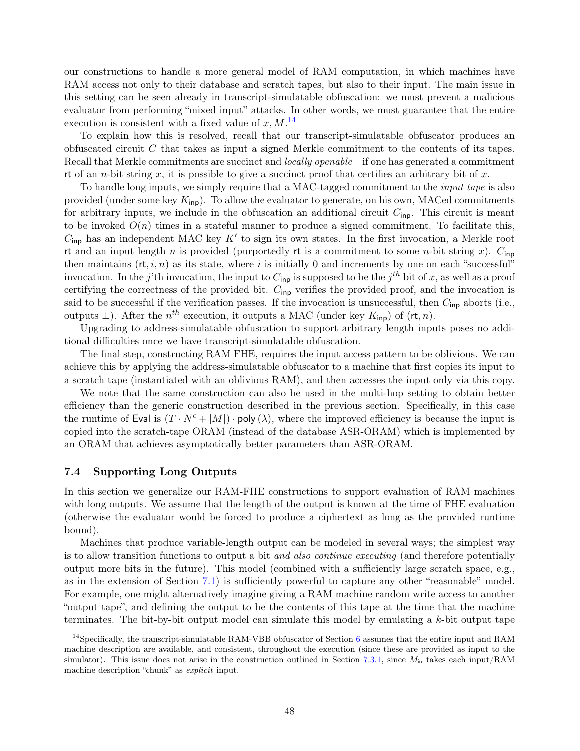our constructions to handle a more general model of RAM computation, in which machines have RAM access not only to their database and scratch tapes, but also to their input. The main issue in this setting can be seen already in transcript-simulatable obfuscation: we must prevent a malicious evaluator from performing "mixed input" attacks. In other words, we must guarantee that the entire execution is consistent with a fixed value of  $x, M$ .<sup>[14](#page-47-1)</sup>

To explain how this is resolved, recall that our transcript-simulatable obfuscator produces an obfuscated circuit  $C$  that takes as input a signed Merkle commitment to the contents of its tapes. Recall that Merkle commitments are succinct and locally openable – if one has generated a commitment rt of an n-bit string x, it is possible to give a succinct proof that certifies an arbitrary bit of x.

To handle long inputs, we simply require that a MAC-tagged commitment to the *input tape* is also provided (under some key  $K_{\text{inp}}$ ). To allow the evaluator to generate, on his own, MACed commitments for arbitrary inputs, we include in the obfuscation an additional circuit  $C_{\text{inp}}$ . This circuit is meant to be invoked  $O(n)$  times in a stateful manner to produce a signed commitment. To facilitate this,  $C_{\mathsf{inp}}$  has an independent MAC key  $K'$  to sign its own states. In the first invocation, a Merkle root rt and an input length n is provided (purportedly rt is a commitment to some n-bit string x).  $C_{\text{inp}}$ then maintains  $(\mathsf{rt}, i, n)$  as its state, where i is initially 0 and increments by one on each "successful" invocation. In the j'th invocation, the input to  $C_{\text{inp}}$  is supposed to be the j<sup>th</sup> bit of x, as well as a proof certifying the correctness of the provided bit. Cinp verifies the provided proof, and the invocation is said to be successful if the verification passes. If the invocation is unsuccessful, then  $C_{\text{inp}}$  aborts (i.e., outputs  $\perp$ ). After the  $n^{th}$  execution, it outputs a MAC (under key  $K_{\mathsf{inp}}$ ) of (rt, n).

Upgrading to address-simulatable obfuscation to support arbitrary length inputs poses no additional difficulties once we have transcript-simulatable obfuscation.

The final step, constructing RAM FHE, requires the input access pattern to be oblivious. We can achieve this by applying the address-simulatable obfuscator to a machine that first copies its input to a scratch tape (instantiated with an oblivious RAM), and then accesses the input only via this copy.

We note that the same construction can also be used in the multi-hop setting to obtain better efficiency than the generic construction described in the previous section. Specifically, in this case the runtime of Eval is  $(T \cdot N^{\epsilon} + |M|) \cdot \text{poly}(\lambda)$ , where the improved efficiency is because the input is copied into the scratch-tape ORAM (instead of the database ASR-ORAM) which is implemented by an ORAM that achieves asymptotically better parameters than ASR-ORAM.

### <span id="page-47-0"></span>7.4 Supporting Long Outputs

In this section we generalize our RAM-FHE constructions to support evaluation of RAM machines with long outputs. We assume that the length of the output is known at the time of FHE evaluation (otherwise the evaluator would be forced to produce a ciphertext as long as the provided runtime bound).

Machines that produce variable-length output can be modeled in several ways; the simplest way is to allow transition functions to output a bit *and also continue executing* (and therefore potentially output more bits in the future). This model (combined with a sufficiently large scratch space, e.g., as in the extension of Section [7.1\)](#page-44-1) is sufficiently powerful to capture any other "reasonable" model. For example, one might alternatively imagine giving a RAM machine random write access to another "output tape", and defining the output to be the contents of this tape at the time that the machine terminates. The bit-by-bit output model can simulate this model by emulating a k-bit output tape

<span id="page-47-1"></span><sup>&</sup>lt;sup>14</sup>Specifically, the transcript-simulatable RAM-VBB obfuscator of Section [6](#page-34-0) assumes that the entire input and RAM machine description are available, and consistent, throughout the execution (since these are provided as input to the simulator). This issue does not arise in the construction outlined in Section [7.3.1,](#page-46-0) since  $M_{\text{in}}$  takes each input/RAM machine description "chunk" as explicit input.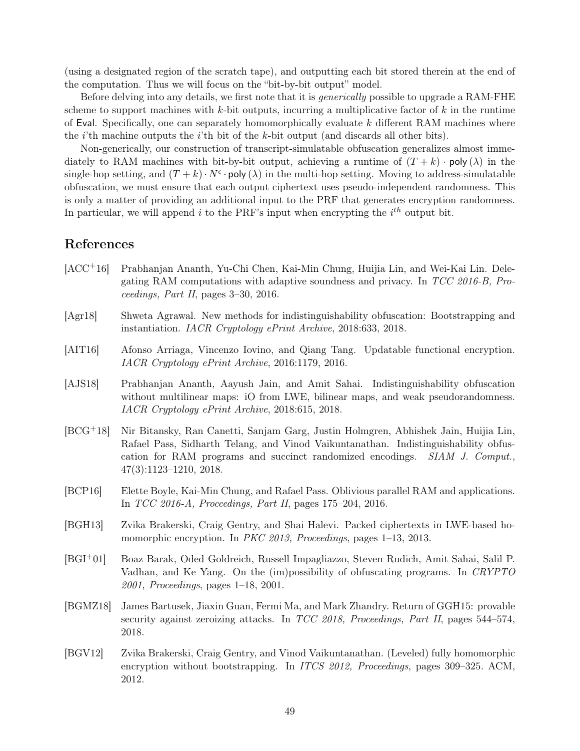(using a designated region of the scratch tape), and outputting each bit stored therein at the end of the computation. Thus we will focus on the "bit-by-bit output" model.

Before delving into any details, we first note that it is *generically* possible to upgrade a RAM-FHE scheme to support machines with  $k$ -bit outputs, incurring a multiplicative factor of  $k$  in the runtime of Eval. Specifically, one can separately homomorphically evaluate k different RAM machines where the  $i$ 'th machine outputs the  $i$ 'th bit of the  $k$ -bit output (and discards all other bits).

Non-generically, our construction of transcript-simulatable obfuscation generalizes almost immediately to RAM machines with bit-by-bit output, achieving a runtime of  $(T + k) \cdot \text{poly}(\lambda)$  in the single-hop setting, and  $(T + k) \cdot N^{\epsilon} \cdot \text{poly}(\lambda)$  in the multi-hop setting. Moving to address-simulatable obfuscation, we must ensure that each output ciphertext uses pseudo-independent randomness. This is only a matter of providing an additional input to the PRF that generates encryption randomness. In particular, we will append i to the PRF's input when encrypting the  $i^{th}$  output bit.

## References

- <span id="page-48-6"></span>[ACC+16] Prabhanjan Ananth, Yu-Chi Chen, Kai-Min Chung, Huijia Lin, and Wei-Kai Lin. Delegating RAM computations with adaptive soundness and privacy. In TCC 2016-B, Proceedings, Part II, pages  $3-30$ ,  $2016$ .
- <span id="page-48-4"></span>[Agr18] Shweta Agrawal. New methods for indistinguishability obfuscation: Bootstrapping and instantiation. IACR Cryptology ePrint Archive, 2018:633, 2018.
- <span id="page-48-9"></span>[AIT16] Afonso Arriaga, Vincenzo Iovino, and Qiang Tang. Updatable functional encryption. IACR Cryptology ePrint Archive, 2016:1179, 2016.
- <span id="page-48-5"></span>[AJS18] Prabhanjan Ananth, Aayush Jain, and Amit Sahai. Indistinguishability obfuscation without multilinear maps: iO from LWE, bilinear maps, and weak pseudorandomness. IACR Cryptology ePrint Archive, 2018:615, 2018.
- <span id="page-48-8"></span>[BCG+18] Nir Bitansky, Ran Canetti, Sanjam Garg, Justin Holmgren, Abhishek Jain, Huijia Lin, Rafael Pass, Sidharth Telang, and Vinod Vaikuntanathan. Indistinguishability obfuscation for RAM programs and succinct randomized encodings. SIAM J. Comput., 47(3):1123–1210, 2018.
- <span id="page-48-7"></span>[BCP16] Elette Boyle, Kai-Min Chung, and Rafael Pass. Oblivious parallel RAM and applications. In TCC 2016-A, Proceedings, Part II, pages 175–204, 2016.
- <span id="page-48-0"></span>[BGH13] Zvika Brakerski, Craig Gentry, and Shai Halevi. Packed ciphertexts in LWE-based homomorphic encryption. In PKC 2013, Proceedings, pages 1–13, 2013.
- <span id="page-48-2"></span>[BGI+01] Boaz Barak, Oded Goldreich, Russell Impagliazzo, Steven Rudich, Amit Sahai, Salil P. Vadhan, and Ke Yang. On the (im)possibility of obfuscating programs. In CRYPTO 2001, Proceedings, pages  $1-18$ , 2001.
- <span id="page-48-3"></span>[BGMZ18] James Bartusek, Jiaxin Guan, Fermi Ma, and Mark Zhandry. Return of GGH15: provable security against zeroizing attacks. In TCC 2018, Proceedings, Part II, pages 544–574, 2018.
- <span id="page-48-1"></span>[BGV12] Zvika Brakerski, Craig Gentry, and Vinod Vaikuntanathan. (Leveled) fully homomorphic encryption without bootstrapping. In *ITCS 2012, Proceedings*, pages 309–325. ACM, 2012.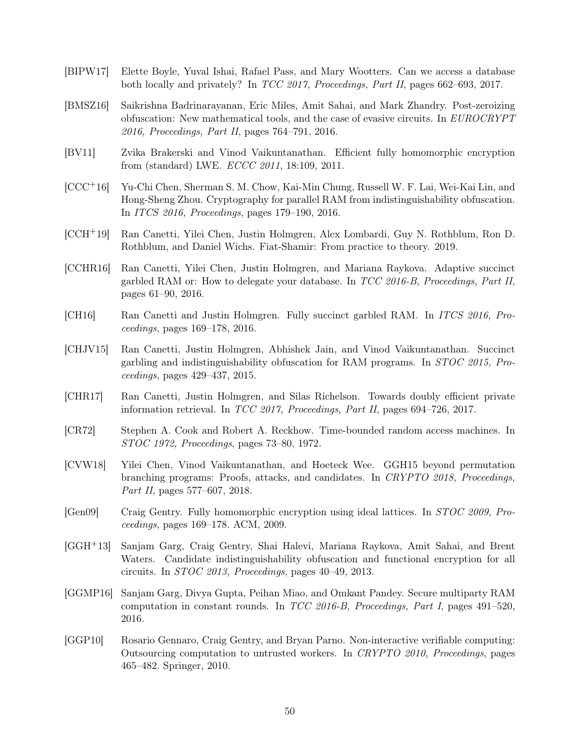- <span id="page-49-6"></span>[BIPW17] Elette Boyle, Yuval Ishai, Rafael Pass, and Mary Wootters. Can we access a database both locally and privately? In TCC 2017, Proceedings, Part II, pages 662–693, 2017.
- <span id="page-49-8"></span>[BMSZ16] Saikrishna Badrinarayanan, Eric Miles, Amit Sahai, and Mark Zhandry. Post-zeroizing obfuscation: New mathematical tools, and the case of evasive circuits. In EUROCRYPT 2016, Proceedings, Part II, pages 764–791, 2016.
- <span id="page-49-1"></span>[BV11] Zvika Brakerski and Vinod Vaikuntanathan. Efficient fully homomorphic encryption from (standard) LWE. *ECCC 2011*, 18:109, 2011.
- <span id="page-49-13"></span>[CCC+16] Yu-Chi Chen, Sherman S. M. Chow, Kai-Min Chung, Russell W. F. Lai, Wei-Kai Lin, and Hong-Sheng Zhou. Cryptography for parallel RAM from indistinguishability obfuscation. In ITCS 2016, Proceedings, pages 179–190, 2016.
- <span id="page-49-4"></span>[CCH+19] Ran Canetti, Yilei Chen, Justin Holmgren, Alex Lombardi, Guy N. Rothblum, Ron D. Rothblum, and Daniel Wichs. Fiat-Shamir: From practice to theory. 2019.
- <span id="page-49-12"></span>[CCHR16] Ran Canetti, Yilei Chen, Justin Holmgren, and Mariana Raykova. Adaptive succinct garbled RAM or: How to delegate your database. In TCC 2016-B, Proceedings, Part II, pages 61–90, 2016.
- <span id="page-49-11"></span>[CH16] Ran Canetti and Justin Holmgren. Fully succinct garbled RAM. In ITCS 2016, Proceedings, pages 169–178, 2016.
- <span id="page-49-10"></span>[CHJV15] Ran Canetti, Justin Holmgren, Abhishek Jain, and Vinod Vaikuntanathan. Succinct garbling and indistinguishability obfuscation for RAM programs. In STOC 2015, Proceedings, pages 429–437, 2015.
- <span id="page-49-7"></span>[CHR17] Ran Canetti, Justin Holmgren, and Silas Richelson. Towards doubly efficient private information retrieval. In TCC 2017, Proceedings, Part II, pages 694–726, 2017.
- <span id="page-49-5"></span>[CR72] Stephen A. Cook and Robert A. Reckhow. Time-bounded random access machines. In STOC 1972, Proceedings, pages 73–80, 1972.
- <span id="page-49-9"></span>[CVW18] Yilei Chen, Vinod Vaikuntanathan, and Hoeteck Wee. GGH15 beyond permutation branching programs: Proofs, attacks, and candidates. In CRYPTO 2018, Proceedings, Part II, pages 577–607, 2018.
- <span id="page-49-0"></span>[Gen09] Craig Gentry. Fully homomorphic encryption using ideal lattices. In STOC 2009, Proceedings, pages 169–178. ACM, 2009.
- <span id="page-49-2"></span>[GGH+13] Sanjam Garg, Craig Gentry, Shai Halevi, Mariana Raykova, Amit Sahai, and Brent Waters. Candidate indistinguishability obfuscation and functional encryption for all circuits. In STOC 2013, Proceedings, pages 40–49, 2013.
- <span id="page-49-14"></span>[GGMP16] Sanjam Garg, Divya Gupta, Peihan Miao, and Omkant Pandey. Secure multiparty RAM computation in constant rounds. In TCC 2016-B, Proceedings, Part I, pages 491–520, 2016.
- <span id="page-49-3"></span>[GGP10] Rosario Gennaro, Craig Gentry, and Bryan Parno. Non-interactive verifiable computing: Outsourcing computation to untrusted workers. In CRYPTO 2010, Proceedings, pages 465–482. Springer, 2010.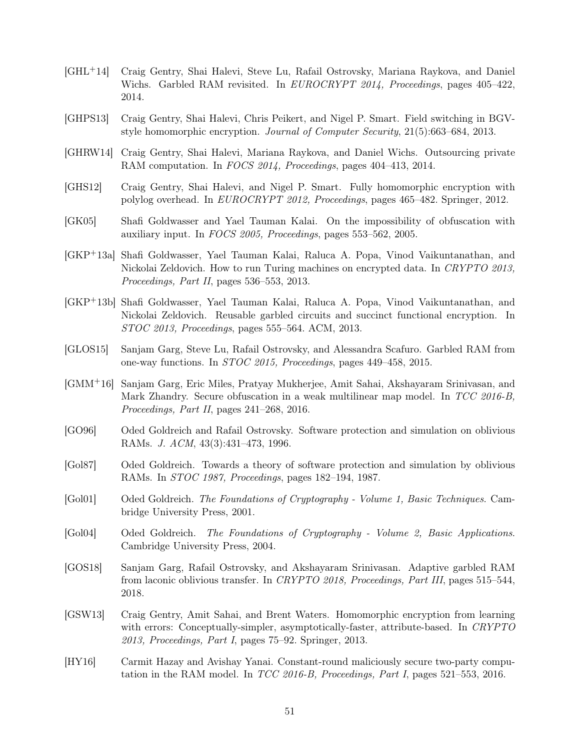- <span id="page-50-7"></span>[GHL+14] Craig Gentry, Shai Halevi, Steve Lu, Rafail Ostrovsky, Mariana Raykova, and Daniel Wichs. Garbled RAM revisited. In EUROCRYPT 2014, Proceedings, pages 405–422, 2014.
- <span id="page-50-3"></span>[GHPS13] Craig Gentry, Shai Halevi, Chris Peikert, and Nigel P. Smart. Field switching in BGVstyle homomorphic encryption. Journal of Computer Security, 21(5):663–684, 2013.
- <span id="page-50-11"></span>[GHRW14] Craig Gentry, Shai Halevi, Mariana Raykova, and Daniel Wichs. Outsourcing private RAM computation. In FOCS 2014, Proceedings, pages 404–413, 2014.
- <span id="page-50-1"></span>[GHS12] Craig Gentry, Shai Halevi, and Nigel P. Smart. Fully homomorphic encryption with polylog overhead. In EUROCRYPT 2012, Proceedings, pages 465–482. Springer, 2012.
- <span id="page-50-15"></span>[GK05] Shafi Goldwasser and Yael Tauman Kalai. On the impossibility of obfuscation with auxiliary input. In FOCS 2005, Proceedings, pages 553–562, 2005.
- <span id="page-50-12"></span>[GKP+13a] Shafi Goldwasser, Yael Tauman Kalai, Raluca A. Popa, Vinod Vaikuntanathan, and Nickolai Zeldovich. How to run Turing machines on encrypted data. In CRYPTO 2013, Proceedings, Part II, pages 536–553, 2013.
- <span id="page-50-0"></span>[GKP+13b] Shafi Goldwasser, Yael Tauman Kalai, Raluca A. Popa, Vinod Vaikuntanathan, and Nickolai Zeldovich. Reusable garbled circuits and succinct functional encryption. In STOC 2013, Proceedings, pages 555–564. ACM, 2013.
- <span id="page-50-8"></span>[GLOS15] Sanjam Garg, Steve Lu, Rafail Ostrovsky, and Alessandra Scafuro. Garbled RAM from one-way functions. In STOC 2015, Proceedings, pages 449–458, 2015.
- <span id="page-50-4"></span>[GMM+16] Sanjam Garg, Eric Miles, Pratyay Mukherjee, Amit Sahai, Akshayaram Srinivasan, and Mark Zhandry. Secure obfuscation in a weak multilinear map model. In TCC 2016-B, Proceedings, Part II, pages 241–268, 2016.
- <span id="page-50-6"></span>[GO96] Oded Goldreich and Rafail Ostrovsky. Software protection and simulation on oblivious RAMs. J. ACM, 43(3):431–473, 1996.
- <span id="page-50-5"></span>[Gol87] Oded Goldreich. Towards a theory of software protection and simulation by oblivious RAMs. In STOC 1987, Proceedings, pages 182–194, 1987.
- <span id="page-50-13"></span>[Gol01] Oded Goldreich. The Foundations of Cryptography - Volume 1, Basic Techniques. Cambridge University Press, 2001.
- <span id="page-50-14"></span>[Gol04] Oded Goldreich. The Foundations of Cryptography - Volume 2, Basic Applications. Cambridge University Press, 2004.
- <span id="page-50-10"></span>[GOS18] Sanjam Garg, Rafail Ostrovsky, and Akshayaram Srinivasan. Adaptive garbled RAM from laconic oblivious transfer. In CRYPTO 2018, Proceedings, Part III, pages 515–544, 2018.
- <span id="page-50-2"></span>[GSW13] Craig Gentry, Amit Sahai, and Brent Waters. Homomorphic encryption from learning with errors: Conceptually-simpler, asymptotically-faster, attribute-based. In CRYPTO 2013, Proceedings, Part I, pages 75–92. Springer, 2013.
- <span id="page-50-9"></span>[HY16] Carmit Hazay and Avishay Yanai. Constant-round maliciously secure two-party computation in the RAM model. In  $TCC$  2016-B, Proceedings, Part I, pages 521–553, 2016.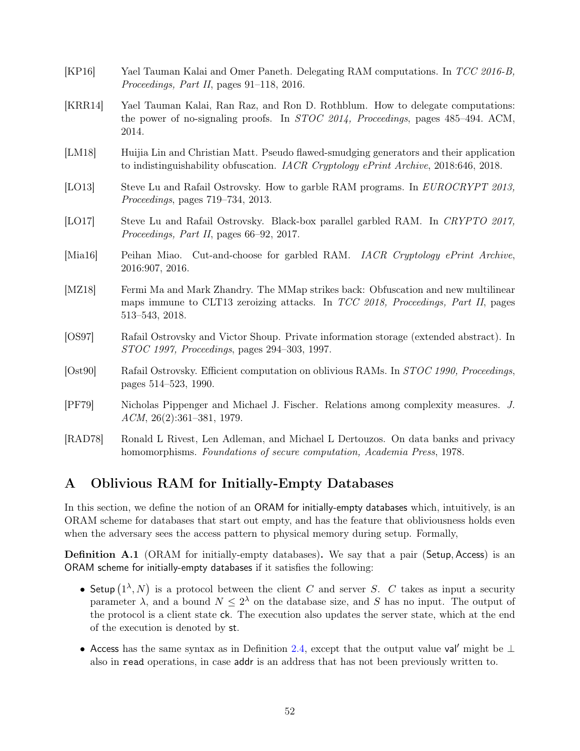<span id="page-51-11"></span><span id="page-51-10"></span><span id="page-51-9"></span><span id="page-51-8"></span><span id="page-51-5"></span><span id="page-51-2"></span>

| [KP16]  | Yael Tauman Kalai and Omer Paneth. Delegating RAM computations. In TCC 2016-B,<br>Proceedings, Part II, pages 91-118, 2016.                                                                 |
|---------|---------------------------------------------------------------------------------------------------------------------------------------------------------------------------------------------|
| [KRR14] | Yael Tauman Kalai, Ran Raz, and Ron D. Rothblum. How to delegate computations:<br>the power of no-signaling proofs. In <i>STOC 2014</i> , <i>Proceedings</i> , pages 485–494. ACM,<br>2014. |
| [LM18]  | Huijia Lin and Christian Matt. Pseudo flawed-smudging generators and their application<br>to indistinguishability obfuscation. IACR Cryptology ePrint Archive, 2018:646, 2018.              |
| [LO13]  | Steve Lu and Rafail Ostrovsky. How to garble RAM programs. In EUROCRYPT 2013,<br><i>Proceedings</i> , pages 719–734, 2013.                                                                  |
| [LO17]  | Steve Lu and Rafail Ostrovsky. Black-box parallel garbled RAM. In CRYPTO 2017,<br>Proceedings, Part II, pages 66–92, 2017.                                                                  |
| [Mia16] | Peihan Miao. Cut-and-choose for garbled RAM. IACR Cryptology ePrint Archive,<br>2016:907, 2016.                                                                                             |
| [MZ18]  | Fermi Ma and Mark Zhandry. The MMap strikes back: Obfuscation and new multilinear<br>maps immune to CLT13 zeroizing attacks. In TCC 2018, Proceedings, Part II, pages<br>513-543, 2018.     |
| [OS97]  | Rafail Ostrovsky and Victor Shoup. Private information storage (extended abstract). In<br>STOC 1997, Proceedings, pages 294–303, 1997.                                                      |
| [Ost90] | Rafail Ostrovsky. Efficient computation on oblivious RAMs. In STOC 1990, Proceedings,<br>pages 514–523, 1990.                                                                               |
| [PF79]  | Nicholas Pippenger and Michael J. Fischer. Relations among complexity measures. J.<br>$ACM$ , 26(2):361-381, 1979.                                                                          |
| [RAD78] | Ronald L Rivest, Len Adleman, and Michael L Dertouzos. On data banks and privacy<br>homomorphisms. Foundations of secure computation, Academia Press, 1978.                                 |

## <span id="page-51-7"></span><span id="page-51-6"></span><span id="page-51-4"></span><span id="page-51-3"></span><span id="page-51-1"></span><span id="page-51-0"></span>A Oblivious RAM for Initially-Empty Databases

In this section, we define the notion of an ORAM for initially-empty databases which, intuitively, is an ORAM scheme for databases that start out empty, and has the feature that obliviousness holds even when the adversary sees the access pattern to physical memory during setup. Formally,

<span id="page-51-12"></span>**Definition A.1** (ORAM for initially-empty databases). We say that a pair (Setup, Access) is an ORAM scheme for initially-empty databases if it satisfies the following:

- Setup  $(1^{\lambda}, N)$  is a protocol between the client C and server S. C takes as input a security parameter  $\lambda$ , and a bound  $N \leq 2^{\lambda}$  on the database size, and S has no input. The output of the protocol is a client state ck. The execution also updates the server state, which at the end of the execution is denoted by st.
- Access has the same syntax as in Definition [2.4,](#page-10-1) except that the output value val' might be  $\perp$ also in read operations, in case addr is an address that has not been previously written to.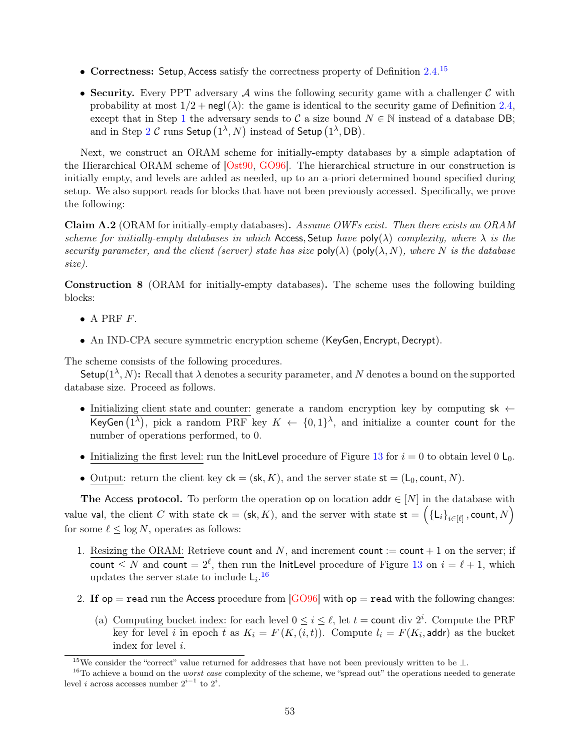- Correctness: Setup, Access satisfy the correctness property of Definition  $2.4$ .<sup>[15](#page-52-1)</sup>
- Security. Every PPT adversary  $\mathcal A$  wins the following security game with a challenger  $\mathcal C$  with probability at most  $1/2$  + negl( $\lambda$ ): the game is identical to the security game of Definition [2.4,](#page-10-1) except that in Step [1](#page-10-2) the adversary sends to C a size bound  $N \in \mathbb{N}$  instead of a database DB; and in Step [2](#page-10-3) C runs Setup  $(1^{\lambda}, N)$  instead of Setup  $(1^{\lambda}, DB)$ .

Next, we construct an ORAM scheme for initially-empty databases by a simple adaptation of the Hierarchical ORAM scheme of [\[Ost90,](#page-51-6) [GO96\]](#page-50-6). The hierarchical structure in our construction is initially empty, and levels are added as needed, up to an a-priori determined bound specified during setup. We also support reads for blocks that have not been previously accessed. Specifically, we prove the following:

<span id="page-52-0"></span>Claim A.2 (ORAM for initially-empty databases). Assume OWFs exist. Then there exists an ORAM scheme for initially-empty databases in which Access. Setup have  $poly(\lambda)$  complexity, where  $\lambda$  is the security parameter, and the client (server) state has size  $poly(\lambda)$  (poly( $\lambda$ , N), where N is the database size).

<span id="page-52-4"></span>Construction 8 (ORAM for initially-empty databases). The scheme uses the following building blocks:

- $\bullet$  A PRF  $F$ .
- An IND-CPA secure symmetric encryption scheme (KeyGen, Encrypt, Decrypt).

The scheme consists of the following procedures.

Setup( $1^{\lambda}, N$ ): Recall that  $\lambda$  denotes a security parameter, and N denotes a bound on the supported database size. Proceed as follows.

- Initializing client state and counter: generate a random encryption key by computing  $sk \leftarrow$ KeyGen  $(1^{\lambda})$ , pick a random PRF key  $K \leftarrow \{0,1\}^{\lambda}$ , and initialize a counter count for the number of operations performed, to 0.
- Initializing the first level: run the InitLevel procedure of Figure [13](#page-63-0) for  $i = 0$  to obtain level 0 L<sub>0</sub>.
- Output: return the client key  $ck = (sk, K)$ , and the server state  $st = (L_0, count, N)$ .

The Access protocol. To perform the operation op on location addr  $\in [N]$  in the database with value val, the client C with state  $\mathsf{ck} = (\mathsf{sk}, K)$ , and the server with state  $\mathsf{st} = \left(\{\mathsf{L}_i\}_{i \in [\ell]}, \mathsf{count}, N\right)$ for some  $\ell \leq \log N$ , operates as follows:

- 1. Resizing the ORAM: Retrieve count and N, and increment count  $:=$  count  $+1$  on the server; if count  $\leq N$  and count  $= 2^{\ell}$ , then run the InitLevel procedure of Figure [13](#page-63-0) on  $i = \ell + 1$ , which updates the server state to include  $\mathsf{L}_{i}$ .<sup>[16](#page-52-2)</sup>
- <span id="page-52-3"></span>2. If op  $=$  read run the Access procedure from  $[GO96]$  with op  $=$  read with the following changes:
	- (a) Computing bucket index: for each level  $0 \le i \le \ell$ , let  $t =$  count div  $2^i$ . Compute the PRF key for level *i* in epoch *t* as  $K_i = F(K_i, (i, t))$ . Compute  $l_i = F(K_i, \text{addr})$  as the bucket index for level i.

<span id="page-52-2"></span><span id="page-52-1"></span><sup>&</sup>lt;sup>15</sup>We consider the "correct" value returned for addresses that have not been previously written to be ⊥.

 $16$ To achieve a bound on the *worst case* complexity of the scheme, we "spread out" the operations needed to generate level *i* across accesses number  $2^{i-1}$  to  $2^i$ .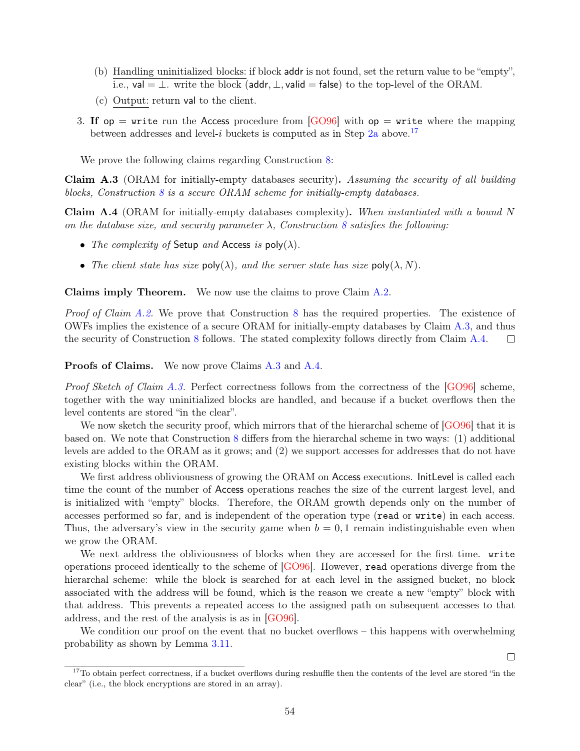- (b) Handling uninitialized blocks: if block addr is not found, set the return value to be "empty", i.e.,  $val = \bot$ . write the block (addr,  $\bot$ , valid = false) to the top-level of the ORAM.
- (c) Output: return val to the client.
- 3. If  $op =$  write run the Access procedure from [\[GO96\]](#page-50-6) with  $op =$  write where the mapping between addresses and level-i buckets is computed as in Step  $2a$  above.<sup>[17](#page-53-0)</sup>

We prove the following claims regarding Construction [8:](#page-52-4)

<span id="page-53-1"></span>Claim A.3 (ORAM for initially-empty databases security). Assuming the security of all building blocks, Construction  $\delta$  is a secure ORAM scheme for initially-empty databases.

<span id="page-53-2"></span>Claim A.4 (ORAM for initially-empty databases complexity). When instantiated with a bound N on the database size, and security parameter  $\lambda$ , Construction [8](#page-52-4) satisfies the following:

- The complexity of Setup and Access is  $\text{poly}(\lambda)$ .
- The client state has size  $\text{poly}(\lambda)$ , and the server state has size  $\text{poly}(\lambda, N)$ .

Claims imply Theorem. We now use the claims to prove Claim [A.2.](#page-52-0)

Proof of Claim [A.2.](#page-52-0) We prove that Construction [8](#page-52-4) has the required properties. The existence of OWFs implies the existence of a secure ORAM for initially-empty databases by Claim [A.3,](#page-53-1) and thus the security of Construction [8](#page-52-4) follows. The stated complexity follows directly from Claim [A.4.](#page-53-2)  $\Box$ 

Proofs of Claims. We now prove Claims [A.3](#page-53-1) and [A.4.](#page-53-2)

*Proof Sketch of Claim [A.3.](#page-53-1)* Perfect correctness follows from the correctness of the  $[GO96]$  scheme, together with the way uninitialized blocks are handled, and because if a bucket overflows then the level contents are stored "in the clear".

We now sketch the security proof, which mirrors that of the hierarchal scheme of [\[GO96\]](#page-50-6) that it is based on. We note that Construction [8](#page-52-4) differs from the hierarchal scheme in two ways: (1) additional levels are added to the ORAM as it grows; and (2) we support accesses for addresses that do not have existing blocks within the ORAM.

We first address obliviousness of growing the ORAM on Access executions. InitLevel is called each time the count of the number of Access operations reaches the size of the current largest level, and is initialized with "empty" blocks. Therefore, the ORAM growth depends only on the number of accesses performed so far, and is independent of the operation type (read or write) in each access. Thus, the adversary's view in the security game when  $b = 0, 1$  remain indistinguishable even when we grow the ORAM.

We next address the obliviousness of blocks when they are accessed for the first time. write operations proceed identically to the scheme of  $|GO96|$ . However, read operations diverge from the hierarchal scheme: while the block is searched for at each level in the assigned bucket, no block associated with the address will be found, which is the reason we create a new "empty" block with that address. This prevents a repeated access to the assigned path on subsequent accesses to that address, and the rest of the analysis is as in [\[GO96\]](#page-50-6).

We condition our proof on the event that no bucket overflows – this happens with overwhelming probability as shown by Lemma [3.11.](#page-18-2)

 $\Box$ 

<span id="page-53-0"></span> $17$ To obtain perfect correctness, if a bucket overflows during reshuffle then the contents of the level are stored "in the clear" (i.e., the block encryptions are stored in an array).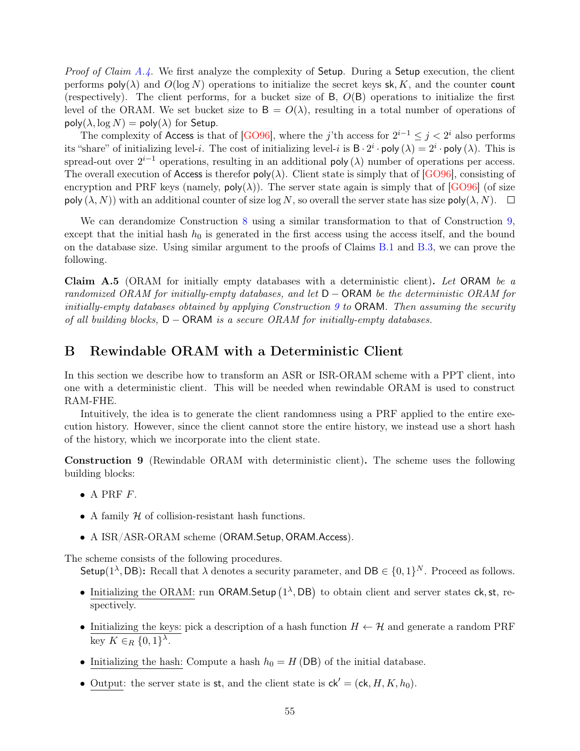*Proof of Claim [A.4.](#page-53-2)* We first analyze the complexity of Setup. During a Setup execution, the client performs  $\text{poly}(\lambda)$  and  $O(\log N)$  operations to initialize the secret keys sk, K, and the counter count (respectively). The client performs, for a bucket size of  $B, O(B)$  operations to initialize the first level of the ORAM. We set bucket size to  $B = O(\lambda)$ , resulting in a total number of operations of  $poly(\lambda, \log N) = poly(\lambda)$  for Setup.

The complexity of Access is that of [\[GO96\]](#page-50-6), where the j'th access for  $2^{i-1} \leq j < 2^i$  also performs its "share" of initializing level-*i*. The cost of initializing level-*i* is  $B \cdot 2^i \cdot \text{poly}(\lambda) = 2^i \cdot \text{poly}(\lambda)$ . This is spread-out over  $2^{i-1}$  operations, resulting in an additional poly ( $\lambda$ ) number of operations per access. The overall execution of Access is therefor  $poly(\lambda)$ . Client state is simply that of [\[GO96\]](#page-50-6), consisting of encryption and PRF keys (namely,  $poly(\lambda)$ ). The server state again is simply that of [\[GO96\]](#page-50-6) (of size  $\mathsf{poly}(\lambda, N)$  with an additional counter of size log N, so overall the server state has size  $\mathsf{poly}(\lambda, N)$ .

We can derandomize Construction [8](#page-52-4) using a similar transformation to that of Construction [9,](#page-54-1) except that the initial hash  $h_0$  is generated in the first access using the access itself, and the bound on the database size. Using similar argument to the proofs of Claims [B.1](#page-55-1) and [B.3,](#page-55-0) we can prove the following.

Claim A.5 (ORAM for initially empty databases with a deterministic client). Let ORAM be a randomized ORAM for initially-empty databases, and let  $D - ORAM$  be the deterministic ORAM for initially-empty databases obtained by applying Construction [9](#page-54-1) to ORAM. Then assuming the security of all building blocks,  $D - ORAM$  is a secure ORAM for initially-empty databases.

## <span id="page-54-0"></span>B Rewindable ORAM with a Deterministic Client

In this section we describe how to transform an ASR or ISR-ORAM scheme with a PPT client, into one with a deterministic client. This will be needed when rewindable ORAM is used to construct RAM-FHE.

Intuitively, the idea is to generate the client randomness using a PRF applied to the entire execution history. However, since the client cannot store the entire history, we instead use a short hash of the history, which we incorporate into the client state.

<span id="page-54-1"></span>Construction 9 (Rewindable ORAM with deterministic client). The scheme uses the following building blocks:

- A PRF  $F$ .
- A family  $H$  of collision-resistant hash functions.
- A ISR/ASR-ORAM scheme (ORAM.Setup, ORAM.Access).

The scheme consists of the following procedures. Setup( $1^{\lambda}$ , DB): Recall that  $\lambda$  denotes a security parameter, and DB  $\in \{0,1\}^{N}$ . Proceed as follows.

- Initializing the ORAM: run ORAM. Setup  $(1^{\lambda},DB)$  to obtain client and server states ck, st, respectively.
- Initializing the keys: pick a description of a hash function  $H \leftarrow \mathcal{H}$  and generate a random PRF key  $K \in_R \{0,1\}^{\lambda}$ .
- Initializing the hash: Compute a hash  $h_0 = H(DB)$  of the initial database.
- Output: the server state is st, and the client state is  $ck' = (ck, H, K, h_0)$ .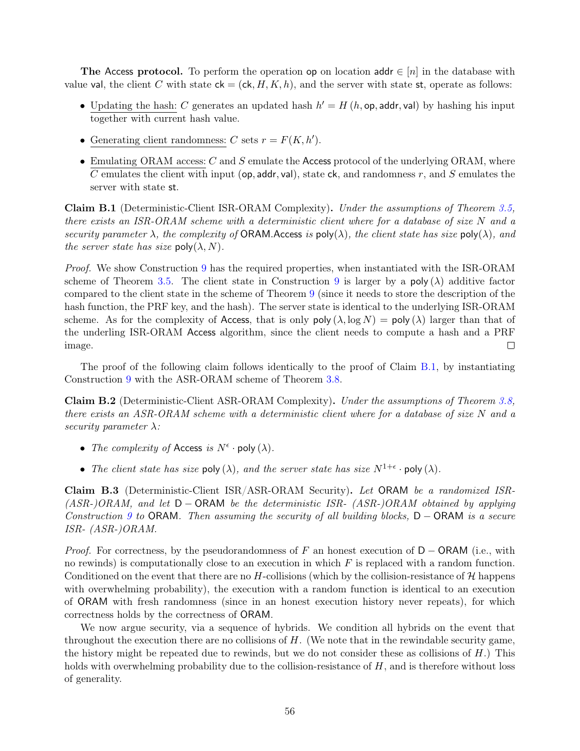The Access protocol. To perform the operation op on location addr  $\in [n]$  in the database with value val, the client C with state  $ck = (ck, H, K, h)$ , and the server with state st, operate as follows:

- Updating the hash: C generates an updated hash  $h' = H(h, \text{op}, \text{addr}, \text{val})$  by hashing his input together with current hash value.
- Generating client randomness: C sets  $r = F(K, h')$ .
- Emulating ORAM access:  $C$  and  $S$  emulate the Access protocol of the underlying ORAM, where C emulates the client with input (op, addr, val), state ck, and randomness r, and S emulates the server with state st.

<span id="page-55-1"></span>Claim B.1 (Deterministic-Client ISR-ORAM Complexity). Under the assumptions of Theorem [3.5,](#page-13-3) there exists an ISR-ORAM scheme with a deterministic client where for a database of size N and a security parameter  $\lambda$ , the complexity of ORAM.Access is  $poly(\lambda)$ , the client state has size  $poly(\lambda)$ , and the server state has size  $\text{poly}(\lambda, N)$ .

Proof. We show Construction [9](#page-54-1) has the required properties, when instantiated with the ISR-ORAM scheme of Theorem [3.5.](#page-13-3) The client state in Construction [9](#page-54-1) is larger by a poly  $(\lambda)$  additive factor compared to the client state in the scheme of Theorem [9](#page-54-1) (since it needs to store the description of the hash function, the PRF key, and the hash). The server state is identical to the underlying ISR-ORAM scheme. As for the complexity of Access, that is only  $poly(\lambda, \log N) = poly(\lambda)$  larger than that of the underling ISR-ORAM Access algorithm, since the client needs to compute a hash and a PRF image.  $\Box$ 

The proof of the following claim follows identically to the proof of Claim [B.1,](#page-55-1) by instantiating Construction [9](#page-54-1) with the ASR-ORAM scheme of Theorem [3.8.](#page-16-1)

<span id="page-55-2"></span>Claim B.2 (Deterministic-Client ASR-ORAM Complexity). Under the assumptions of Theorem [3.8,](#page-16-1) there exists an ASR-ORAM scheme with a deterministic client where for a database of size N and a security parameter  $\lambda$ :

- The complexity of Access is  $N^{\epsilon}$  · poly  $(\lambda)$ .
- The client state has size poly ( $\lambda$ ), and the server state has size  $N^{1+\epsilon}$  · poly ( $\lambda$ ).

<span id="page-55-0"></span>Claim B.3 (Deterministic-Client ISR/ASR-ORAM Security). Let ORAM be a randomized ISR-  $(ASR-)ORAM$ , and let D – ORAM be the deterministic ISR-  $(ASR-)ORAM$  obtained by applying Construction [9](#page-54-1) to ORAM. Then assuming the security of all building blocks,  $D - ORAM$  is a secure ISR- (ASR-)ORAM.

*Proof.* For correctness, by the pseudorandomness of F an honest execution of  $D - ORAM$  (i.e., with no rewinds) is computationally close to an execution in which  $F$  is replaced with a random function. Conditioned on the event that there are no  $H$ -collisions (which by the collision-resistance of  $\mathcal H$  happens with overwhelming probability), the execution with a random function is identical to an execution of ORAM with fresh randomness (since in an honest execution history never repeats), for which correctness holds by the correctness of ORAM.

We now argue security, via a sequence of hybrids. We condition all hybrids on the event that throughout the execution there are no collisions of  $H$ . (We note that in the rewindable security game, the history might be repeated due to rewinds, but we do not consider these as collisions of  $H$ .) This holds with overwhelming probability due to the collision-resistance of  $H$ , and is therefore without loss of generality.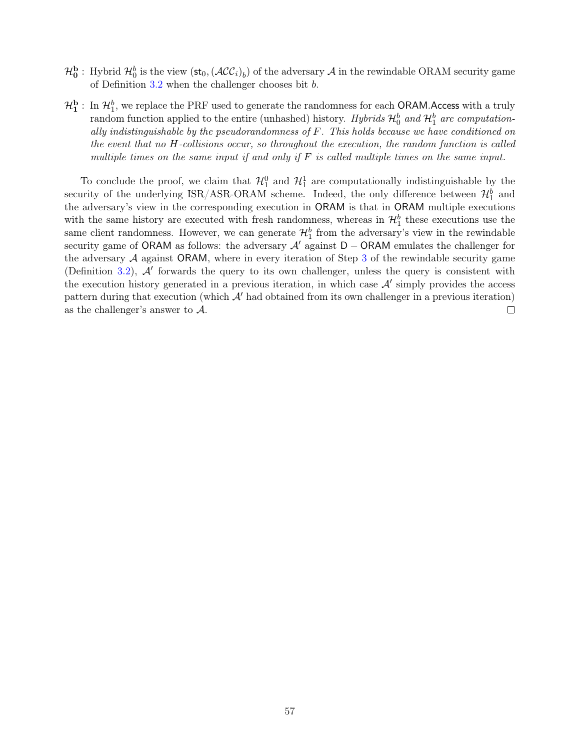- $\mathcal{H}_{0}^{b}$ : Hybrid  $\mathcal{H}_{0}^{b}$  is the view  $(\mathsf{st}_0,(\mathcal{ACC}_i)_b)$  of the adversary  $\mathcal A$  in the rewindable ORAM security game of Definition [3.2](#page-12-0) when the challenger chooses bit b.
- $\mathcal{H}^{\bf b}_1$  : In  $\mathcal{H}^b_1$ , we replace the PRF used to generate the randomness for each **ORAM.Access** with a truly random function applied to the entire (unhashed) history. Hybrids  $\mathcal{H}_0^b$  and  $\mathcal{H}_1^b$  are computationally indistinguishable by the pseudorandomness of  $F$ . This holds because we have conditioned on the event that no H-collisions occur, so throughout the execution, the random function is called multiple times on the same input if and only if  $F$  is called multiple times on the same input.

To conclude the proof, we claim that  $\mathcal{H}_1^0$  and  $\mathcal{H}_1^1$  are computationally indistinguishable by the security of the underlying  $\text{ISR/ASR-ORAM}$  scheme. Indeed, the only difference between  $\mathcal{H}_1^b$  and the adversary's view in the corresponding execution in ORAM is that in ORAM multiple executions with the same history are executed with fresh randomness, whereas in  $\mathcal{H}_1^b$  these executions use the same client randomness. However, we can generate  $\mathcal{H}_1^b$  from the adversary's view in the rewindable security game of ORAM as follows: the adversary  $A'$  against D – ORAM emulates the challenger for the adversary  $A$  against ORAM, where in every iteration of Step [3](#page-12-1) of the rewindable security game (Definition [3.2\)](#page-12-0),  $A'$  forwards the query to its own challenger, unless the query is consistent with the execution history generated in a previous iteration, in which case  $A'$  simply provides the access pattern during that execution (which  $\mathcal{A}'$  had obtained from its own challenger in a previous iteration) as the challenger's answer to A.  $\Box$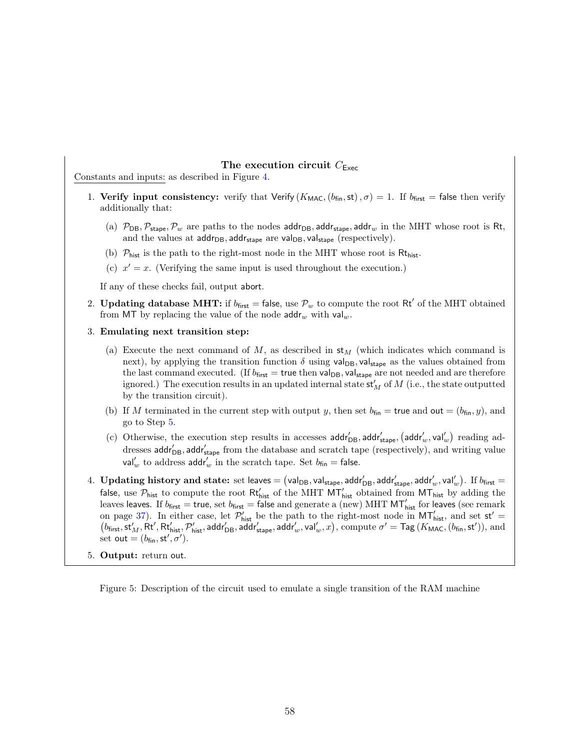#### The execution circuit  $C_{\text{F} \text{vec}}$

<span id="page-57-0"></span>Constants and inputs: as described in Figure [4.](#page-30-0)

- <span id="page-57-2"></span><span id="page-57-1"></span>1. Verify input consistency: verify that Verify  $(K_{\text{MAC}}, (b_{\text{fin}}, st), \sigma) = 1$ . If  $b_{\text{first}} =$  false then verify additionally that:
	- (a)  $\mathcal{P}_{DB},\mathcal{P}_{stage},\mathcal{P}_{w}$  are paths to the nodes addr<sub>DB</sub>, addr<sub>stape</sub>, addr<sub>w</sub> in the MHT whose root is Rt, and the values at  $\text{addr}_{DB}$ ,  $\text{addr}_{\text{shape}}$  are  $\text{val}_{DB}$ ,  $\text{val}_{\text{shape}}$  (respectively).
	- (b)  $P_{\text{hist}}$  is the path to the right-most node in the MHT whose root is  $Rt_{\text{hist}}$ .
	- (c)  $x' = x$ . (Verifying the same input is used throughout the execution.)

If any of these checks fail, output abort.

- <span id="page-57-3"></span>2. Updating database MHT: if  $b_{\text{first}} =$  false, use  $\mathcal{P}_w$  to compute the root Rt' of the MHT obtained from MT by replacing the value of the node  $\text{addr}_w$  with  $\text{val}_w$ .
- 3. Emulating next transition step:
	- (a) Execute the next command of M, as described in  $st_M$  (which indicates which command is next), by applying the transition function  $\delta$  using val<sub>DB</sub>, val<sub>stape</sub> as the values obtained from the last command executed. (If  $b_{\text{first}} = \text{true}$  then val<sub>DB</sub>, val<sub>stape</sub> are not needed and are therefore ignored.) The execution results in an updated internal state  $\mathsf{st}'_M$  of  $M$  (i.e., the state outputted by the transition circuit).
	- (b) If M terminated in the current step with output y, then set  $b_{fin}$  = true and out =  $(b_{fin}, y)$ , and go to Step [5.](#page-57-5)
	- (c) Otherwise, the execution step results in accesses  $\text{addr}_{DB}', \text{addr}_{\text{shape}}'$ ,  $(\text{addr}_{w}', \text{val}_{w}')$  reading addresses addr<sub>DB</sub>, addr<sub>stape</sub> from the database and scratch tape (respectively), and writing value val'<sub>w</sub> to address addr'<sub>w</sub> in the scratch tape. Set  $b_{fin}$  = false.
- <span id="page-57-7"></span><span id="page-57-6"></span><span id="page-57-4"></span> $4. \ \text{Update: set leaves} = (\text{val}_{\text{DB}}, \text{val}_{\text{shape}}, \text{addr}_{\text{DB}}, \text{addr}_{\text{shape}}', \text{addr}_{w}', \text{val}_{w}') \text{. If } b_{\text{first}} =$ false, use  $P_{hist}$  to compute the root Rt'<sub>hist</sub> of the MHT MT'<sub>hist</sub> obtained from MT<sub>hist</sub> by adding the leaves leaves. If  $b_{\text{first}} = \text{true}$ , set  $b_{\text{first}} = \text{false}$  and generate a (new) MHT MT<sub>nist</sub> for leaves (see remark on page [37\)](#page-36-2). In either case, let  $\mathcal{P}'_{\text{hist}}$  be the path to the right-most node in  $MT'_{\text{hist}}$ , and set  $st' = (b_{\text{first}}, st'_M, Rt', Rt'_{\text{hist}}, \mathcal{P}'_{\text{hist}}, addr'_{\text{DB}}, addr'_{\text{step}}, addr'_{w}, val'_{w}, x)$ , compute  $\sigma' = \text{Tag}(K_{\text{MAC}}, (b_{\text{fin}}, st'))$ , and set out =  $(b_{fin}, \mathsf{st}', \sigma').$
- <span id="page-57-5"></span>5. Output: return out.

Figure 5: Description of the circuit used to emulate a single transition of the RAM machine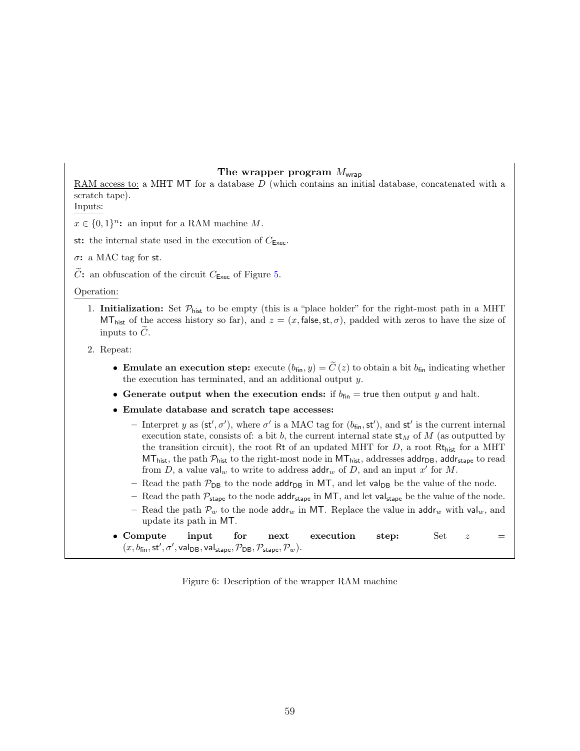#### The wrapper program  $M_{\text{wrap}}$

<span id="page-58-0"></span>RAM access to: a MHT MT for a database D (which contains an initial database, concatenated with a scratch tape).

Inputs:

 $x \in \{0,1\}^n$ : an input for a RAM machine M.

st: the internal state used in the execution of  $C_{\text{Exec}}$ .

σ: a MAC tag for st.

 $\tilde{C}$ : an obfuscation of the circuit  $C_{\text{Exec}}$  of Figure [5.](#page-57-0)

#### Operation:

- 1. Initialization: Set  $\mathcal{P}_{\text{hist}}$  to be empty (this is a "place holder" for the right-most path in a MHT  $MT_{hist}$  of the access history so far), and  $z = (x, false, st, \sigma)$ , padded with zeros to have the size of inputs to  $C$ .
- 2. Repeat:
	- Emulate an execution step: execute  $(b_{fin}, y) = \tilde{C}(z)$  to obtain a bit  $b_{fin}$  indicating whether the execution has terminated, and an additional output y.
	- Generate output when the execution ends: if  $b_{fin}$  = true then output y and halt.
	- Emulate database and scratch tape accesses:
		- Interpret y as  $(st', \sigma')$ , where  $\sigma'$  is a MAC tag for  $(b_{fin}, st')$ , and st' is the current internal execution state, consists of: a bit b, the current internal state  $\mathsf{st}_M$  of M (as outputted by the transition circuit), the root Rt of an updated MHT for  $D$ , a root  $Rt_{\text{hist}}$  for a MHT  $MT_{hist}$ , the path  $P_{hist}$  to the right-most node in  $MT_{hist}$ , addresses addr<sub>DB</sub>, addr<sub>stape</sub> to read from D, a value val<sub>w</sub> to write to address  $\mathsf{addr}_w$  of D, and an input  $x'$  for M.
		- Read the path  $P_{\text{DB}}$  to the node addr<sub>DB</sub> in MT, and let val<sub>DB</sub> be the value of the node.
		- Read the path  $P_{\text{stage}}$  to the node addr<sub>stape</sub> in MT, and let val<sub>stape</sub> be the value of the node.
		- Read the path  $\mathcal{P}_w$  to the node addr<sub>w</sub> in MT. Replace the value in addr<sub>w</sub> with val<sub>w</sub>, and update its path in MT.

```
• Compute input for next execution step: Set z =(x, b_{fin}, \mathsf{st}', \sigma', \mathsf{val}_{\mathsf{DB}}, \mathsf{val}_{\mathsf{stage}}, \mathcal{P}_{\mathsf{DB}}, \mathcal{P}_{\mathsf{stage}}, \mathcal{P}_w).
```
Figure 6: Description of the wrapper RAM machine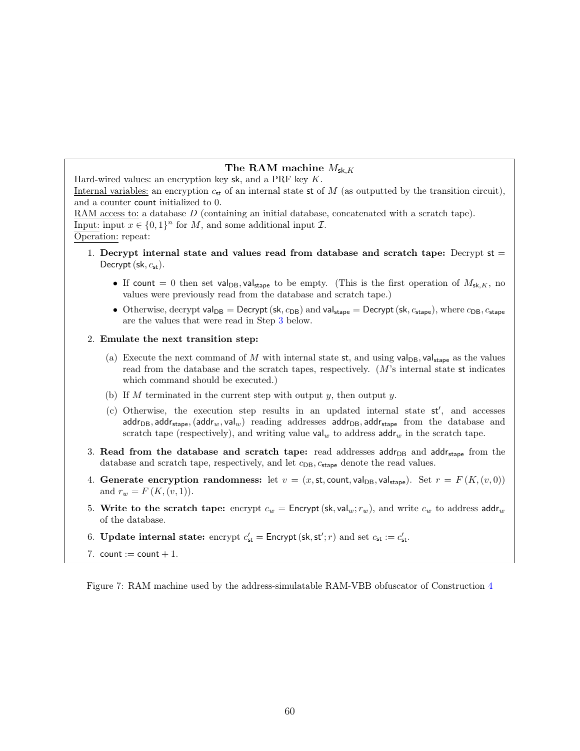#### The RAM machine  $M_{sk,K}$

<span id="page-59-0"></span>Hard-wired values: an encryption key sk, and a PRF key K. Internal variables: an encryption  $c_{st}$  of an internal state st of M (as outputted by the transition circuit), and a counter count initialized to 0.

RAM access to: a database D (containing an initial database, concatenated with a scratch tape). Input: input  $x \in \{0,1\}^n$  for M, and some additional input  $\mathcal{I}$ . Operation: repeat:

- 1. Decrypt internal state and values read from database and scratch tape: Decrypt  $st =$ Decrypt (sk,  $c_{st}$ ).
	- If count = 0 then set val<sub>DB</sub>, val<sub>stape</sub> to be empty. (This is the first operation of  $M_{sk,K}$ , no values were previously read from the database and scratch tape.)
	- Otherwise, decrypt val<sub>DB</sub> = Decrypt (sk,  $c_{DB}$ ) and val<sub>stape</sub> = Decrypt (sk,  $c_{\text{stage}}$ ), where  $c_{DB}$ ,  $c_{\text{stage}}$ are the values that were read in Step [3](#page-59-4) below.

#### 2. Emulate the next transition step:

- (a) Execute the next command of M with internal state st, and using val<sub>DB</sub>, val<sub>stape</sub> as the values read from the database and the scratch tapes, respectively. (M's internal state st indicates which command should be executed.)
- (b) If M terminated in the current step with output  $y$ , then output  $y$ .
- $(c)$  Otherwise, the execution step results in an updated internal state  $st'$ , and accesses addr<sub>DB</sub>, addr<sub>stape</sub>, (addr<sub>w</sub>, val<sub>w</sub>) reading addresses addr<sub>DB</sub>, addr<sub>stape</sub> from the database and scratch tape (respectively), and writing value val<sub>w</sub> to address addr<sub>w</sub> in the scratch tape.
- <span id="page-59-4"></span>3. Read from the database and scratch tape: read addresses addr<sub>DB</sub> and addr<sub>stape</sub> from the database and scratch tape, respectively, and let  $c_{DB}$ ,  $c_{\text{stage}}$  denote the read values.
- <span id="page-59-1"></span>4. Generate encryption randomness: let  $v = (x, st, count, val_{DB}, val_{shape})$ . Set  $r = F(K,(v, 0))$ and  $r_w = F(K,(v,1)).$
- <span id="page-59-2"></span>5. Write to the scratch tape: encrypt  $c_w =$  Encrypt (sk, val<sub>w</sub>;  $r_w$ ), and write  $c_w$  to address addr<sub>w</sub> of the database.
- <span id="page-59-3"></span>6. Update internal state: encrypt  $c'_{st}$  = Encrypt (sk, st'; r) and set  $c_{st} := c'_{st}$ .
- 7. count := count  $+1$ .

Figure 7: RAM machine used by the address-simulatable RAM-VBB obfuscator of Construction [4](#page-32-1)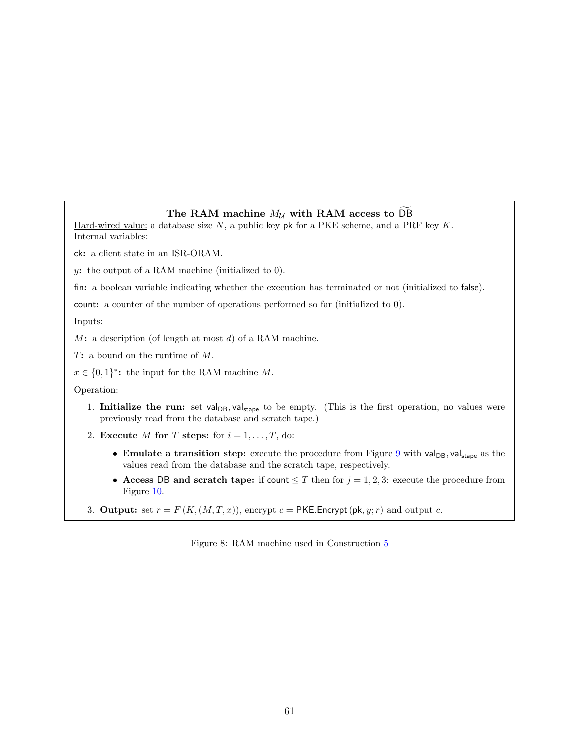## The RAM machine  $M_U$  with RAM access to DB

<span id="page-60-0"></span>Hard-wired value: a database size  $N$ , a public key pk for a PKE scheme, and a PRF key  $K$ . Internal variables:

ck: a client state in an ISR-ORAM.

y: the output of a RAM machine (initialized to 0).

fin: a boolean variable indicating whether the execution has terminated or not (initialized to false).

count: a counter of the number of operations performed so far (initialized to 0).

Inputs:

 $M:$  a description (of length at most  $d$ ) of a RAM machine.

T: a bound on the runtime of M.

 $x \in \{0,1\}^*$ : the input for the RAM machine M.

Operation:

- 1. Initialize the run: set val<sub>DB</sub>, val<sub>stape</sub> to be empty. (This is the first operation, no values were previously read from the database and scratch tape.)
- 2. Execute M for T steps: for  $i = 1, \ldots, T$ , do:
	- Emulate a transition step: execute the procedure from Figure [9](#page-61-1) with val<sub>DB</sub>, val<sub>stape</sub> as the values read from the database and the scratch tape, respectively.
	- Access DB and scratch tape: if count  $\leq T$  then for  $j = 1, 2, 3$ : execute the procedure from Figure [10.](#page-61-2)
- 3. Output: set  $r = F(K,(M,T,x))$ , encrypt  $c = PKE$ . Encrypt (pk, y; r) and output c.

Figure 8: RAM machine used in Construction [5](#page-35-0)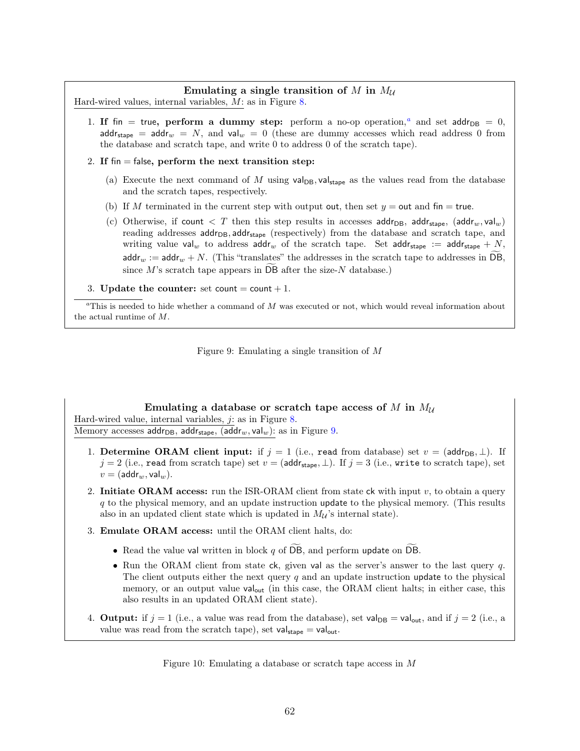#### Emulating a single transition of M in  $M_{\mathcal{U}}$

<span id="page-61-1"></span>Hard-wired values, internal variables, M: as in Figure [8.](#page-60-0)

- <span id="page-61-4"></span>1. If fin = true, perform [a](#page-61-3) dummy step: perform a no-op operation,<sup>a</sup> and set addr<sub>DB</sub> = 0, addr<sub>stape</sub> = addr<sub>w</sub> = N, and val<sub>w</sub> = 0 (these are dummy accesses which read address 0 from the database and scratch tape, and write 0 to address 0 of the scratch tape).
- <span id="page-61-5"></span><span id="page-61-0"></span>2. If fin  $=$  false, perform the next transition step:
	- (a) Execute the next command of M using  $\mathsf{val}_{\mathsf{DB}}$ ,  $\mathsf{val}_{\mathsf{step}}$  as the values read from the database and the scratch tapes, respectively.
	- (b) If M terminated in the current step with output out, then set  $y = \text{out}$  and fin = true.
	- (c) Otherwise, if count  $\langle T \rangle$  then this step results in accesses addr<sub>DB</sub>, addr<sub>stape</sub>, (addr<sub>w</sub>, val<sub>w</sub>) reading addresses  $\mathsf{addr}_\mathsf{DB}, \mathsf{addr}_\mathsf{step}$  (respectively) from the database and scratch tape, and writing value val<sub>w</sub> to address addr<sub>w</sub> of the scratch tape. Set addr<sub>stape</sub> := addr<sub>stape</sub> + N,  $\text{addr}_w := \text{addr}_w + N$ . (This "translates" the addresses in the scratch tape to addresses in DB, since  $M$ 's scratch tape appears in  $\overrightarrow{DB}$  after the size-N database.)
- <span id="page-61-3"></span>3. Update the counter: set count = count + 1.

<sup>a</sup>This is needed to hide whether a command of  $M$  was executed or not, which would reveal information about the actual runtime of M.

Figure 9: Emulating a single transition of M

## Emulating a database or scratch tape access of M in  $M_{\mathcal{U}}$

<span id="page-61-2"></span>Hard-wired value, internal variables,  $j$ : as in Figure [8.](#page-60-0) Memory accesses addr<sub>DB</sub>, addr<sub>stape</sub>, (addr<sub>w</sub>, val<sub>w</sub>): as in Figure [9.](#page-61-1)

- 1. Determine ORAM client input: if  $j = 1$  (i.e., read from database) set  $v = (addr_{DB}, \perp)$ . If  $j = 2$  (i.e., read from scratch tape) set  $v = (add_{\text{shape}}, \perp)$ . If  $j = 3$  (i.e., write to scratch tape), set  $v = ( \text{addr}_w, \text{val}_w).$
- 2. Initiate ORAM access: run the ISR-ORAM client from state ck with input  $v$ , to obtain a query q to the physical memory, and an update instruction update to the physical memory. (This results also in an updated client state which is updated in  $M_{\mathcal{U}}$ 's internal state).
- 3. Emulate ORAM access: until the ORAM client halts, do:
	- Read the value val written in block q of DB, and perform update on DB.
	- Run the ORAM client from state ck, given val as the server's answer to the last query q. The client outputs either the next query  $q$  and an update instruction update to the physical memory, or an output value val<sub>out</sub> (in this case, the ORAM client halts; in either case, this also results in an updated ORAM client state).
- 4. Output: if  $j = 1$  (i.e., a value was read from the database), set val<sub>DB</sub> = val<sub>out</sub>, and if  $j = 2$  (i.e., a value was read from the scratch tape), set val  $_{\text{stage}} = \text{val}_{\text{out}}$ .

Figure 10: Emulating a database or scratch tape access in M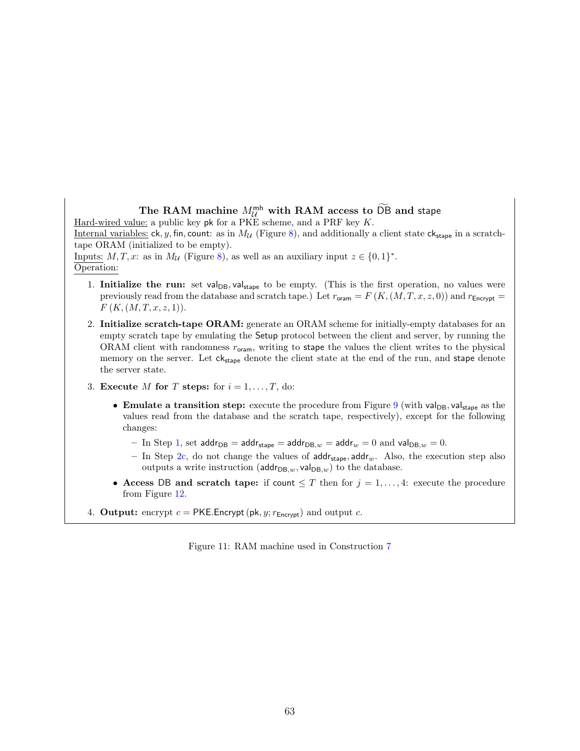# The RAM machine  $M_{\text{U}}^{\text{mh}}$  with RAM access to DB and stape

<span id="page-62-0"></span>Hard-wired value: a public key pk for a PKE scheme, and a PRF key K.

Internal variables: ck, y, fin, count: as in  $M_{\mathcal{U}}$  (Figure [8\)](#page-60-0), and additionally a client state ck<sub>stape</sub> in a scratchtape ORAM (initialized to be empty).

Inputs:  $M, T, x$ : as in  $M_{\mathcal{U}}$  (Figure [8\)](#page-60-0), as well as an auxiliary input  $z \in \{0, 1\}^*$ . Operation:

- 1. Initialize the run: set val<sub>DB</sub>, val<sub>stape</sub> to be empty. (This is the first operation, no values were previously read from the database and scratch tape.) Let  $r_{\text{oram}} = F(K,(M,T,x,z,0))$  and  $r_{\text{Encrypt}} =$  $F(K,(M,T,x,z,1)).$
- 2. Initialize scratch-tape ORAM: generate an ORAM scheme for initially-empty databases for an empty scratch tape by emulating the Setup protocol between the client and server, by running the ORAM client with randomness  $r_{\text{organ}}$ , writing to stape the values the client writes to the physical memory on the server. Let  $ck_{\text{stage}}$  denote the client state at the end of the run, and stape denote the server state.
- 3. Execute M for T steps: for  $i = 1, \ldots, T$ , do:
	- Emulate a transition step: execute the procedure from Figure [9](#page-61-1) (with val<sub>DB</sub>, val<sub>stape</sub> as the values read from the database and the scratch tape, respectively), except for the following changes:
		- In Step [1,](#page-61-4) set addr<sub>DB</sub> = addr<sub>stape</sub> = addr<sub>DB,w</sub> = addr<sub>w</sub> = 0 and val<sub>DB,w</sub> = 0.
		- In Step [2c,](#page-61-5) do not change the values of  $\text{addr}_{\text{stage}}$ ,  $\text{addr}_w$ . Also, the execution step also outputs a write instruction ( $\text{addr}_{DB,w}$ ,  $\text{val}_{DB,w}$ ) to the database.
	- Access DB and scratch tape: if count  $\leq T$  then for  $j = 1, \ldots, 4$ : execute the procedure from Figure [12.](#page-63-1)
- 4. **Output:** encrypt  $c = PKE$ . Encrypt (pk, y;  $r_{\text{Encrypt}}$ ) and output c.

Figure 11: RAM machine used in Construction [7](#page-41-1)